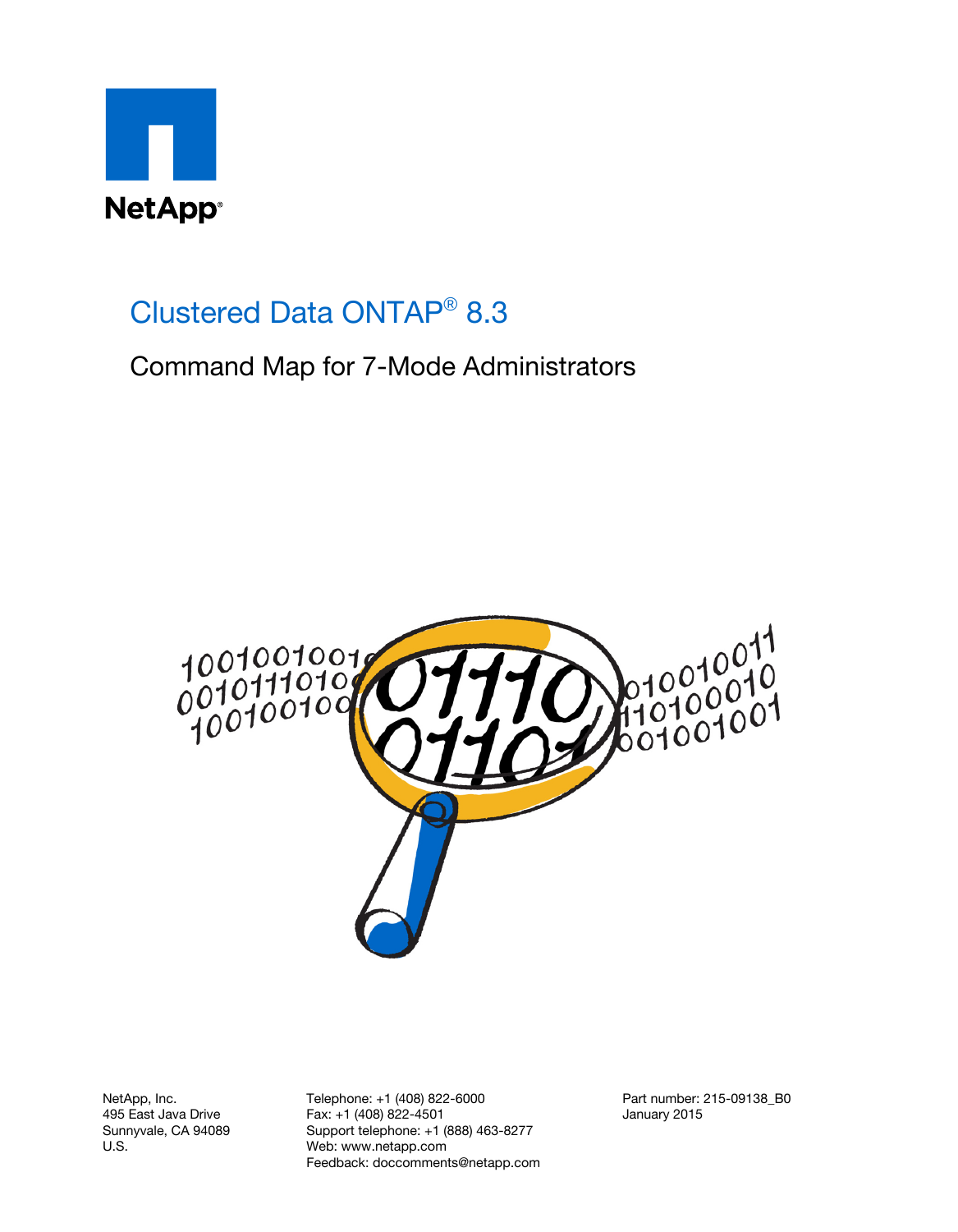

# Clustered Data ONTAP® 8.3

Command Map for 7-Mode Administrators



NetApp, Inc. 495 East Java Drive Sunnyvale, CA 94089 U.S.

Telephone: +1 (408) 822-6000 Fax: +1 (408) 822-4501 Support telephone: +1 (888) 463-8277 Web: www.netapp.com Feedback: doccomments@netapp.com Part number: 215-09138\_B0 January 2015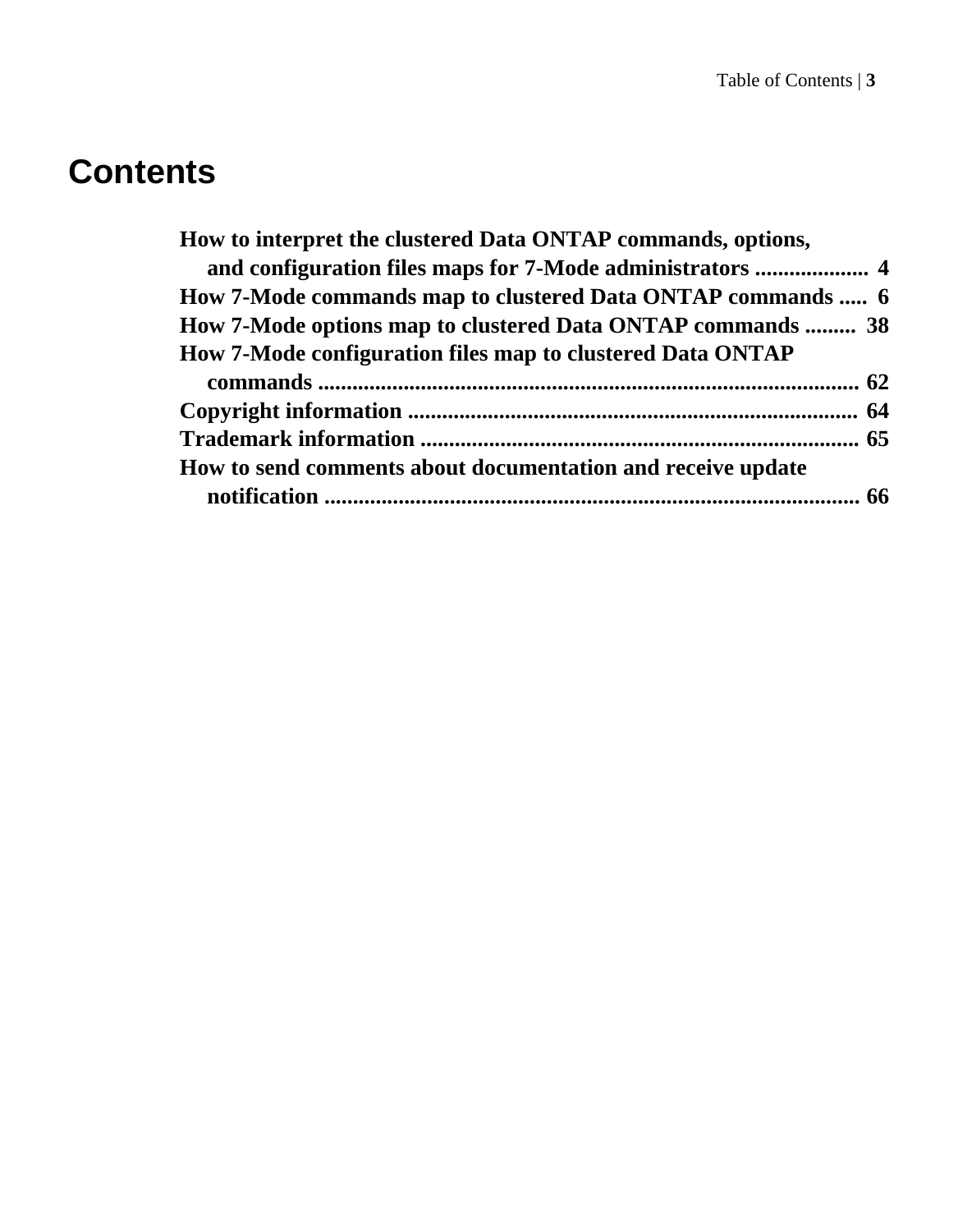# **Contents**

| How to interpret the clustered Data ONTAP commands, options, |
|--------------------------------------------------------------|
|                                                              |
| How 7-Mode commands map to clustered Data ONTAP commands  6  |
| How 7-Mode options map to clustered Data ONTAP commands  38  |
| How 7-Mode configuration files map to clustered Data ONTAP   |
|                                                              |
|                                                              |
|                                                              |
| How to send comments about documentation and receive update  |
|                                                              |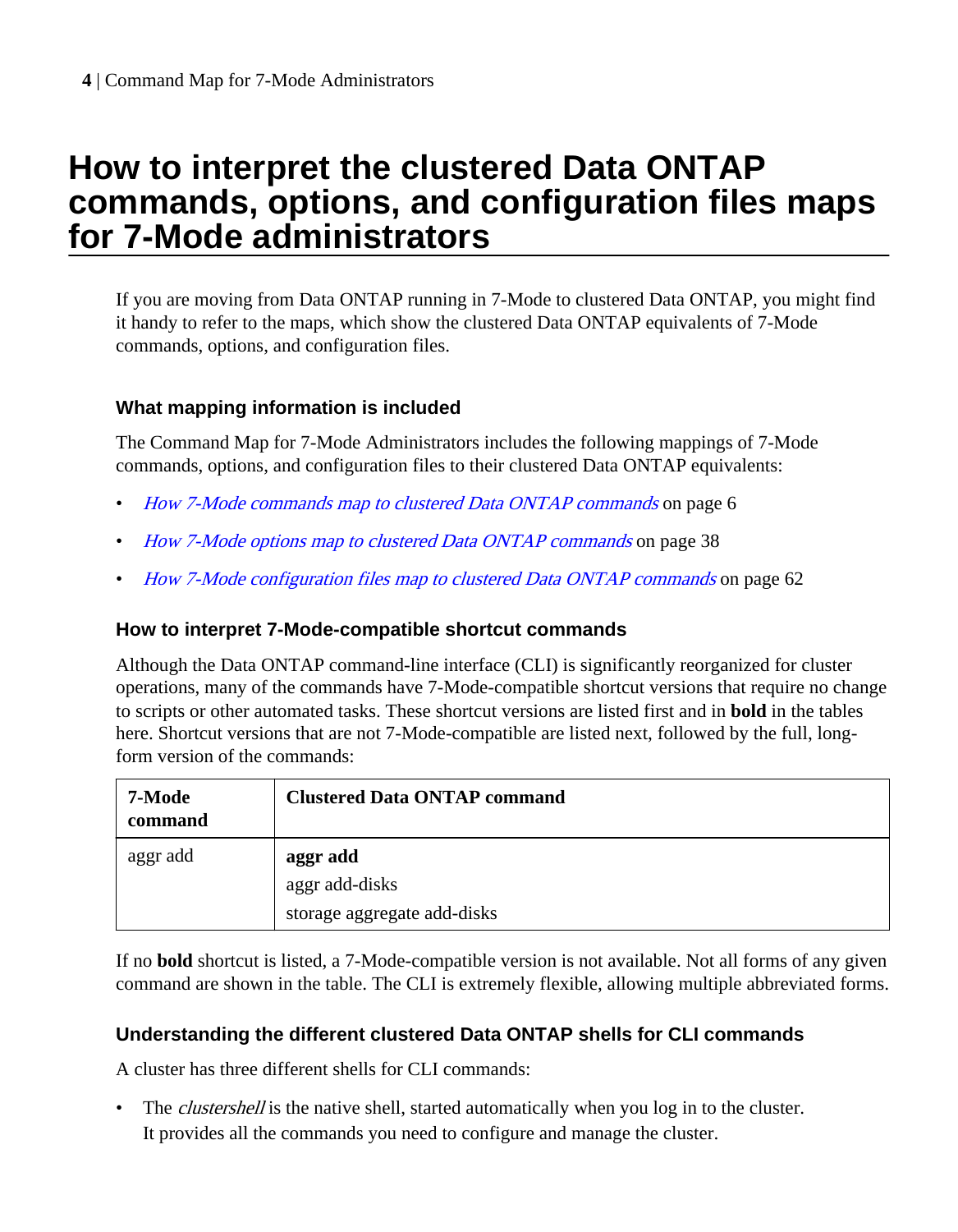# <span id="page-3-0"></span>**How to interpret the clustered Data ONTAP commands, options, and configuration files maps for 7-Mode administrators**

If you are moving from Data ONTAP running in 7-Mode to clustered Data ONTAP, you might find it handy to refer to the maps, which show the clustered Data ONTAP equivalents of 7-Mode commands, options, and configuration files.

### **What mapping information is included**

The Command Map for 7-Mode Administrators includes the following mappings of 7-Mode commands, options, and configuration files to their clustered Data ONTAP equivalents:

- [How 7-Mode commands map to clustered Data ONTAP commands](#page-5-0) on page 6
- [How 7-Mode options map to clustered Data ONTAP commands](#page-37-0) on page 38
- [How 7-Mode configuration files map to clustered Data ONTAP commands](#page-61-0) on page 62

#### **How to interpret 7-Mode-compatible shortcut commands**

Although the Data ONTAP command-line interface (CLI) is significantly reorganized for cluster operations, many of the commands have 7-Mode-compatible shortcut versions that require no change to scripts or other automated tasks. These shortcut versions are listed first and in **bold** in the tables here. Shortcut versions that are not 7-Mode-compatible are listed next, followed by the full, longform version of the commands:

| 7-Mode<br>command | <b>Clustered Data ONTAP command</b> |
|-------------------|-------------------------------------|
| aggr add          | aggr add                            |
|                   | aggr add-disks                      |
|                   | storage aggregate add-disks         |

If no **bold** shortcut is listed, a 7-Mode-compatible version is not available. Not all forms of any given command are shown in the table. The CLI is extremely flexible, allowing multiple abbreviated forms.

#### **Understanding the different clustered Data ONTAP shells for CLI commands**

A cluster has three different shells for CLI commands:

The *clustershell* is the native shell, started automatically when you log in to the cluster. It provides all the commands you need to configure and manage the cluster.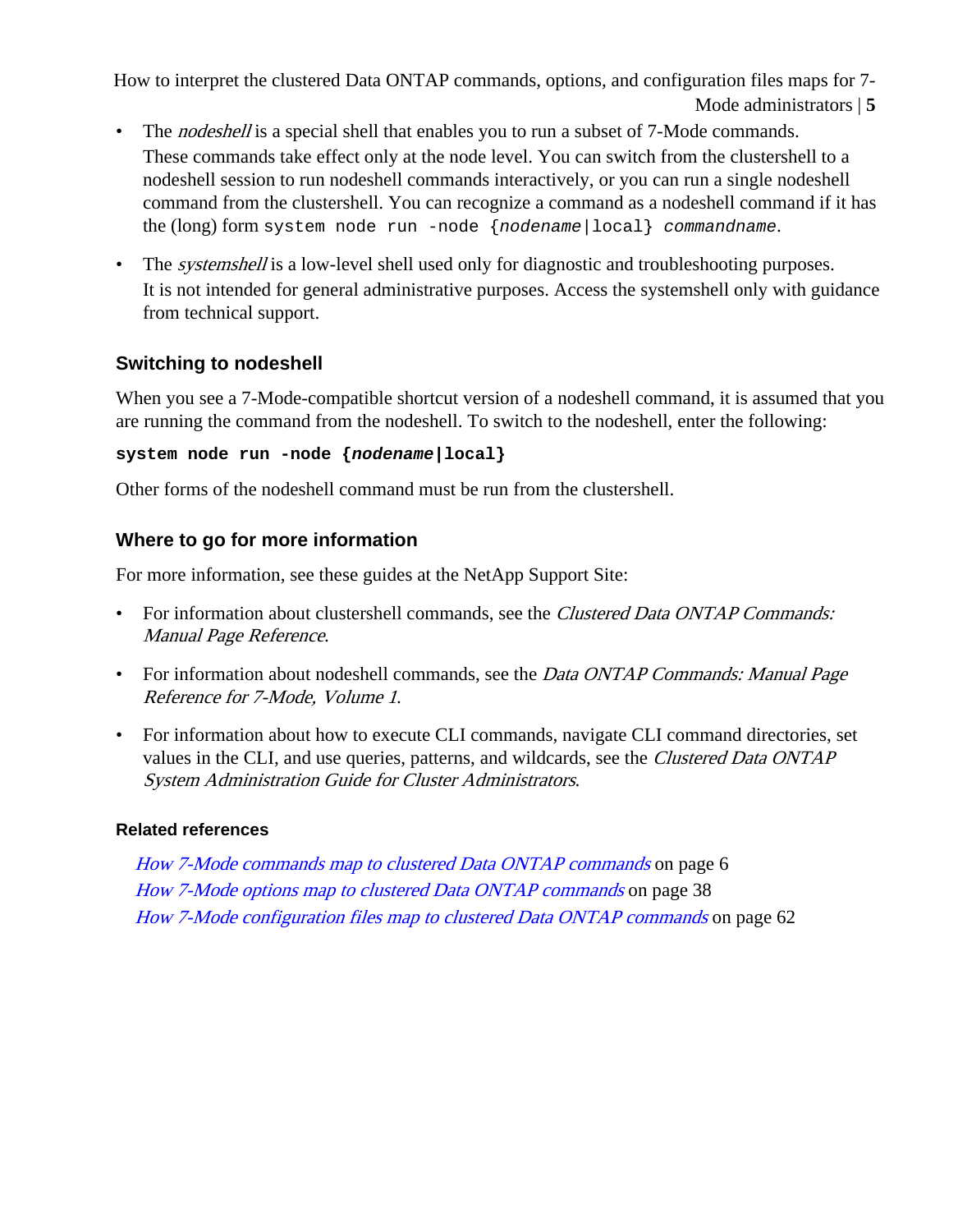How to interpret the clustered Data ONTAP commands, options, and configuration files maps for 7- Mode administrators | **5**

- The *nodeshell* is a special shell that enables you to run a subset of 7-Mode commands. These commands take effect only at the node level. You can switch from the clustershell to a nodeshell session to run nodeshell commands interactively, or you can run a single nodeshell command from the clustershell. You can recognize a command as a nodeshell command if it has the (long) form system node run -node  ${nodename|local}$  commandname.
- The *systemshell* is a low-level shell used only for diagnostic and troubleshooting purposes. It is not intended for general administrative purposes. Access the systemshell only with guidance from technical support.

#### **Switching to nodeshell**

When you see a 7-Mode-compatible shortcut version of a nodeshell command, it is assumed that you are running the command from the nodeshell. To switch to the nodeshell, enter the following:

```
system node run -node {nodename|local}
```
Other forms of the nodeshell command must be run from the clustershell.

### **Where to go for more information**

For more information, see these guides at the NetApp Support Site:

- For information about clustershell commands, see the Clustered Data ONTAP Commands: Manual Page Reference.
- For information about nodeshell commands, see the *Data ONTAP Commands: Manual Page* Reference for 7-Mode, Volume 1.
- For information about how to execute CLI commands, navigate CLI command directories, set values in the CLI, and use queries, patterns, and wildcards, see the Clustered Data ONTAP System Administration Guide for Cluster Administrators.

#### **Related references**

[How 7-Mode commands map to clustered Data ONTAP commands](#page-5-0) on page 6 [How 7-Mode options map to clustered Data ONTAP commands](#page-37-0) on page 38 [How 7-Mode configuration files map to clustered Data ONTAP commands](#page-61-0) on page 62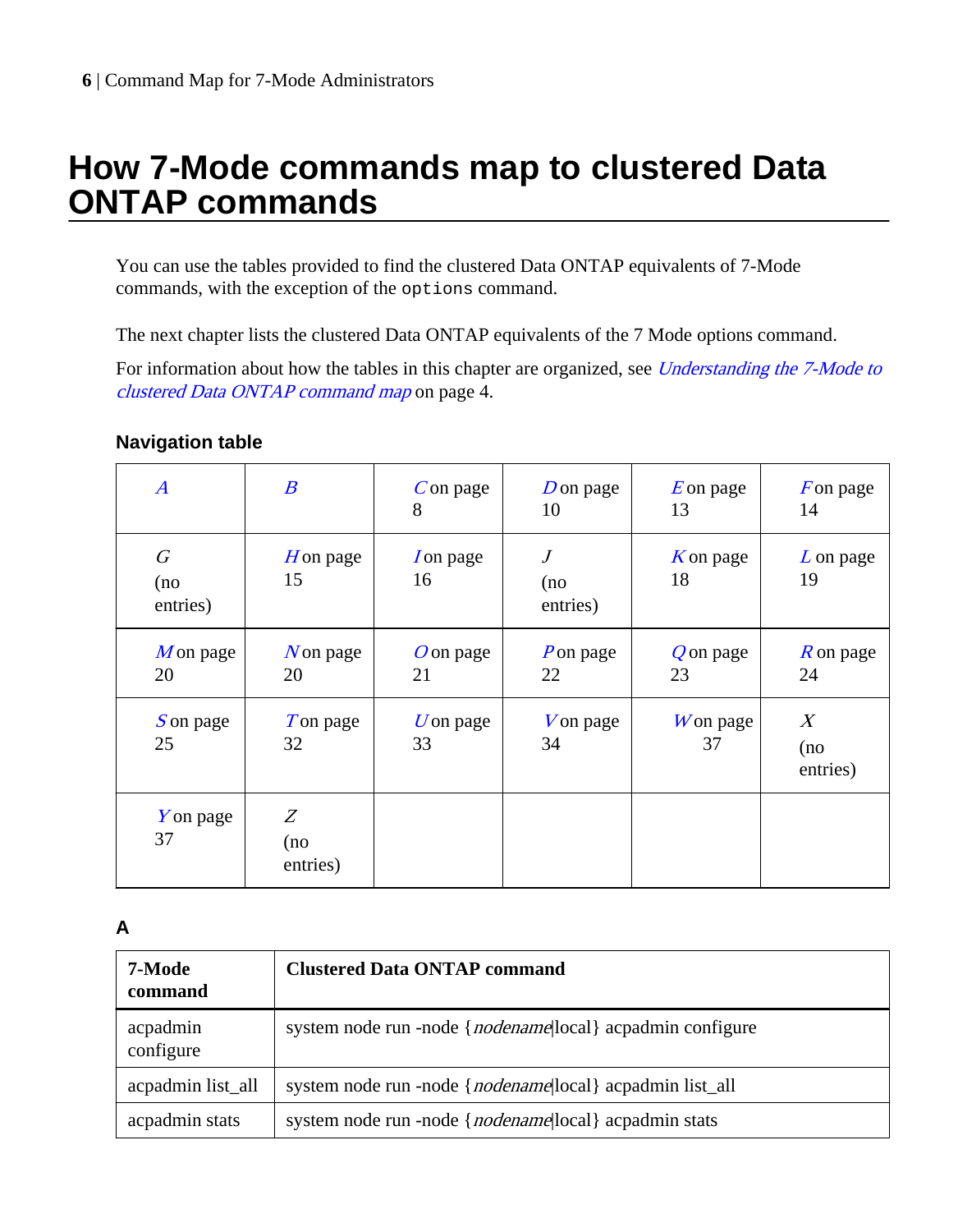# <span id="page-5-0"></span>**How 7-Mode commands map to clustered Data ONTAP commands**

You can use the tables provided to find the clustered Data ONTAP equivalents of 7-Mode commands, with the exception of the options command.

The next chapter lists the clustered Data ONTAP equivalents of the 7 Mode options command.

For information about how the tables in this chapter are organized, see *[Understanding the 7-Mode to](#page-3-0)* [clustered Data ONTAP command map](#page-3-0) on page 4.

| $\boldsymbol{A}$     | $\boldsymbol{B}$     | $C$ on page<br>8               | $D$ on page<br>10                 | $E$ on page<br>13 | Fon page<br>14                      |
|----------------------|----------------------|--------------------------------|-----------------------------------|-------------------|-------------------------------------|
| G<br>(no<br>entries) | $H$ on page<br>15    | I on page<br>16                | $\overline{J}$<br>(no<br>entries) | $K$ on page<br>18 | $L$ on page<br>19                   |
| $M$ on page<br>20    | $N$ on page<br>20    | $\boldsymbol{O}$ on page<br>21 | $P$ on page<br>22                 | Q on page<br>23   | $R$ on page<br>24                   |
| S on page<br>25      | Ton page<br>32       | $U$ on page<br>33              | Von page<br>34                    | $W$ on page<br>37 | $\boldsymbol{X}$<br>(no<br>entries) |
| Yon page<br>37       | Z<br>(no<br>entries) |                                |                                   |                   |                                     |

#### **Navigation table**

#### **A**

| 7-Mode<br>command     | <b>Clustered Data ONTAP command</b>                                |
|-----------------------|--------------------------------------------------------------------|
| acpadmin<br>configure | system node run -node { <i>nodename</i> local } acpadmin configure |
| acpadmin list_all     | system node run -node { <i>nodename</i> local } acpadmin list_all  |
| acpadmin stats        | system node run -node { <i>nodename</i> local } acpadmin stats     |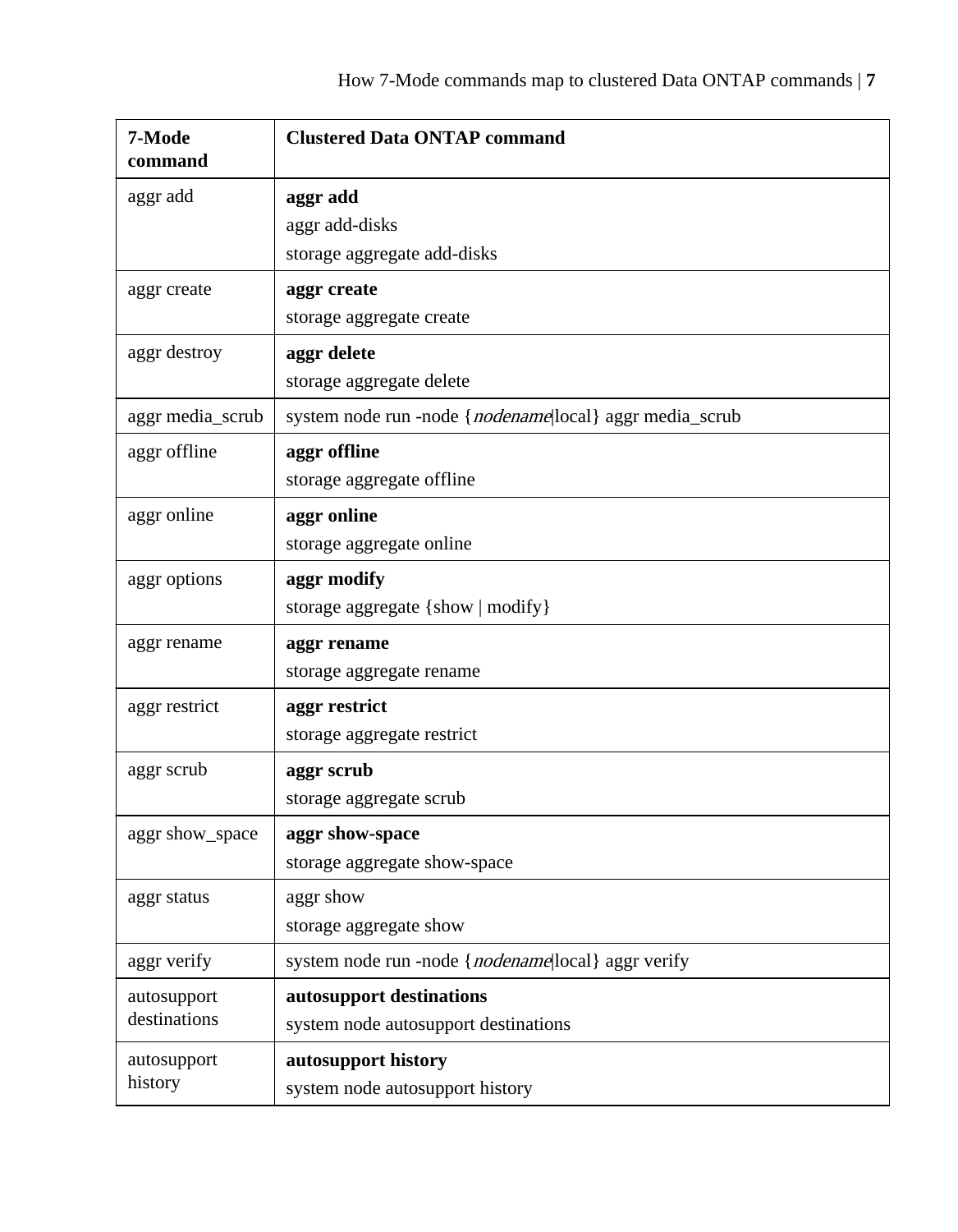| 7-Mode<br>command           | <b>Clustered Data ONTAP command</b>                      |
|-----------------------------|----------------------------------------------------------|
| aggr add                    | aggr add                                                 |
|                             | aggr add-disks                                           |
|                             | storage aggregate add-disks                              |
| aggr create                 | aggr create                                              |
|                             | storage aggregate create                                 |
| aggr destroy                | aggr delete                                              |
|                             | storage aggregate delete                                 |
| aggr media_scrub            | system node run -node { nodename local} aggr media_scrub |
| aggr offline                | aggr offline                                             |
|                             | storage aggregate offline                                |
| aggr online                 | aggr online                                              |
|                             | storage aggregate online                                 |
| aggr options                | aggr modify                                              |
|                             | storage aggregate {show   modify}                        |
| aggr rename                 | aggr rename                                              |
|                             | storage aggregate rename                                 |
| aggr restrict               | aggr restrict                                            |
|                             | storage aggregate restrict                               |
| aggr scrub                  | aggr scrub                                               |
|                             | storage aggregate scrub                                  |
| aggr show_space             | aggr show-space                                          |
|                             | storage aggregate show-space                             |
| aggr status                 | aggr show                                                |
|                             | storage aggregate show                                   |
| aggr verify                 | system node run -node { nodename local} aggr verify      |
| autosupport<br>destinations | autosupport destinations                                 |
|                             | system node autosupport destinations                     |
| autosupport                 | autosupport history                                      |
| history                     | system node autosupport history                          |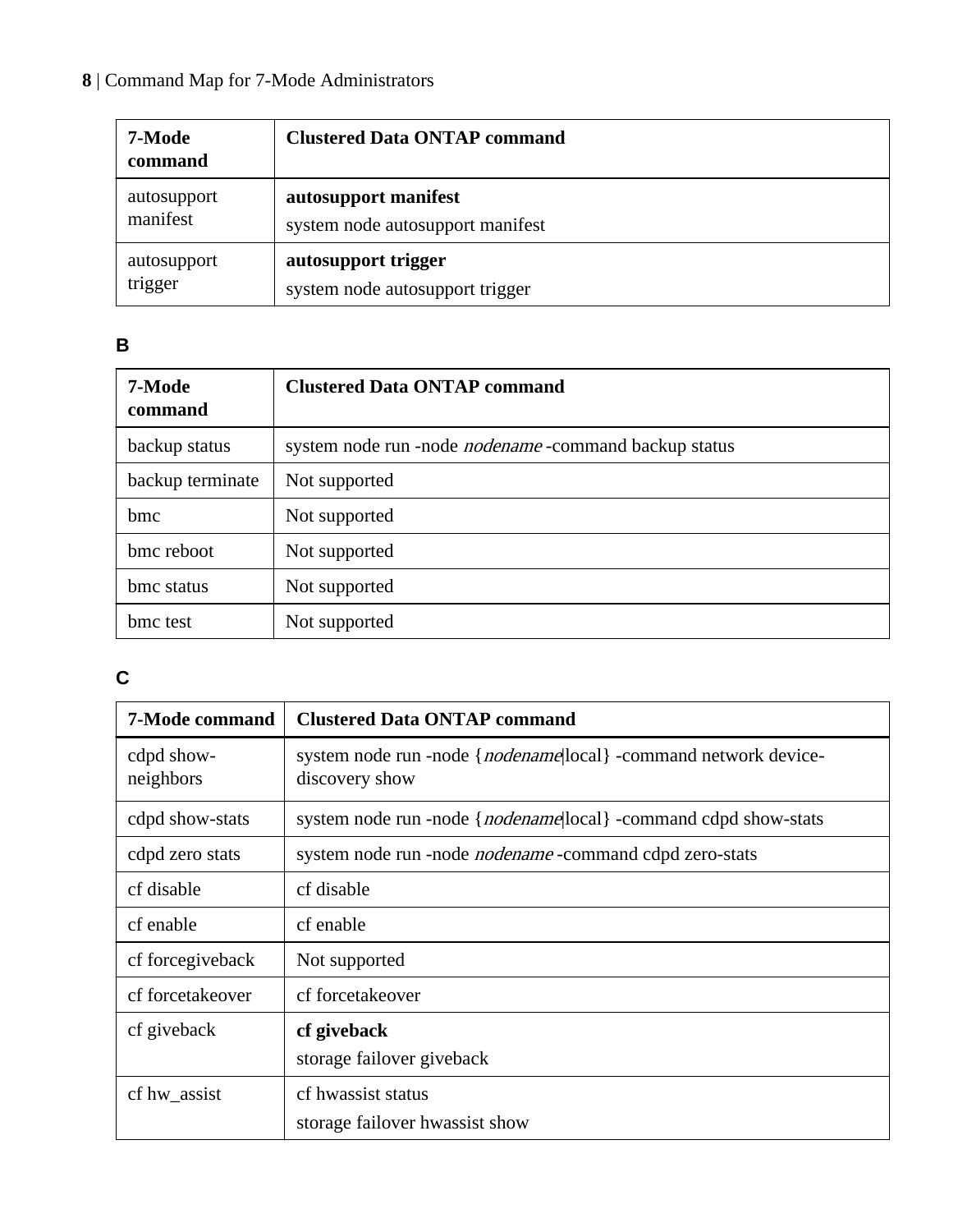## <span id="page-7-0"></span>**8** | Command Map for 7-Mode Administrators

| 7-Mode<br>command | <b>Clustered Data ONTAP command</b> |
|-------------------|-------------------------------------|
| autosupport       | autosupport manifest                |
| manifest          | system node autosupport manifest    |
| autosupport       | autosupport trigger                 |
| trigger           | system node autosupport trigger     |

## **B**

| 7-Mode<br>command | <b>Clustered Data ONTAP command</b>                          |
|-------------------|--------------------------------------------------------------|
| backup status     | system node run -node <i>nodename</i> -command backup status |
| backup terminate  | Not supported                                                |
| <sub>bmc</sub>    | Not supported                                                |
| bmc reboot        | Not supported                                                |
| bmc status        | Not supported                                                |
| bmc test          | Not supported                                                |

# **C**

| 7-Mode command          | <b>Clustered Data ONTAP command</b>                                                         |  |
|-------------------------|---------------------------------------------------------------------------------------------|--|
| edpd show-<br>neighbors | system node run -node { <i>nodename</i> [local } -command network device-<br>discovery show |  |
| cdpd show-stats         | system node run -node { <i>nodename</i> [local } -command cdpd show-stats                   |  |
| cdpd zero stats         | system node run -node <i>nodename</i> -command cdpd zero-stats                              |  |
| cf disable              | cf disable                                                                                  |  |
| cf enable               | cf enable                                                                                   |  |
| cf forcegiveback        | Not supported                                                                               |  |
| cf forcetakeover        | cf forcetakeover                                                                            |  |
| cf giveback             | cf giveback                                                                                 |  |
|                         | storage failover giveback                                                                   |  |
| cf hw assist            | cf hwassist status                                                                          |  |
|                         | storage failover hwassist show                                                              |  |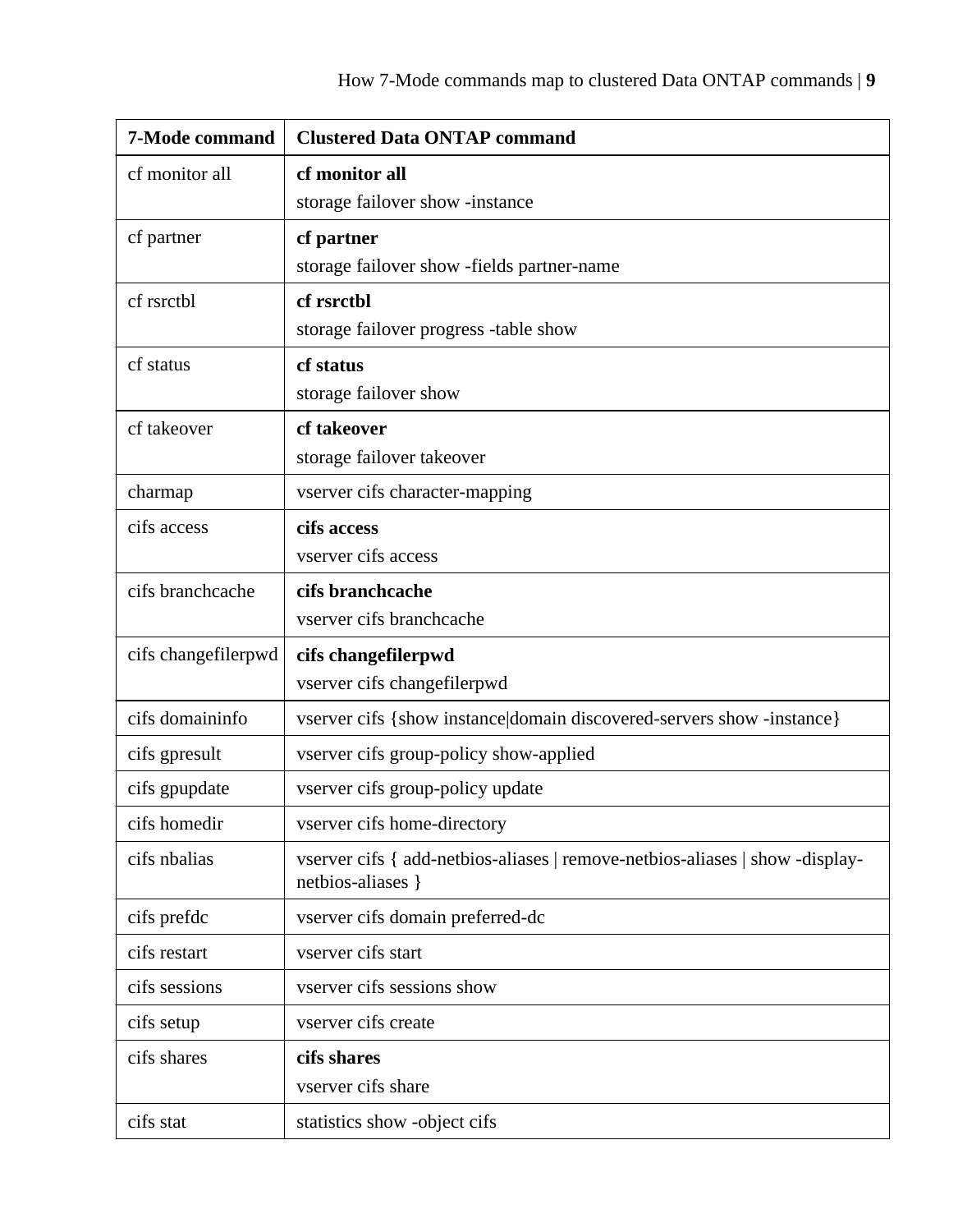| 7-Mode command      | <b>Clustered Data ONTAP command</b>                                                              |
|---------------------|--------------------------------------------------------------------------------------------------|
| cf monitor all      | cf monitor all                                                                                   |
|                     | storage failover show -instance                                                                  |
| cf partner          | cf partner                                                                                       |
|                     | storage failover show -fields partner-name                                                       |
| cf rsrctbl          | cf rsrctbl                                                                                       |
|                     | storage failover progress -table show                                                            |
| cf status           | cf status                                                                                        |
|                     | storage failover show                                                                            |
| cf takeover         | cf takeover                                                                                      |
|                     | storage failover takeover                                                                        |
| charmap             | vserver cifs character-mapping                                                                   |
| cifs access         | cifs access                                                                                      |
|                     | vserver cifs access                                                                              |
| cifs branchcache    | cifs branchcache                                                                                 |
|                     | vserver cifs branchcache                                                                         |
| cifs changefilerpwd | cifs changefilerpwd                                                                              |
|                     | vserver cifs changefilerpwd                                                                      |
| cifs domaininfo     | vserver cifs { show instance domain discovered-servers show -instance }                          |
| cifs gpresult       | vserver cifs group-policy show-applied                                                           |
| cifs gpupdate       | vserver cifs group-policy update                                                                 |
| cifs homedir        | vserver cifs home-directory                                                                      |
| cifs nbalias        | vserver cifs { add-netbios-aliases   remove-netbios-aliases   show-display-<br>netbios-aliases } |
| cifs prefdc         | vserver cifs domain preferred-dc                                                                 |
| cifs restart        | vserver cifs start                                                                               |
| cifs sessions       | vserver cifs sessions show                                                                       |
| cifs setup          | vserver cifs create                                                                              |
| cifs shares         | cifs shares                                                                                      |
|                     | vserver cifs share                                                                               |
| cifs stat           | statistics show -object cifs                                                                     |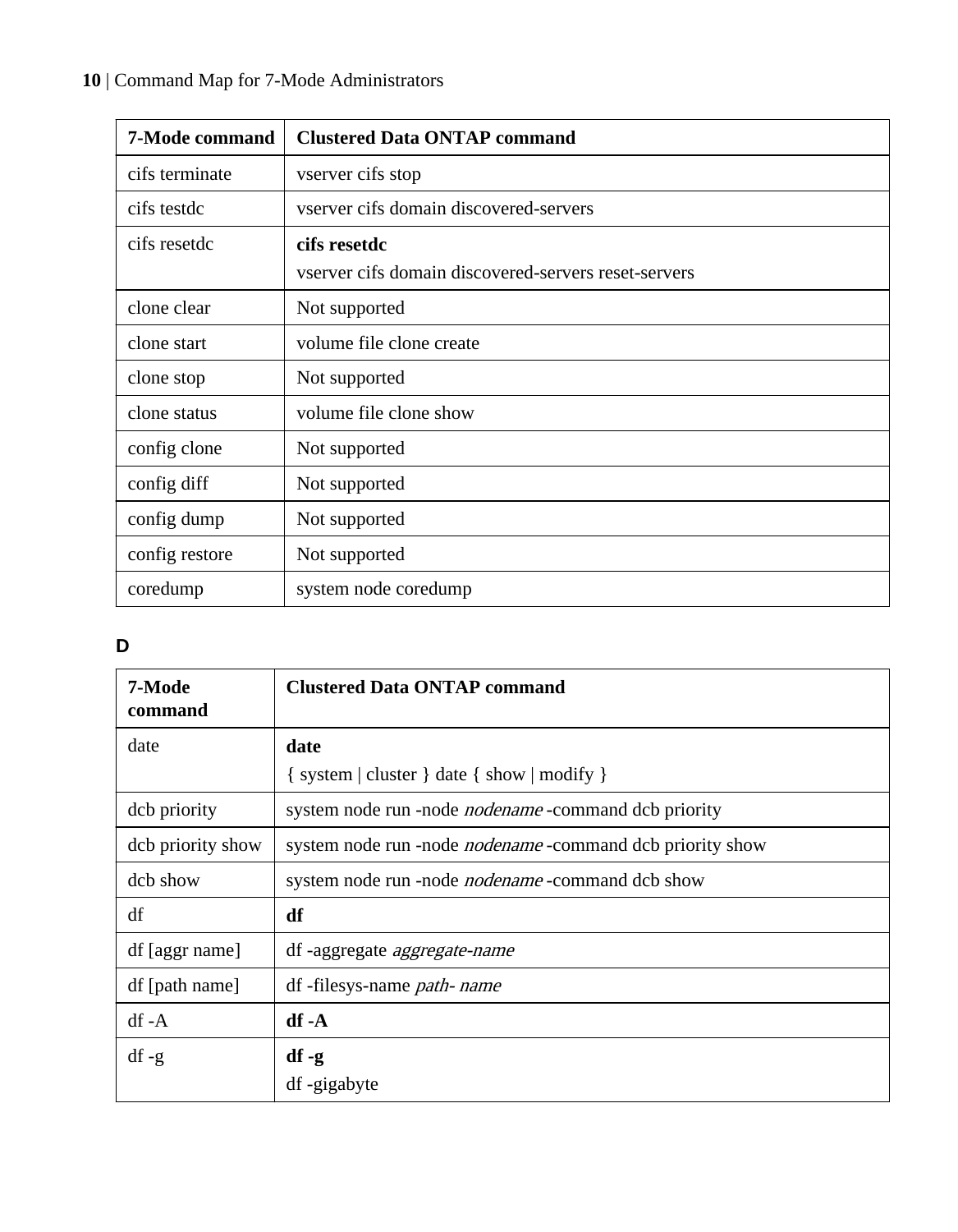## <span id="page-9-0"></span>**10** | Command Map for 7-Mode Administrators

| <b>7-Mode command</b> | <b>Clustered Data ONTAP command</b>                                  |
|-----------------------|----------------------------------------------------------------------|
| cifs terminate        | vserver cifs stop                                                    |
| cifs testdc           | vserver cifs domain discovered-servers                               |
| cifs resetde          | cifs resetdc<br>vserver cifs domain discovered-servers reset-servers |
| clone clear           | Not supported                                                        |
| clone start           | volume file clone create                                             |
| clone stop            | Not supported                                                        |
| clone status          | volume file clone show                                               |
| config clone          | Not supported                                                        |
| config diff           | Not supported                                                        |
| config dump           | Not supported                                                        |
| config restore        | Not supported                                                        |
| coredump              | system node coredump                                                 |

## **D**

| 7-Mode<br>command | <b>Clustered Data ONTAP command</b>                              |
|-------------------|------------------------------------------------------------------|
| date              | date                                                             |
|                   | $\{$ system $\ $ cluster $\}$ date $\{$ show $\ $ modify $\}$    |
| dcb priority      | system node run -node <i>nodename</i> -command dcb priority      |
| deb priority show | system node run -node <i>nodename</i> -command dcb priority show |
| dcb show          | system node run -node <i>nodename</i> -command dcb show          |
| df                | df                                                               |
| df [aggr name]    | df -aggregate <i>aggregate-name</i>                              |
| df [path name]    | df-filesys-name path-name                                        |
| $df - A$          | df -A                                                            |
| $df - g$          | $df - g$                                                         |
|                   | df -gigabyte                                                     |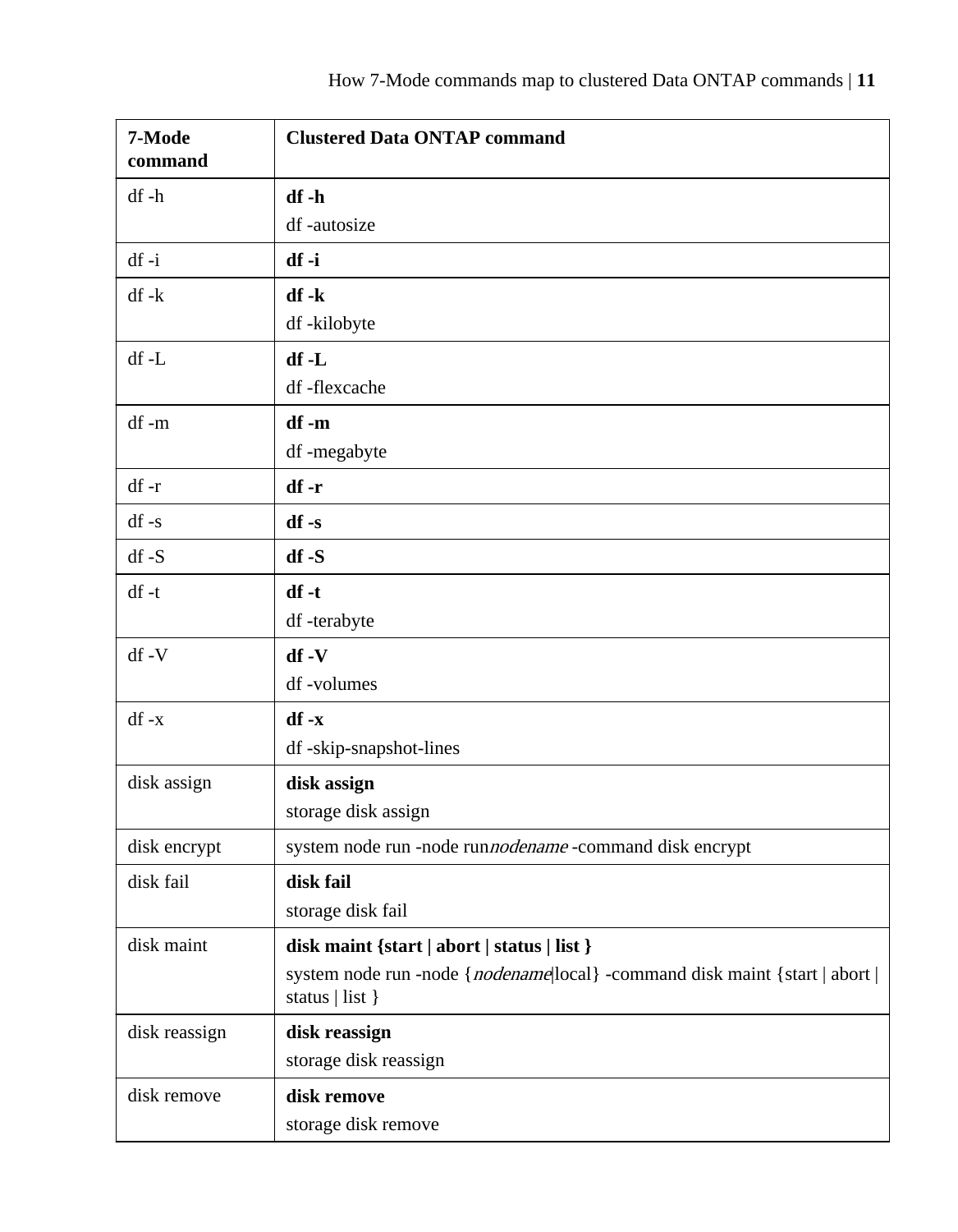| 7-Mode<br>command | <b>Clustered Data ONTAP command</b>                                                              |
|-------------------|--------------------------------------------------------------------------------------------------|
| df-h              | df-h                                                                                             |
|                   | df-autosize                                                                                      |
| $df -i$           | df -i                                                                                            |
| $df - k$          | df -k                                                                                            |
|                   | df-kilobyte                                                                                      |
| $df$ -L           | $df$ -L                                                                                          |
|                   | df-flexcache                                                                                     |
| df-m              | df-m                                                                                             |
|                   | df-megabyte                                                                                      |
| $df -r$           | df-r                                                                                             |
| $df - s$          | $df -s$                                                                                          |
| $df-S$            | $df-S$                                                                                           |
| $df - t$          | df-t                                                                                             |
|                   | df-terabyte                                                                                      |
| $df - V$          | $df - V$                                                                                         |
|                   | df-volumes                                                                                       |
| $df - x$          | $df -x$                                                                                          |
|                   | df -skip-snapshot-lines                                                                          |
| disk assign       | disk assign                                                                                      |
|                   | storage disk assign                                                                              |
| disk encrypt      | system node run -node runnodename -command disk encrypt                                          |
| disk fail         | disk fail                                                                                        |
|                   | storage disk fail                                                                                |
| disk maint        | disk maint {start   abort   status   list }                                                      |
|                   | system node run -node { nodename local} -command disk maint { start   abort  <br>status   list } |
| disk reassign     | disk reassign                                                                                    |
|                   | storage disk reassign                                                                            |
| disk remove       | disk remove                                                                                      |
|                   | storage disk remove                                                                              |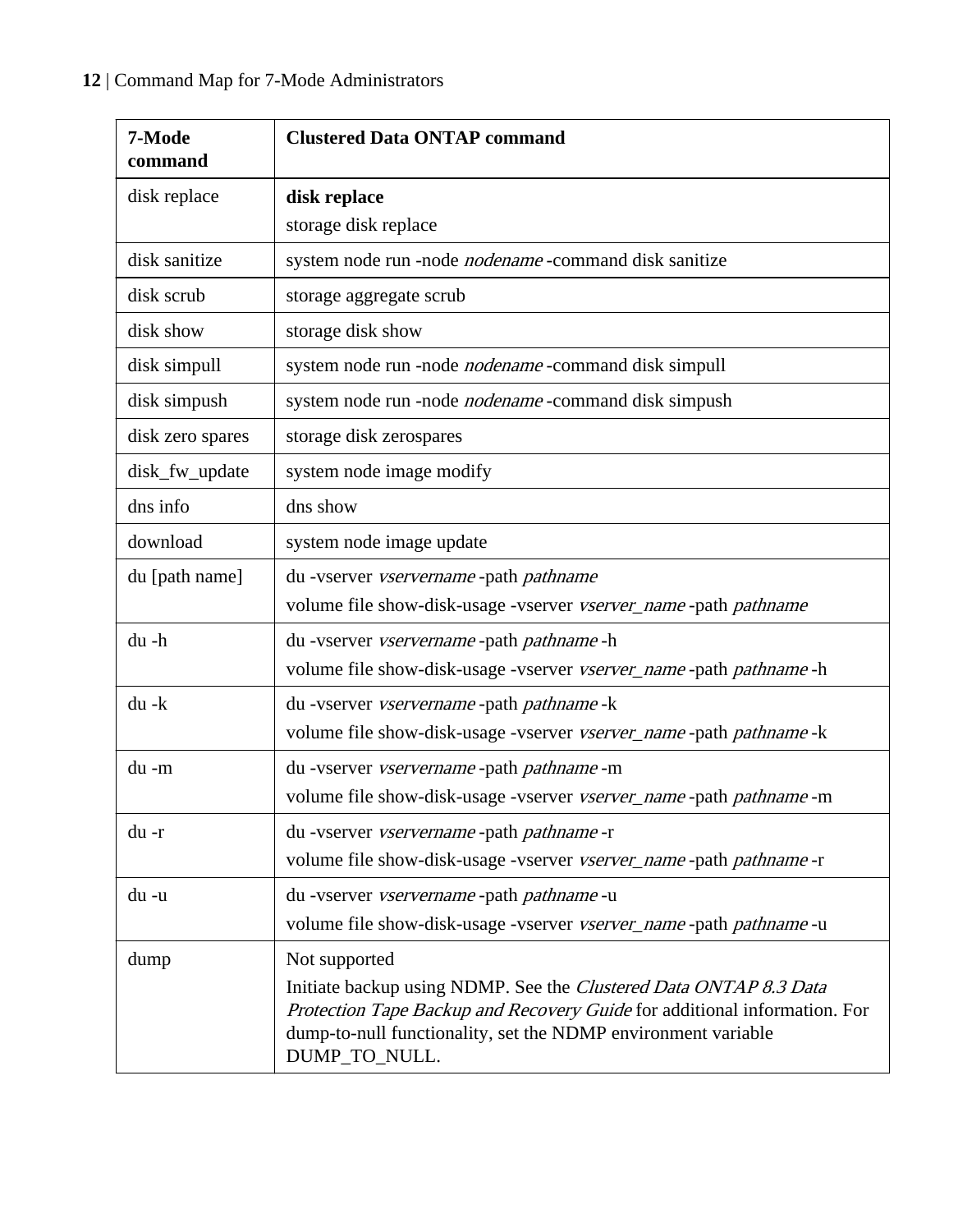| 7-Mode<br>command | <b>Clustered Data ONTAP command</b>                                                                                                            |
|-------------------|------------------------------------------------------------------------------------------------------------------------------------------------|
| disk replace      | disk replace                                                                                                                                   |
|                   | storage disk replace                                                                                                                           |
| disk sanitize     | system node run -node nodename -command disk sanitize                                                                                          |
| disk scrub        | storage aggregate scrub                                                                                                                        |
| disk show         | storage disk show                                                                                                                              |
| disk simpull      | system node run -node nodename -command disk simpull                                                                                           |
| disk simpush      | system node run -node nodename -command disk simpush                                                                                           |
| disk zero spares  | storage disk zerospares                                                                                                                        |
| disk_fw_update    | system node image modify                                                                                                                       |
| dns info          | dns show                                                                                                                                       |
| download          | system node image update                                                                                                                       |
| du [path name]    | du -vserver vservername -path pathname                                                                                                         |
|                   | volume file show-disk-usage -vserver vserver_name -path pathname                                                                               |
| du -h             | du -vserver vservername -path pathname -h                                                                                                      |
|                   | volume file show-disk-usage -vserver vserver_name -path pathname -h                                                                            |
| du-k              | du -vserver vservername -path pathname -k                                                                                                      |
|                   | volume file show-disk-usage -vserver vserver_name -path pathname -k                                                                            |
| du -m             | du -vserver vservername -path pathname -m                                                                                                      |
|                   | volume file show-disk-usage -vserver vserver_name -path pathname -m                                                                            |
| du -r             | du -vserver vservername -path pathname -r                                                                                                      |
|                   | volume file show-disk-usage -vserver vserver_name -path pathname -r                                                                            |
| du -u             | du -vserver vservername -path pathname -u                                                                                                      |
|                   | volume file show-disk-usage -vserver vserver_name -path pathname -u                                                                            |
| dump              | Not supported                                                                                                                                  |
|                   | Initiate backup using NDMP. See the Clustered Data ONTAP 8.3 Data<br>Protection Tape Backup and Recovery Guide for additional information. For |
|                   | dump-to-null functionality, set the NDMP environment variable                                                                                  |
|                   | DUMP_TO_NULL.                                                                                                                                  |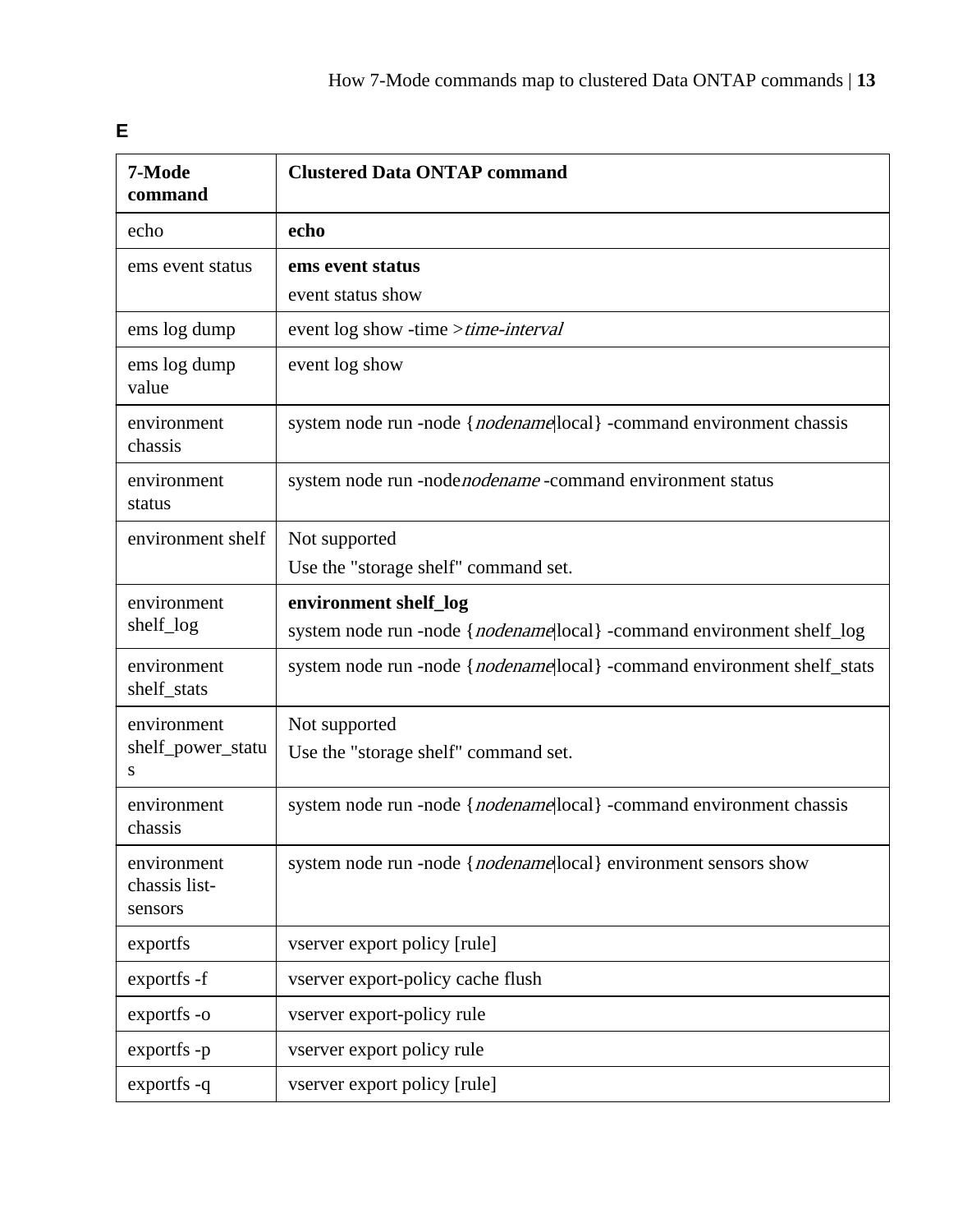<span id="page-12-0"></span>

| 7-Mode<br>command                       | <b>Clustered Data ONTAP command</b>                                       |
|-----------------------------------------|---------------------------------------------------------------------------|
| echo                                    | echo                                                                      |
| ems event status                        | ems event status<br>event status show                                     |
| ems log dump                            | event log show -time >time-interval                                       |
| ems log dump<br>value                   | event log show                                                            |
| environment<br>chassis                  | system node run -node { nodename local } -command environment chassis     |
| environment<br>status                   | system node run -node <i>nodename</i> -command environment status         |
| environment shelf                       | Not supported                                                             |
|                                         | Use the "storage shelf" command set.                                      |
| environment<br>shelf_log                | environment shelf_log                                                     |
|                                         | system node run -node { nodename local} -command environment shelf_log    |
| environment<br>shelf_stats              | system node run -node { nodename local } -command environment shelf_stats |
| environment                             | Not supported                                                             |
| shelf_power_statu<br>S                  | Use the "storage shelf" command set.                                      |
| environment<br>chassis                  | system node run -node { nodename local }-command environment chassis      |
| environment<br>chassis list-<br>sensors | system node run -node { nodename local } environment sensors show         |
| exportfs                                | vserver export policy [rule]                                              |
| exportfs -f                             | vserver export-policy cache flush                                         |
| exportfs -o                             | vserver export-policy rule                                                |
| exportfs-p                              | vserver export policy rule                                                |
| exportfs-q                              | vserver export policy [rule]                                              |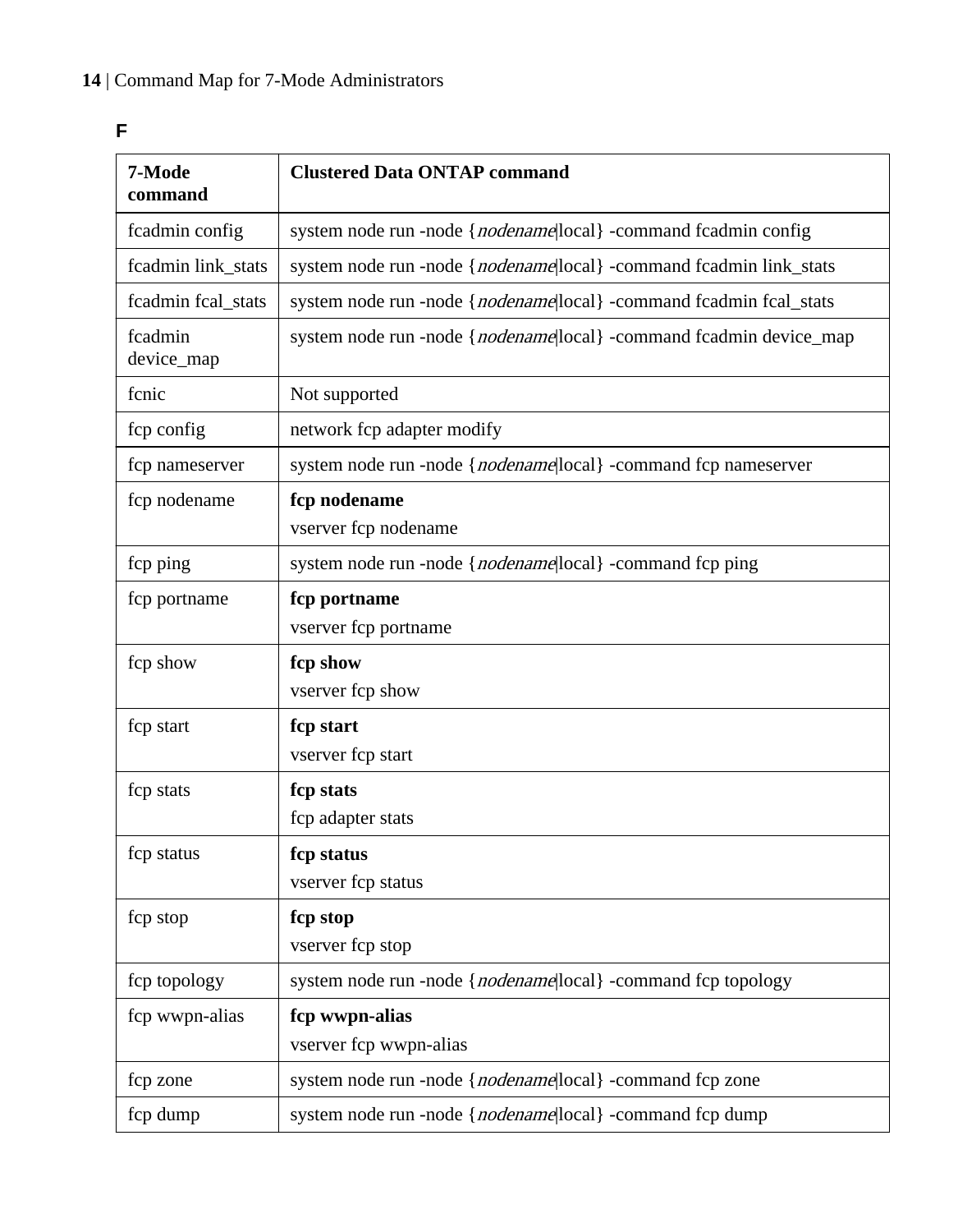| 7-Mode<br>command     | <b>Clustered Data ONTAP command</b>                                 |
|-----------------------|---------------------------------------------------------------------|
| fcadmin config        | system node run -node { nodename local } -command fcadmin config    |
| fcadmin link_stats    | system node run -node { nodename local} -command fcadmin link_stats |
| fcadmin fcal_stats    | system node run -node { nodename local} -command fcadmin fcal_stats |
| fcadmin<br>device_map | system node run -node { nodename local} -command fcadmin device_map |
| fcnic                 | Not supported                                                       |
| fcp config            | network fcp adapter modify                                          |
| fcp nameserver        | system node run -node { nodename local } -command fcp nameserver    |
| fcp nodename          | fcp nodename<br>vserver fcp nodename                                |
| fcp ping              | system node run -node { nodename local} -command fcp ping           |
| fcp portname          | fcp portname<br>vserver fcp portname                                |
| fcp show              | fcp show                                                            |
|                       | vserver fcp show                                                    |
| fcp start             | fcp start<br>vserver fcp start                                      |
| fcp stats             | fcp stats<br>fcp adapter stats                                      |
| fcp status            | fcp status<br>vserver fcp status                                    |
| fcp stop              | fcp stop<br>vserver fcp stop                                        |
| fcp topology          | system node run -node { nodename local} -command fcp topology       |
| fcp wwpn-alias        | fcp wwpn-alias<br>vserver fcp wwpn-alias                            |
| fcp zone              | system node run -node { nodename local} -command fcp zone           |
| fcp dump              | system node run -node { nodename local } -command fcp dump          |

## <span id="page-13-0"></span>**F**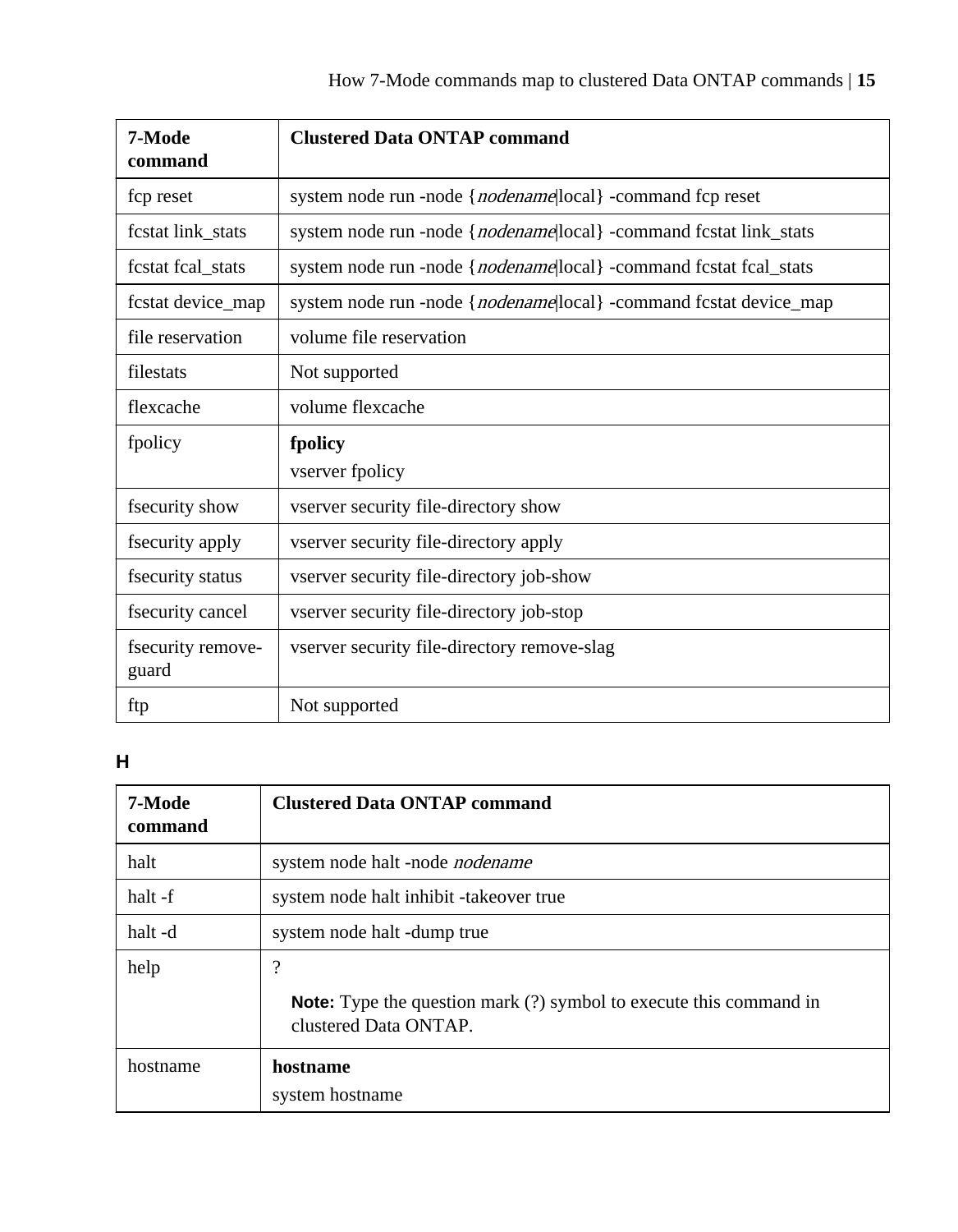<span id="page-14-0"></span>

| 7-Mode<br>command          | <b>Clustered Data ONTAP command</b>                                 |
|----------------------------|---------------------------------------------------------------------|
| fcp reset                  | system node run -node { nodename local} -command fcp reset          |
| fcstat link_stats          | system node run -node { nodename local } -command fcstat link_stats |
| fcstat fcal_stats          | system node run -node { nodename local} -command fcstat fcal_stats  |
| fcstat device_map          | system node run -node { nodename local } -command fcstat device_map |
| file reservation           | volume file reservation                                             |
| filestats                  | Not supported                                                       |
| flexcache                  | volume flexcache                                                    |
| fpolicy                    | fpolicy                                                             |
|                            | vserver fpolicy                                                     |
| fsecurity show             | vserver security file-directory show                                |
| fsecurity apply            | vserver security file-directory apply                               |
| fsecurity status           | vserver security file-directory job-show                            |
| fsecurity cancel           | vserver security file-directory job-stop                            |
| fsecurity remove-<br>guard | vserver security file-directory remove-slag                         |
| ftp                        | Not supported                                                       |

## **H**

| 7-Mode<br>command | <b>Clustered Data ONTAP command</b>                                                                |
|-------------------|----------------------------------------------------------------------------------------------------|
| halt              | system node halt -node <i>nodename</i>                                                             |
| halt-f            | system node halt inhibit -takeover true                                                            |
| halt-d            | system node halt -dump true                                                                        |
| help              | ?                                                                                                  |
|                   | <b>Note:</b> Type the question mark (?) symbol to execute this command in<br>clustered Data ONTAP. |
| hostname          | hostname                                                                                           |
|                   | system hostname                                                                                    |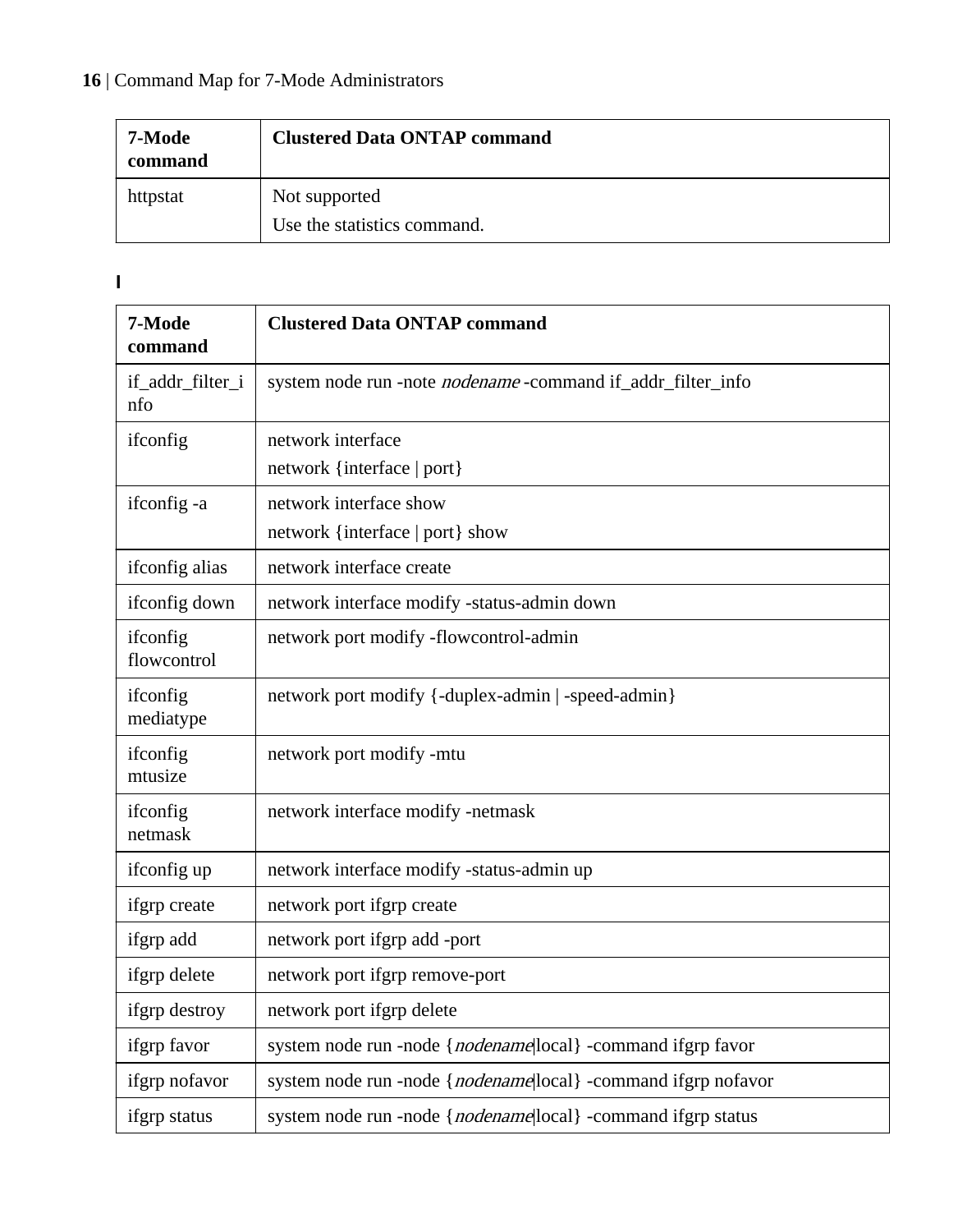## <span id="page-15-0"></span>**16** | Command Map for 7-Mode Administrators

| 7-Mode<br>command | <b>Clustered Data ONTAP command</b>          |
|-------------------|----------------------------------------------|
| httpstat          | Not supported<br>Use the statistics command. |

**I**

| 7-Mode<br>command       | <b>Clustered Data ONTAP command</b>                                   |
|-------------------------|-----------------------------------------------------------------------|
| if_addr_filter_i<br>nfo | system node run -note <i>nodename</i> -command if_addr_filter_info    |
| ifconfig                | network interface<br>network {interface   port}                       |
| ifconfig-a              | network interface show<br>network {interface   port} show             |
| ifconfig alias          | network interface create                                              |
| ifconfig down           | network interface modify -status-admin down                           |
| ifconfig<br>flowcontrol | network port modify -flowcontrol-admin                                |
| ifconfig<br>mediatype   | network port modify {-duplex-admin   -speed-admin}                    |
| ifconfig<br>mtusize     | network port modify -mtu                                              |
| ifconfig<br>netmask     | network interface modify -netmask                                     |
| ifconfig up             | network interface modify -status-admin up                             |
| ifgrp create            | network port ifgrp create                                             |
| ifgrp add               | network port ifgrp add -port                                          |
| ifgrp delete            | network port ifgrp remove-port                                        |
| ifgrp destroy           | network port ifgrp delete                                             |
| ifgrp favor             | system node run -node { <i>nodename</i> local } -command if grp favor |
| ifgrp nofavor           | system node run -node { nodename local } -command if grp nofavor      |
| ifgrp status            | system node run -node { nodename local } -command ifgrp status        |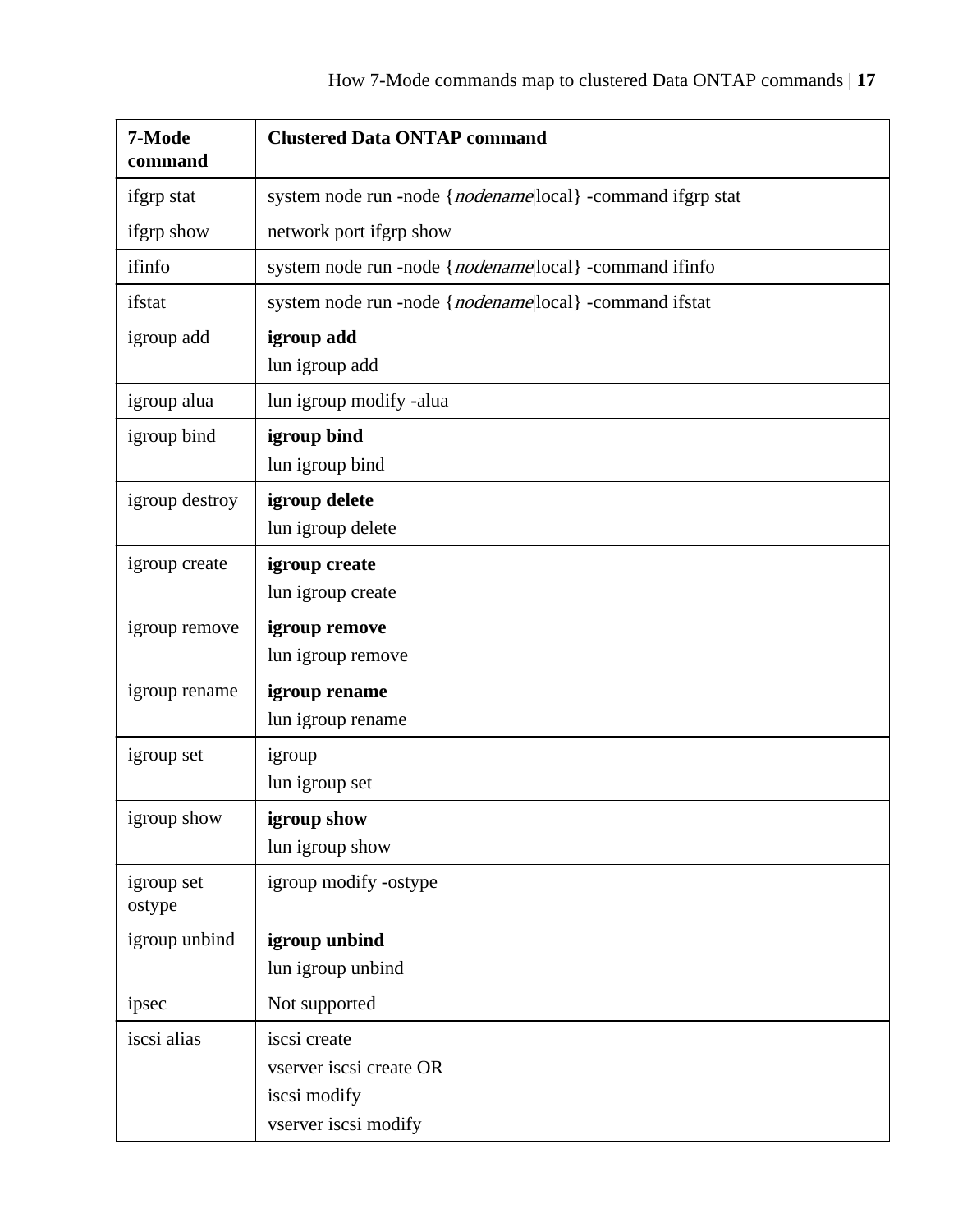| 7-Mode<br>command    | <b>Clustered Data ONTAP command</b>                         |
|----------------------|-------------------------------------------------------------|
| ifgrp stat           | system node run -node { nodename local} -command ifgrp stat |
| ifgrp show           | network port ifgrp show                                     |
| ifinfo               | system node run -node { nodename local } -command ifinfo    |
| ifstat               | system node run -node { nodename local } -command ifstat    |
| igroup add           | igroup add<br>lun igroup add                                |
| igroup alua          | lun igroup modify -alua                                     |
| igroup bind          | igroup bind                                                 |
|                      | lun igroup bind                                             |
| igroup destroy       | igroup delete                                               |
|                      | lun igroup delete                                           |
| igroup create        | igroup create                                               |
|                      | lun igroup create                                           |
| igroup remove        | igroup remove<br>lun igroup remove                          |
|                      |                                                             |
| igroup rename        | igroup rename<br>lun igroup rename                          |
| igroup set           | igroup                                                      |
|                      | lun igroup set                                              |
| igroup show          | igroup show                                                 |
|                      | lun igroup show                                             |
| igroup set<br>ostype | igroup modify -ostype                                       |
| igroup unbind        | igroup unbind                                               |
|                      | lun igroup unbind                                           |
| ipsec                | Not supported                                               |
| iscsi alias          | iscsi create                                                |
|                      | vserver iscsi create OR                                     |
|                      | iscsi modify                                                |
|                      | vserver iscsi modify                                        |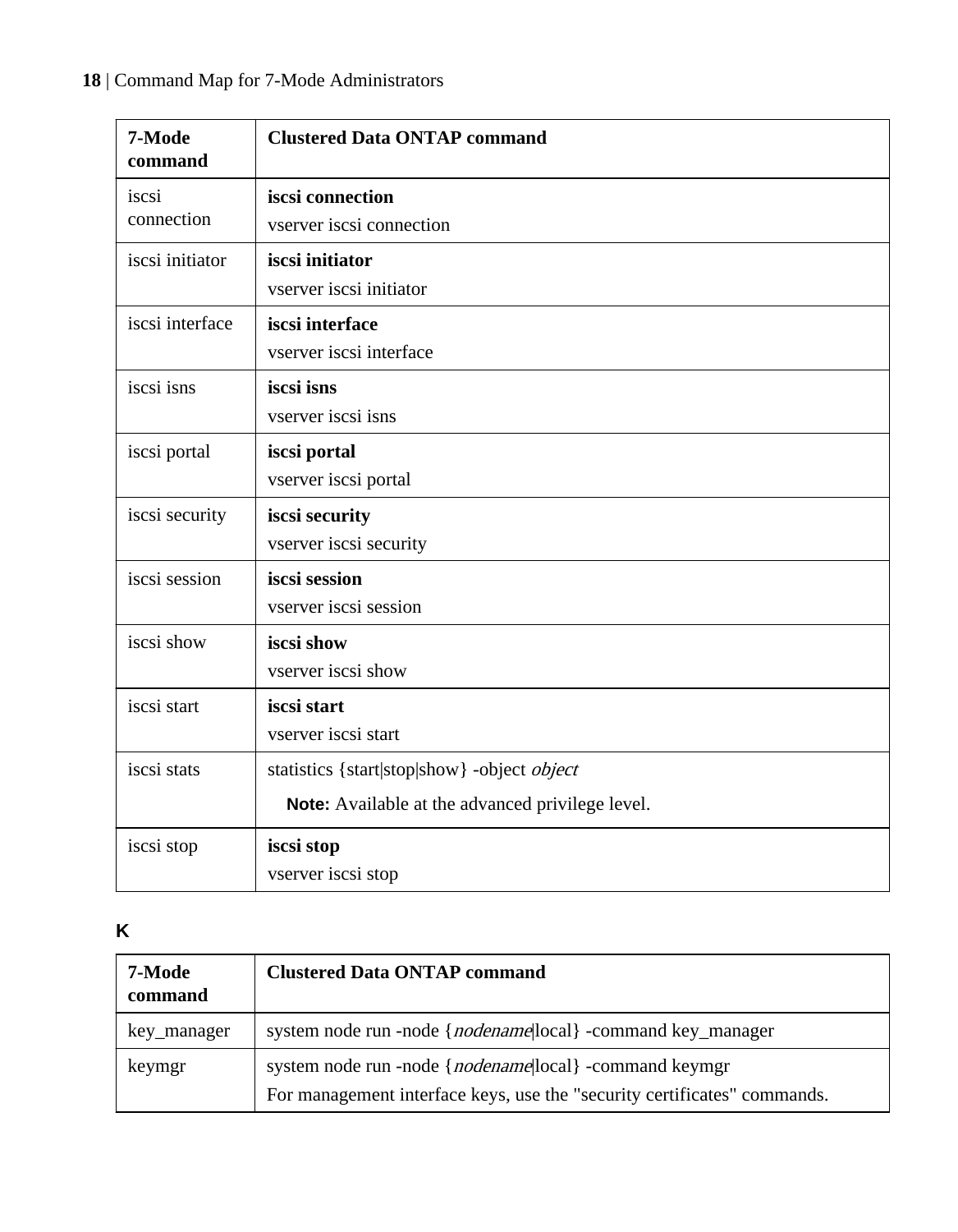<span id="page-17-0"></span>

| 7-Mode<br>command | <b>Clustered Data ONTAP command</b>              |
|-------------------|--------------------------------------------------|
| iscsi             | iscsi connection                                 |
| connection        | vserver iscsi connection                         |
| iscsi initiator   | iscsi initiator                                  |
|                   | vserver iscsi initiator                          |
| iscsi interface   | iscsi interface                                  |
|                   | vserver iscsi interface                          |
| iscsi isns        | iscsi isns                                       |
|                   | vserver iscsi isns                               |
| iscsi portal      | iscsi portal                                     |
|                   | vserver iscsi portal                             |
| iscsi security    | iscsi security                                   |
|                   | vserver iscsi security                           |
| iscsi session     | iscsi session                                    |
|                   | vserver iscsi session                            |
| iscsi show        | iscsi show                                       |
|                   | vserver iscsi show                               |
| iscsi start       | iscsi start                                      |
|                   | vserver iscsi start                              |
| iscsi stats       | statistics {start stop show} -object object      |
|                   | Note: Available at the advanced privilege level. |
| iscsi stop        | iscsi stop                                       |
|                   | vserver iscsi stop                               |

# **K**

| 7-Mode<br>command | <b>Clustered Data ONTAP command</b>                                      |
|-------------------|--------------------------------------------------------------------------|
| key manager       | system node run -node { nodename local } -command key_manager            |
| keymgr            | system node run -node { <i>nodename</i>   local } -command keymgr        |
|                   | For management interface keys, use the "security certificates" commands. |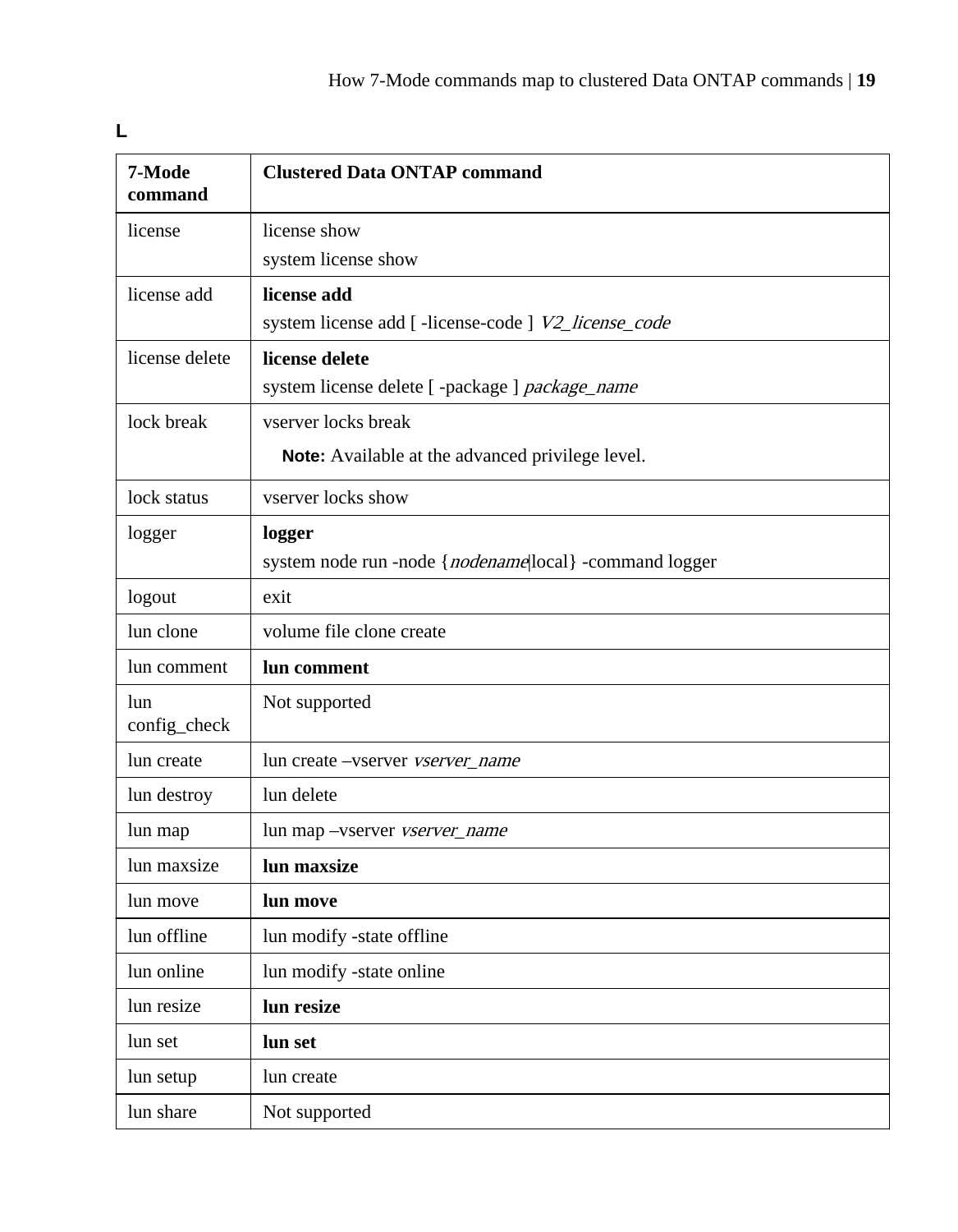| 7-Mode<br>command   | <b>Clustered Data ONTAP command</b>                     |
|---------------------|---------------------------------------------------------|
| license             | license show                                            |
|                     | system license show                                     |
| license add         | license add                                             |
|                     | system license add [-license-code ] V2_license_code     |
| license delete      | license delete                                          |
|                     | system license delete [-package ] package_name          |
| lock break          | vserver locks break                                     |
|                     | Note: Available at the advanced privilege level.        |
| lock status         | vserver locks show                                      |
| logger              | logger                                                  |
|                     | system node run -node { nodename local} -command logger |
| logout              | exit                                                    |
| lun clone           | volume file clone create                                |
| lun comment         | lun comment                                             |
| lun<br>config_check | Not supported                                           |
| lun create          | lun create -vserver vserver_name                        |
| lun destroy         | lun delete                                              |
| lun map             | lun map -vserver vserver_name                           |
| lun maxsize         | lun maxsize                                             |
| lun move            | lun move                                                |
| lun offline         | lun modify -state offline                               |
| lun online          | lun modify -state online                                |
| lun resize          | lun resize                                              |
| lun set             | lun set                                                 |
| lun setup           | lun create                                              |
| lun share           | Not supported                                           |

<span id="page-18-0"></span>**L**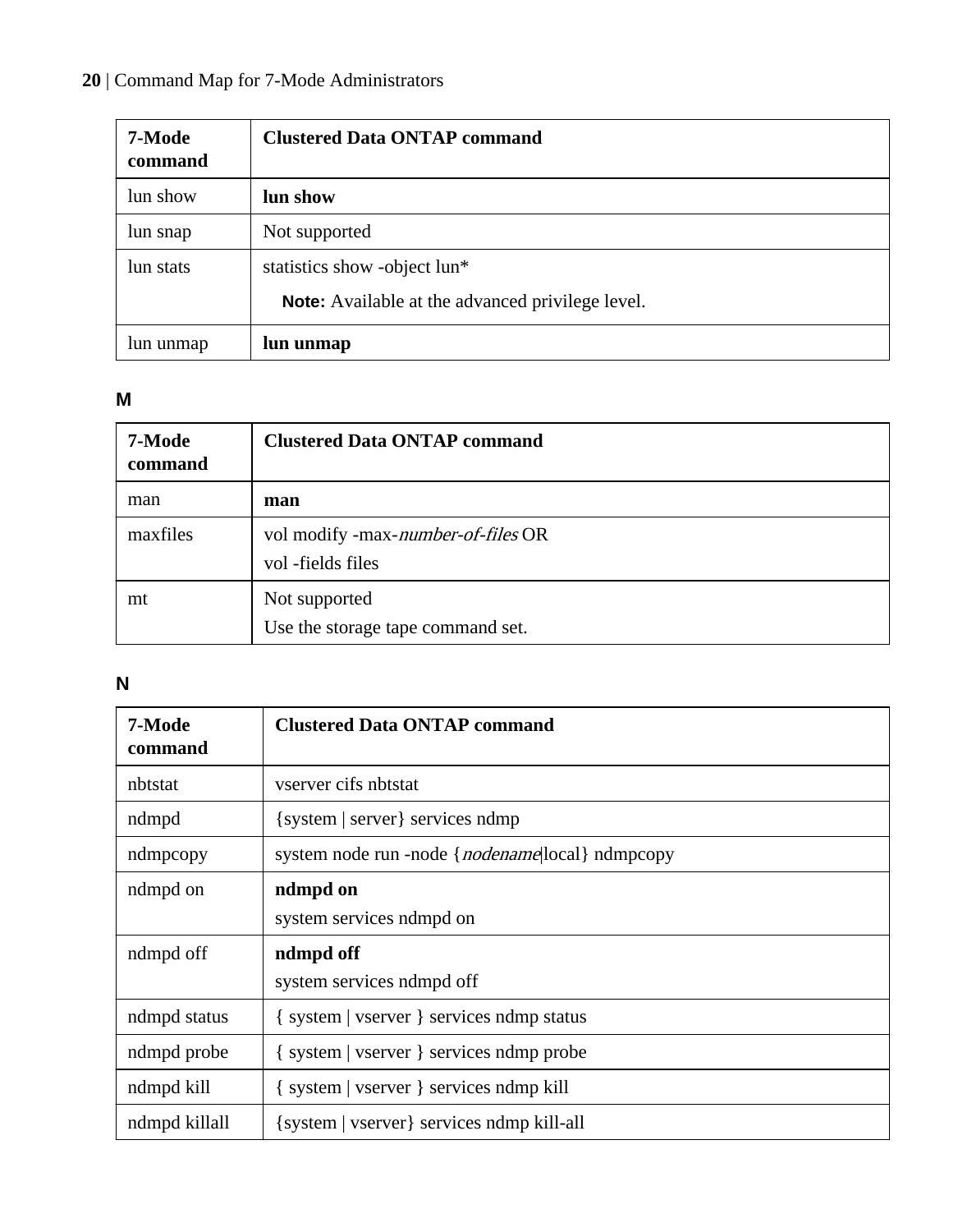## <span id="page-19-0"></span>**20** | Command Map for 7-Mode Administrators

| 7-Mode<br>command | <b>Clustered Data ONTAP command</b>                     |
|-------------------|---------------------------------------------------------|
| lun show          | lun show                                                |
| lun snap          | Not supported                                           |
| lun stats         | statistics show -object lun*                            |
|                   | <b>Note:</b> Available at the advanced privilege level. |
| lun unmap         | lun unmap                                               |

## **M**

| 7-Mode<br>command | <b>Clustered Data ONTAP command</b>                     |
|-------------------|---------------------------------------------------------|
| man               | man                                                     |
| maxfiles          | vol modify -max-number-of-files OR<br>vol -fields files |
| mt                | Not supported<br>Use the storage tape command set.      |

## **N**

| 7-Mode<br>command | <b>Clustered Data ONTAP command</b>                       |
|-------------------|-----------------------------------------------------------|
| nbtstat           | vserver cifs nbtstat                                      |
| ndmpd             | {system   server} services ndmp                           |
| ndmpcopy          | system node run -node { <i>nodename</i> [local } ndmpcopy |
| ndmpd on          | ndmpd on                                                  |
|                   | system services ndmpd on                                  |
| ndmpd off         | ndmpd off                                                 |
|                   | system services ndmpd off                                 |
| ndmpd status      | { system   vserver } services ndmp status                 |
| ndmpd probe       | { system   vserver } services ndmp probe                  |
| ndmpd kill        | { system   vserver } services ndmp kill                   |
| ndmpd killall     | {system   vserver} services ndmp kill-all                 |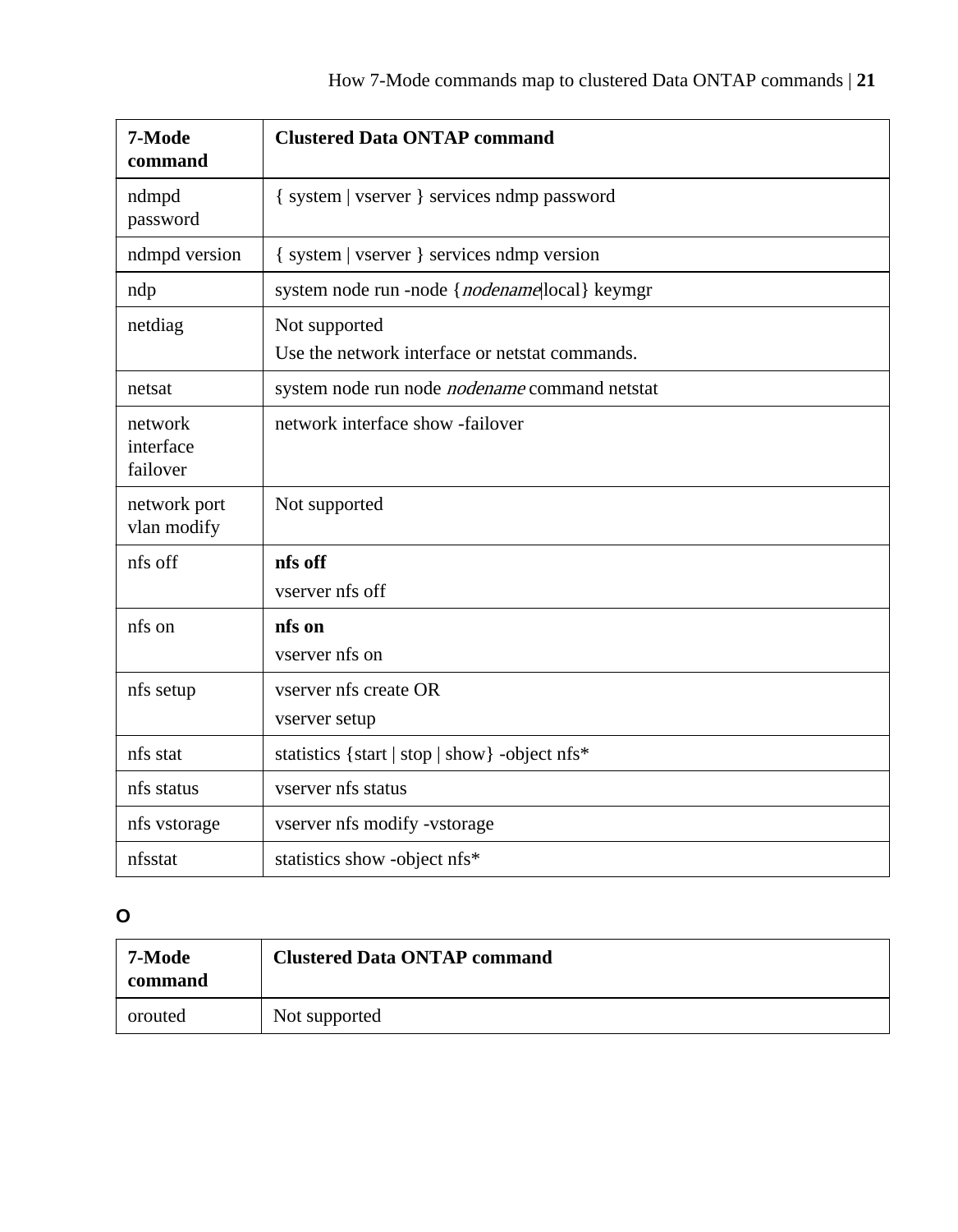<span id="page-20-0"></span>

| 7-Mode<br>command                | <b>Clustered Data ONTAP command</b>                             |
|----------------------------------|-----------------------------------------------------------------|
| ndmpd<br>password                | { system   vserver } services ndmp password                     |
| ndmpd version                    | { system   vserver } services ndmp version                      |
| ndp                              | system node run -node { nodename local} keymgr                  |
| netdiag                          | Not supported<br>Use the network interface or netstat commands. |
| netsat                           | system node run node <i>nodename</i> command netstat            |
| network<br>interface<br>failover | network interface show -failover                                |
| network port<br>vlan modify      | Not supported                                                   |
| nfs off                          | nfs off<br>vserver nfs off                                      |
| nfs on                           | nfs on<br>vserver nfs on                                        |
| nfs setup                        | vserver nfs create OR<br>vserver setup                          |
| nfs stat                         | statistics {start   stop   show} -object nfs*                   |
| nfs status                       | vserver nfs status                                              |
| nfs vstorage                     | vserver nfs modify -vstorage                                    |
| nfsstat                          | statistics show -object nfs*                                    |

# **O**

| 7-Mode<br>command | <b>Clustered Data ONTAP command</b> |
|-------------------|-------------------------------------|
| orouted           | Not supported                       |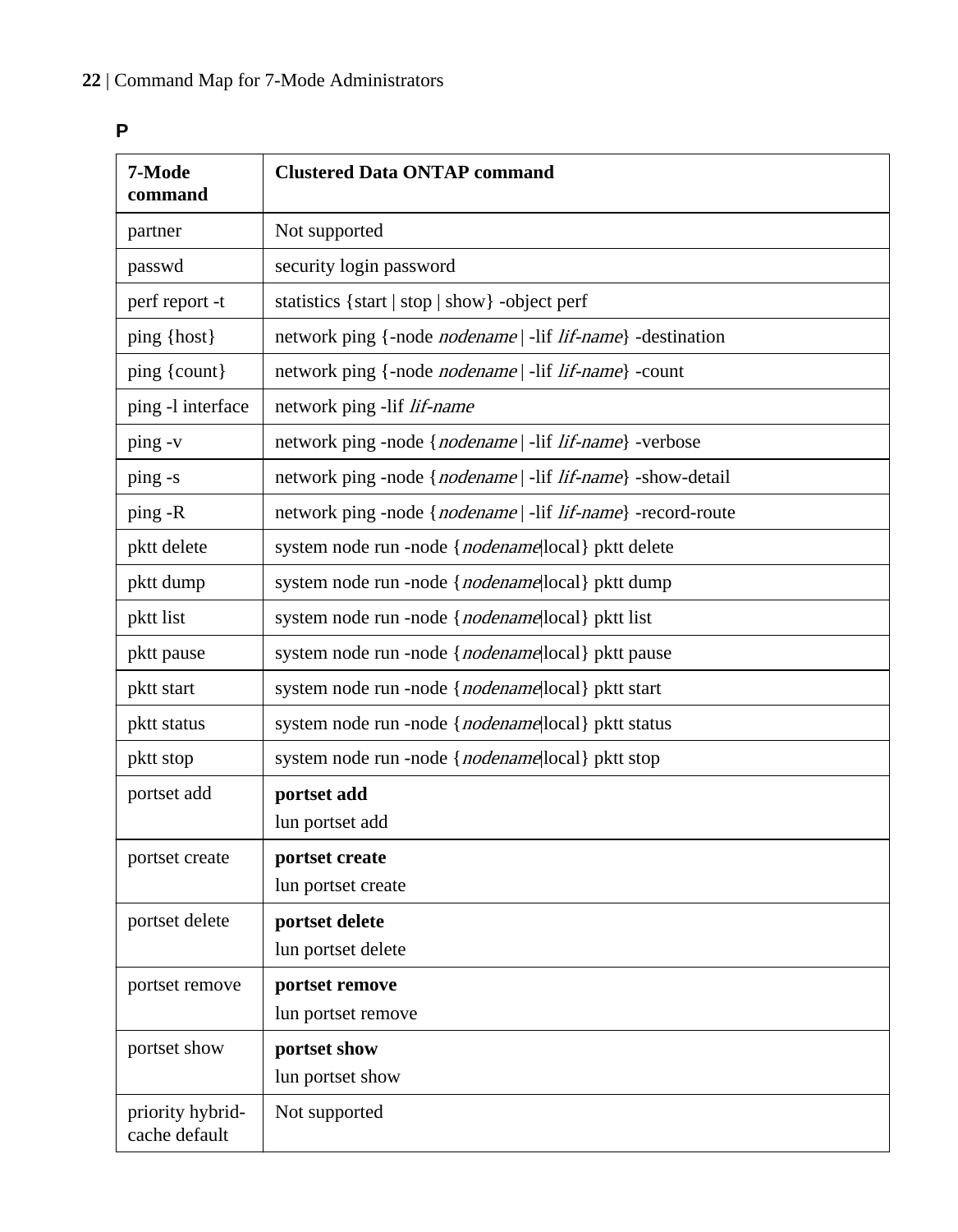| 7-Mode<br>command                 | <b>Clustered Data ONTAP command</b>                                       |
|-----------------------------------|---------------------------------------------------------------------------|
| partner                           | Not supported                                                             |
| passwd                            | security login password                                                   |
| perf report -t                    | statistics {start   stop   show} -object perf                             |
| ping {host}                       | network ping {-node <i>nodename</i>   -lif <i>lif-name</i> } -destination |
| ping {count}                      | network ping {-node <i>nodename</i>   -lif <i>lif-name</i> } -count       |
| ping -l interface                 | network ping -lif lif-name                                                |
| ping -v                           | network ping -node { nodename   -lif lif-name} -verbose                   |
| ping -s                           | network ping -node { nodename   -lif lif-name} -show-detail               |
| ping -R                           | network ping -node { nodename   -lif lif-name} -record-route              |
| pktt delete                       | system node run -node { nodename local} pktt delete                       |
| pktt dump                         | system node run -node { nodename local } pktt dump                        |
| pktt list                         | system node run -node { nodename local} pktt list                         |
| pktt pause                        | system node run -node { nodename local} pktt pause                        |
| pktt start                        | system node run -node { nodename local } pktt start                       |
| pktt status                       | system node run -node { nodename local} pktt status                       |
| pktt stop                         | system node run -node { nodename local} pktt stop                         |
| portset add                       | portset add                                                               |
|                                   | lun portset add                                                           |
| portset create                    | portset create                                                            |
|                                   | lun portset create                                                        |
| portset delete                    | portset delete                                                            |
|                                   | lun portset delete                                                        |
| portset remove                    | portset remove                                                            |
|                                   | lun portset remove                                                        |
| portset show                      | portset show                                                              |
|                                   | lun portset show                                                          |
| priority hybrid-<br>cache default | Not supported                                                             |

## <span id="page-21-0"></span>**P**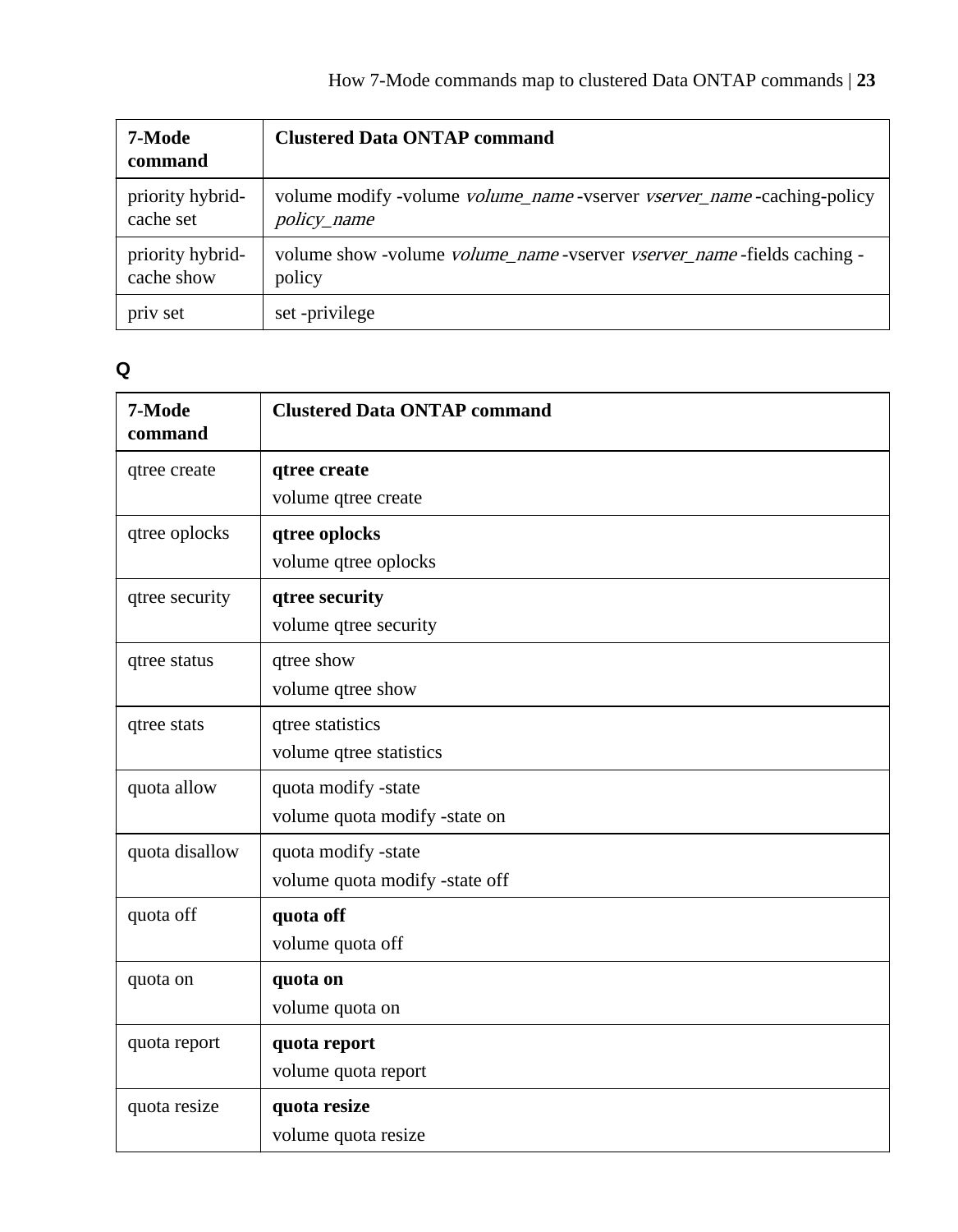<span id="page-22-0"></span>

| 7-Mode<br>command | <b>Clustered Data ONTAP command</b>                                                   |
|-------------------|---------------------------------------------------------------------------------------|
| priority hybrid-  | volume modify -volume <i>volume name</i> -vserver <i>vserver name</i> -caching-policy |
| cache set         | policy_name                                                                           |
| priority hybrid-  | volume show -volume <i>volume name</i> -vserver <i>vserver name</i> -fields caching - |
| cache show        | policy                                                                                |
| priv set          | set -privilege                                                                        |

## **Q**

| 7-Mode<br>command | <b>Clustered Data ONTAP command</b> |
|-------------------|-------------------------------------|
| qtree create      | qtree create                        |
|                   | volume qtree create                 |
| qtree oplocks     | qtree oplocks                       |
|                   | volume qtree oplocks                |
| qtree security    | qtree security                      |
|                   | volume qtree security               |
| qtree status      | qtree show                          |
|                   | volume qtree show                   |
| qtree stats       | qtree statistics                    |
|                   | volume qtree statistics             |
| quota allow       | quota modify -state                 |
|                   | volume quota modify -state on       |
| quota disallow    | quota modify -state                 |
|                   | volume quota modify -state off      |
| quota off         | quota off                           |
|                   | volume quota off                    |
| quota on          | quota on                            |
|                   | volume quota on                     |
| quota report      | quota report                        |
|                   | volume quota report                 |
| quota resize      | quota resize                        |
|                   | volume quota resize                 |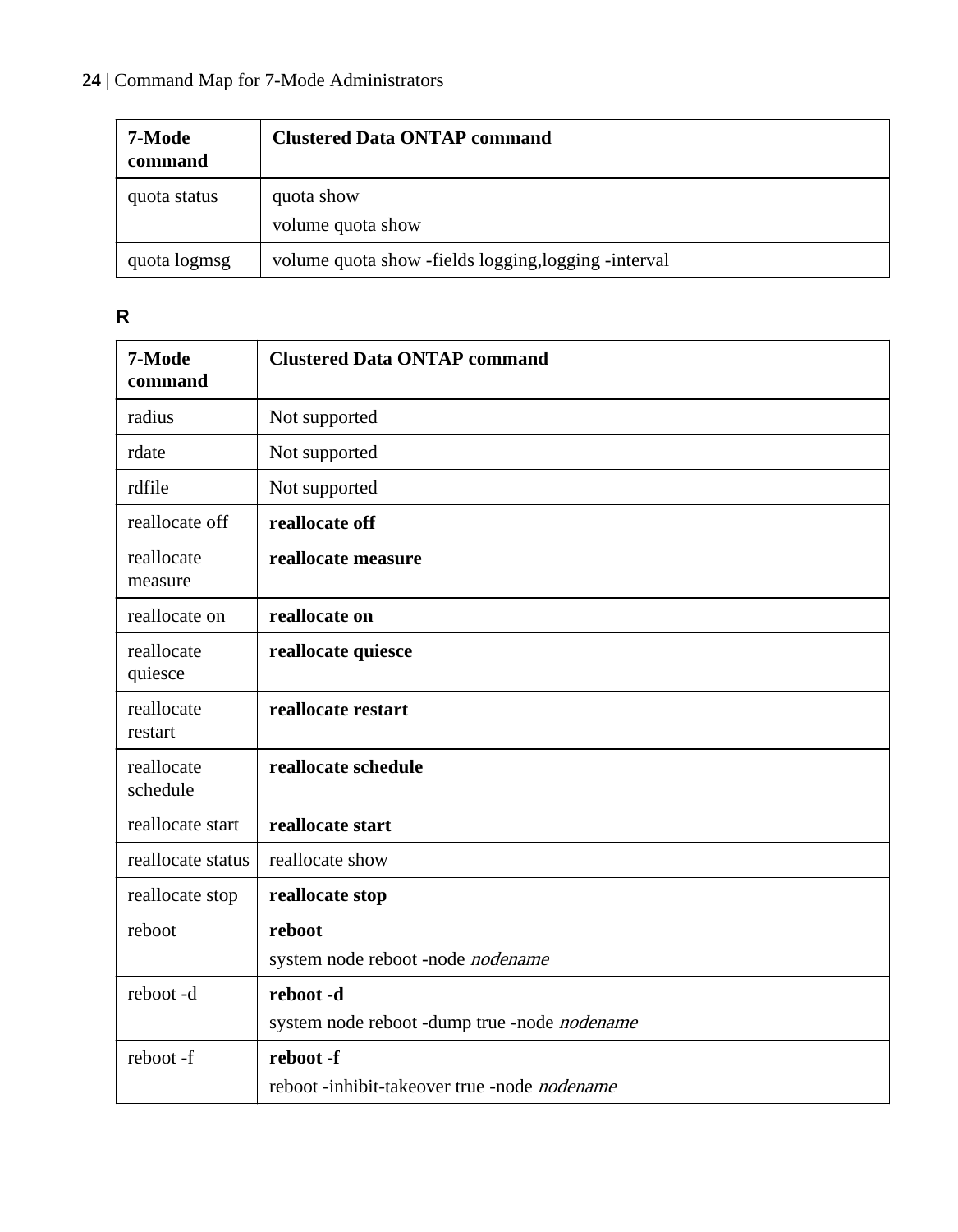## <span id="page-23-0"></span>**24** | Command Map for 7-Mode Administrators

| 7-Mode<br>command | <b>Clustered Data ONTAP command</b>                  |
|-------------------|------------------------------------------------------|
| quota status      | quota show<br>volume quota show                      |
| quota logmsg      | volume quota show -fields logging, logging -interval |

## **R**

| 7-Mode<br>command      | <b>Clustered Data ONTAP command</b>          |
|------------------------|----------------------------------------------|
| radius                 | Not supported                                |
| rdate                  | Not supported                                |
| rdfile                 | Not supported                                |
| reallocate off         | reallocate off                               |
| reallocate<br>measure  | reallocate measure                           |
| reallocate on          | reallocate on                                |
| reallocate<br>quiesce  | reallocate quiesce                           |
| reallocate<br>restart  | reallocate restart                           |
| reallocate<br>schedule | reallocate schedule                          |
| reallocate start       | reallocate start                             |
| reallocate status      | reallocate show                              |
| reallocate stop        | reallocate stop                              |
| reboot                 | reboot                                       |
|                        | system node reboot -node nodename            |
| reboot-d               | reboot -d                                    |
|                        | system node reboot -dump true -node nodename |
| reboot-f               | reboot -f                                    |
|                        | reboot -inhibit-takeover true -node nodename |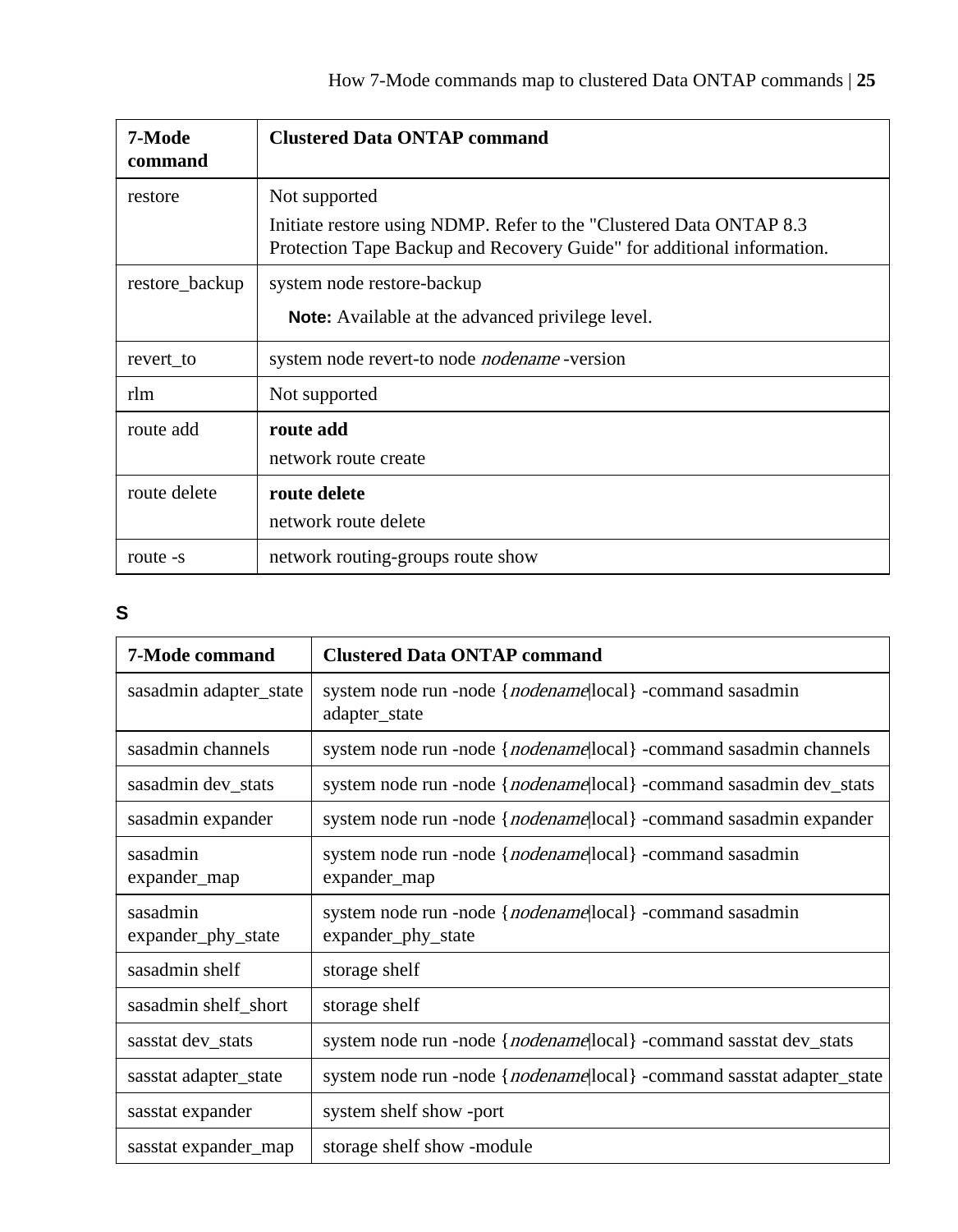<span id="page-24-0"></span>

| 7-Mode<br>command | <b>Clustered Data ONTAP command</b>                                                                                                            |
|-------------------|------------------------------------------------------------------------------------------------------------------------------------------------|
| restore           | Not supported                                                                                                                                  |
|                   | Initiate restore using NDMP. Refer to the "Clustered Data ONTAP 8.3"<br>Protection Tape Backup and Recovery Guide" for additional information. |
| restore backup    | system node restore-backup                                                                                                                     |
|                   | <b>Note:</b> Available at the advanced privilege level.                                                                                        |
| revert to         | system node revert-to node <i>nodename</i> -version                                                                                            |
| rlm               | Not supported                                                                                                                                  |
| route add         | route add                                                                                                                                      |
|                   | network route create                                                                                                                           |
| route delete      | route delete                                                                                                                                   |
|                   | network route delete                                                                                                                           |
| route -s          | network routing-groups route show                                                                                                              |

## **S**

| <b>7-Mode command</b>          | <b>Clustered Data ONTAP command</b>                                                       |
|--------------------------------|-------------------------------------------------------------------------------------------|
| sasadmin adapter_state         | system node run -node { <i>nodename</i> local } -command sasadmin<br>adapter_state        |
| sasadmin channels              | system node run -node { nodename local } -command sasadmin channels                       |
| sasadmin dev_stats             | system node run -node { <i>nodename</i>   local } -command sasadmin dev_stats             |
| sasadmin expander              | system node run -node { nodename local } -command sasadmin expander                       |
| sasadmin<br>expander_map       | system node run -node { <i>nodename</i>   local } -command sasadmin<br>expander_map       |
| sasadmin<br>expander_phy_state | system node run -node { <i>nodename</i>   local } -command sasadmin<br>expander_phy_state |
| sasadmin shelf                 | storage shelf                                                                             |
| sasadmin shelf_short           | storage shelf                                                                             |
| sasstat dev stats              | system node run -node { nodename local } -command sasstat dev_stats                       |
| sasstat adapter_state          | system node run -node { nodename local } -command sasstat adapter_state                   |
| sasstat expander               | system shelf show -port                                                                   |
| sasstat expander_map           | storage shelf show -module                                                                |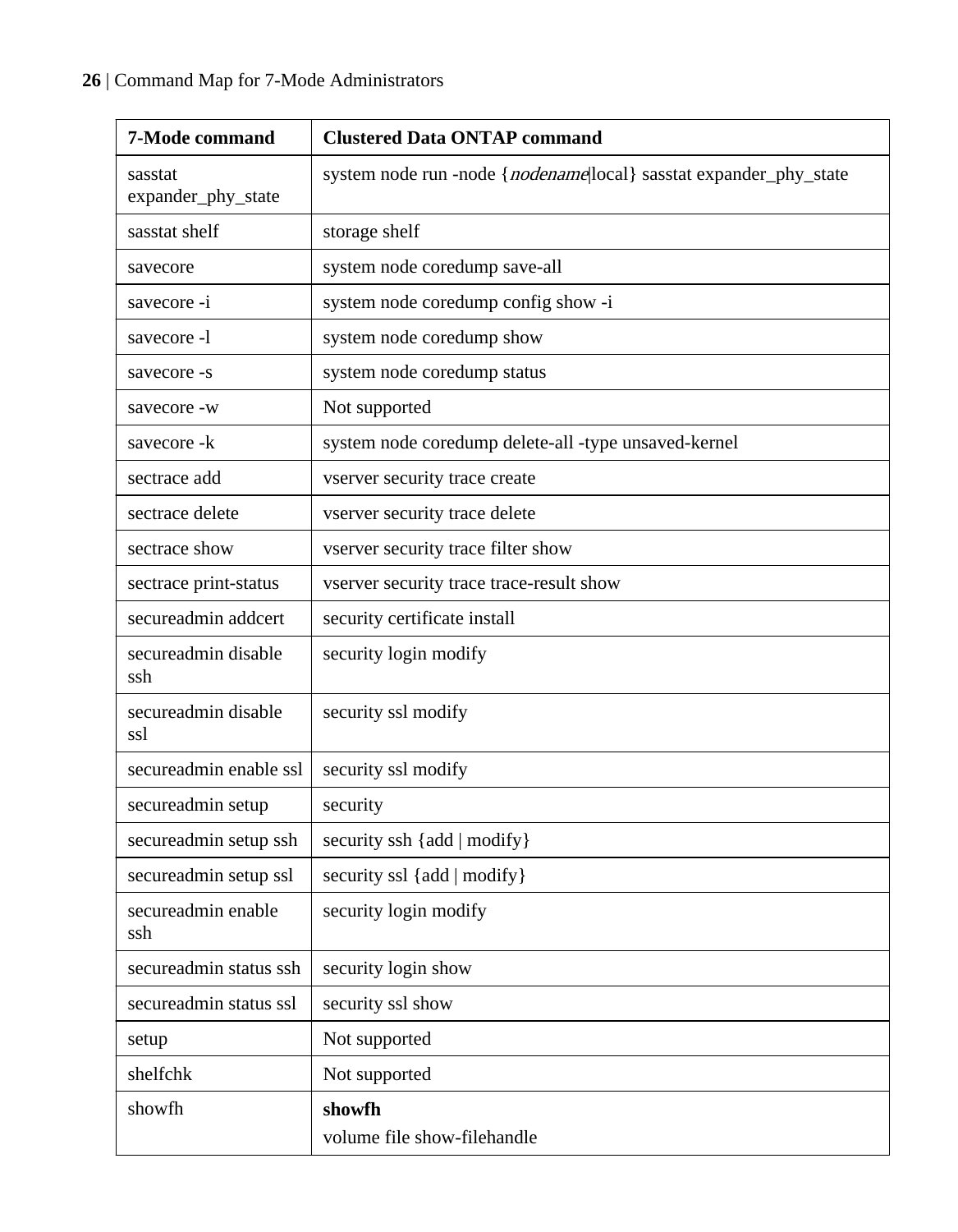| 7-Mode command                | <b>Clustered Data ONTAP command</b>                                 |
|-------------------------------|---------------------------------------------------------------------|
| sasstat<br>expander_phy_state | system node run -node { nodename local } sasstat expander_phy_state |
| sasstat shelf                 | storage shelf                                                       |
| savecore                      | system node coredump save-all                                       |
| savecore -i                   | system node coredump config show -i                                 |
| savecore -1                   | system node coredump show                                           |
| savecore -s                   | system node coredump status                                         |
| savecore -w                   | Not supported                                                       |
| savecore -k                   | system node coredump delete-all -type unsaved-kernel                |
| sectrace add                  | vserver security trace create                                       |
| sectrace delete               | vserver security trace delete                                       |
| sectrace show                 | vserver security trace filter show                                  |
| sectrace print-status         | vserver security trace trace-result show                            |
| secureadmin addcert           | security certificate install                                        |
| secureadmin disable<br>ssh    | security login modify                                               |
| secureadmin disable<br>ssl    | security ssl modify                                                 |
| secureadmin enable ssl        | security ssl modify                                                 |
| secureadmin setup             | security                                                            |
| secureadmin setup ssh         | security ssh {add   modify}                                         |
| secureadmin setup ssl         | security ssl {add   modify}                                         |
| secureadmin enable<br>ssh     | security login modify                                               |
| secureadmin status ssh        | security login show                                                 |
| secureadmin status ssl        | security ssl show                                                   |
| setup                         | Not supported                                                       |
| shelfchk                      | Not supported                                                       |
| showfh                        | showfh                                                              |
|                               | volume file show-filehandle                                         |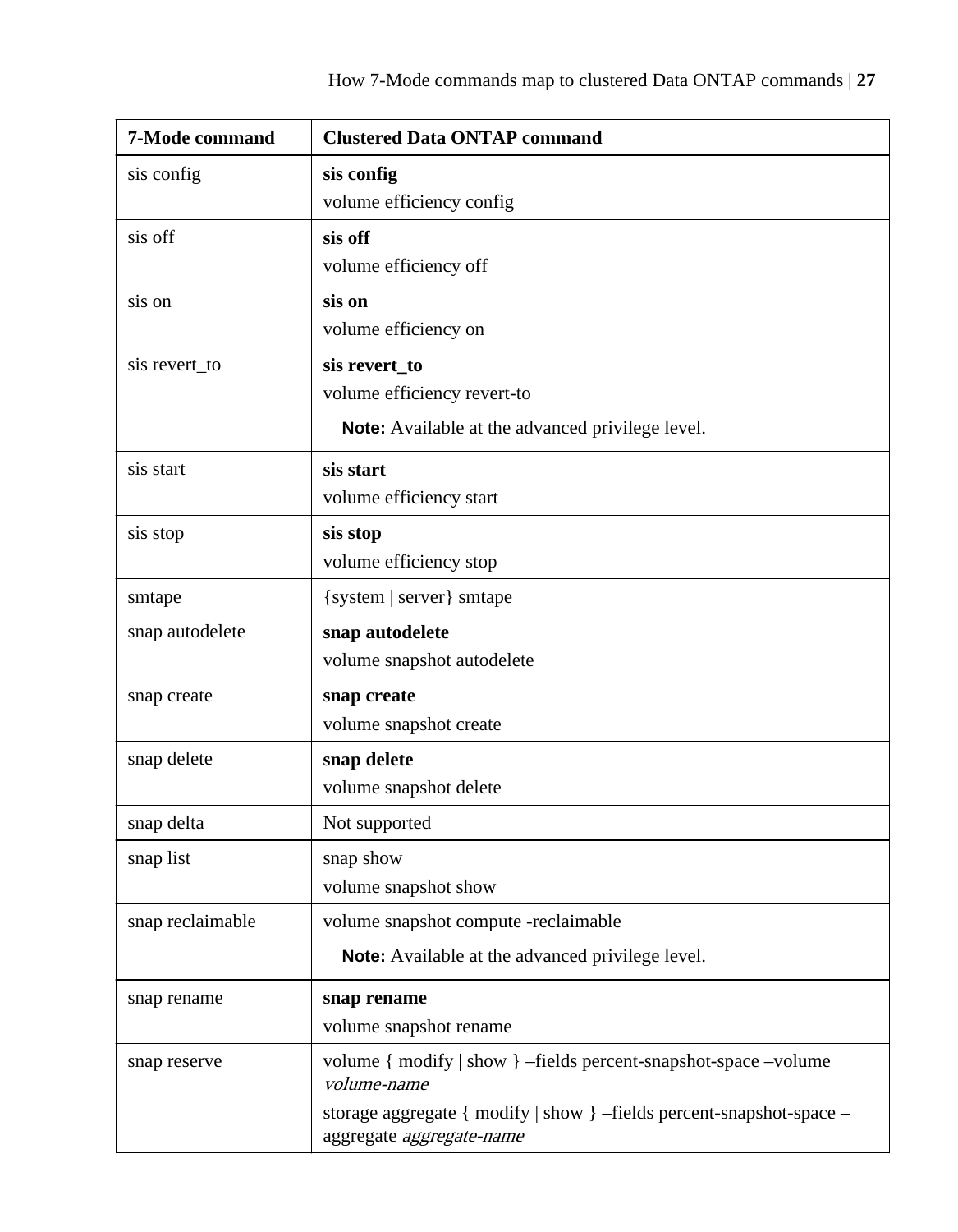| 7-Mode command   | <b>Clustered Data ONTAP command</b>                                                              |
|------------------|--------------------------------------------------------------------------------------------------|
| sis config       | sis config                                                                                       |
|                  | volume efficiency config                                                                         |
| sis off          | sis off                                                                                          |
|                  | volume efficiency off                                                                            |
| sis on           | sis on                                                                                           |
|                  | volume efficiency on                                                                             |
| sis revert_to    | sis revert_to                                                                                    |
|                  | volume efficiency revert-to                                                                      |
|                  | Note: Available at the advanced privilege level.                                                 |
| sis start        | sis start                                                                                        |
|                  | volume efficiency start                                                                          |
| sis stop         | sis stop                                                                                         |
|                  | volume efficiency stop                                                                           |
| smtape           | {system   server} smtape                                                                         |
| snap autodelete  | snap autodelete                                                                                  |
|                  | volume snapshot autodelete                                                                       |
| snap create      | snap create                                                                                      |
|                  | volume snapshot create                                                                           |
| snap delete      | snap delete                                                                                      |
|                  | volume snapshot delete                                                                           |
| snap delta       | Not supported                                                                                    |
| snap list        | snap show                                                                                        |
|                  | volume snapshot show                                                                             |
| snap reclaimable | volume snapshot compute -reclaimable                                                             |
|                  | Note: Available at the advanced privilege level.                                                 |
| snap rename      | snap rename                                                                                      |
|                  | volume snapshot rename                                                                           |
| snap reserve     | volume { modify   show } -fields percent-snapshot-space -volume<br>volume-name                   |
|                  | storage aggregate { modify   show } -fields percent-snapshot-space -<br>aggregate aggregate-name |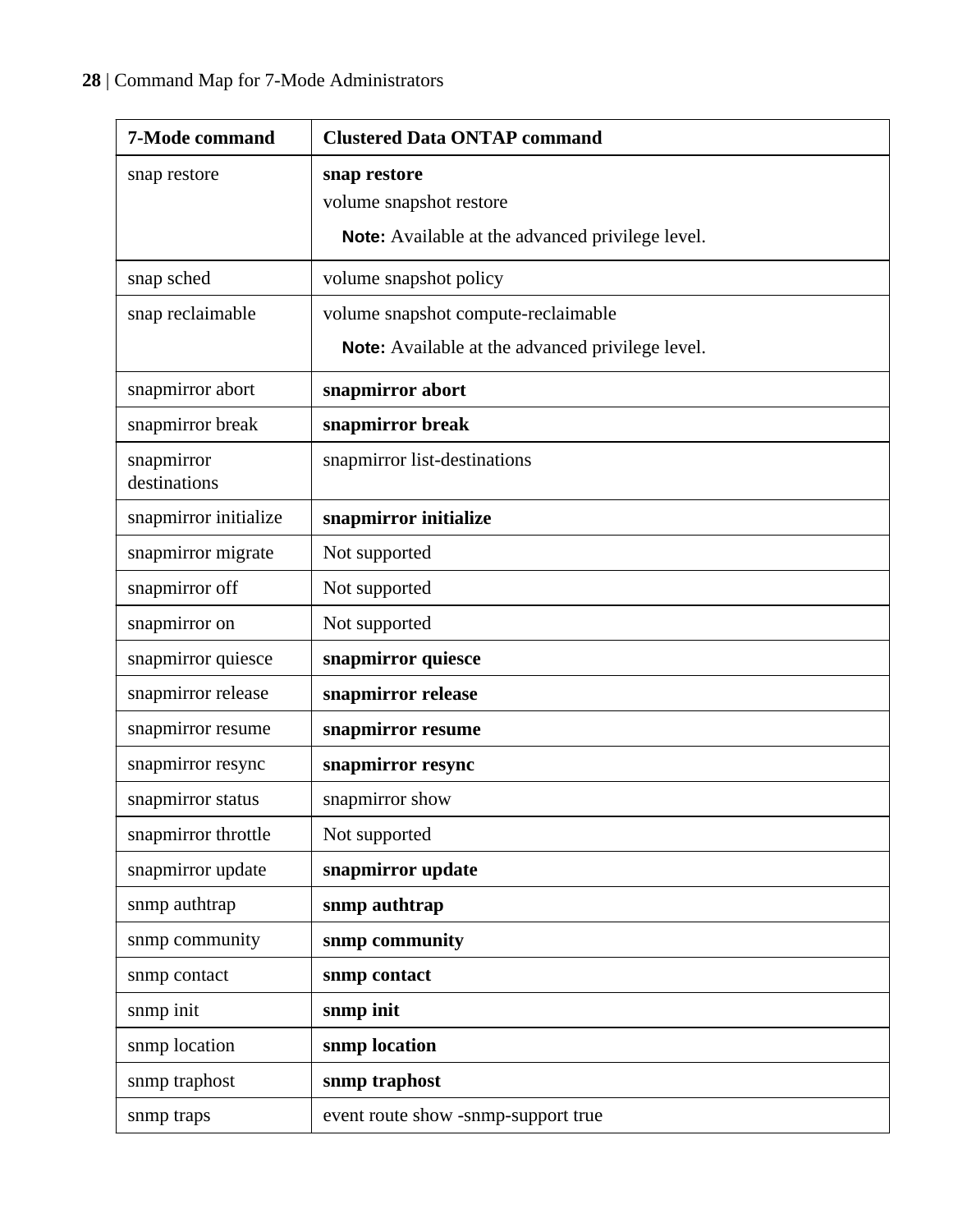| 7-Mode command             | <b>Clustered Data ONTAP command</b>              |
|----------------------------|--------------------------------------------------|
| snap restore               | snap restore                                     |
|                            | volume snapshot restore                          |
|                            | Note: Available at the advanced privilege level. |
| snap sched                 | volume snapshot policy                           |
| snap reclaimable           | volume snapshot compute-reclaimable              |
|                            | Note: Available at the advanced privilege level. |
| snapmirror abort           | snapmirror abort                                 |
| snapmirror break           | snapmirror break                                 |
| snapmirror<br>destinations | snapmirror list-destinations                     |
| snapmirror initialize      | snapmirror initialize                            |
| snapmirror migrate         | Not supported                                    |
| snapmirror off             | Not supported                                    |
| snapmirror on              | Not supported                                    |
| snapmirror quiesce         | snapmirror quiesce                               |
| snapmirror release         | snapmirror release                               |
| snapmirror resume          | snapmirror resume                                |
| snapmirror resync          | snapmirror resync                                |
| snapmirror status          | snapmirror show                                  |
| snapmirror throttle        | Not supported                                    |
| snapmirror update          | snapmirror update                                |
| snmp authtrap              | snmp authtrap                                    |
| snmp community             | snmp community                                   |
| snmp contact               | snmp contact                                     |
| snmp init                  | snmp init                                        |
| snmp location              | snmp location                                    |
| snmp traphost              | snmp traphost                                    |
| snmp traps                 | event route show -snmp-support true              |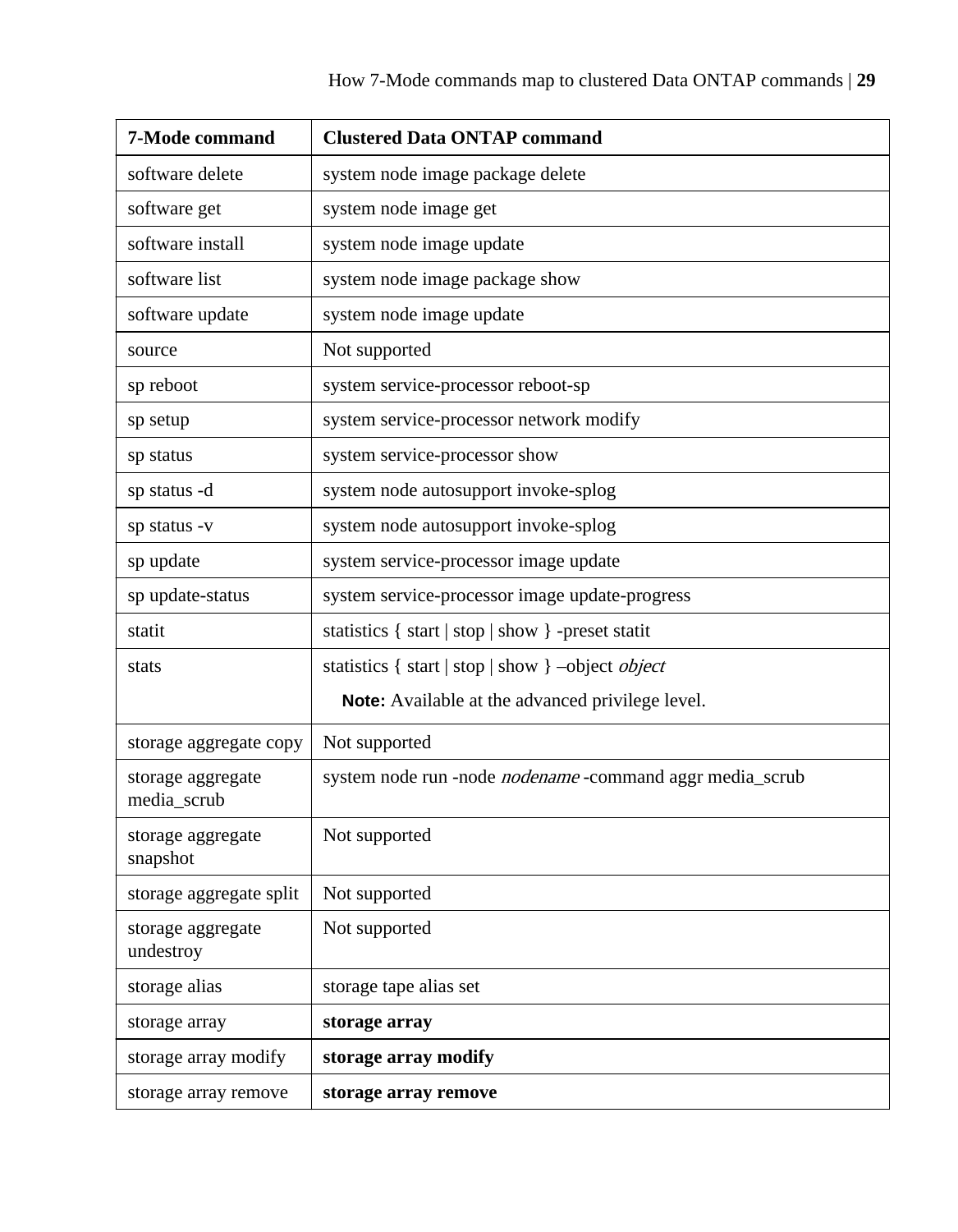| 7-Mode command                   | <b>Clustered Data ONTAP command</b>                      |
|----------------------------------|----------------------------------------------------------|
| software delete                  | system node image package delete                         |
| software get                     | system node image get                                    |
| software install                 | system node image update                                 |
| software list                    | system node image package show                           |
| software update                  | system node image update                                 |
| source                           | Not supported                                            |
| sp reboot                        | system service-processor reboot-sp                       |
| sp setup                         | system service-processor network modify                  |
| sp status                        | system service-processor show                            |
| sp status -d                     | system node autosupport invoke-splog                     |
| sp status -v                     | system node autosupport invoke-splog                     |
| sp update                        | system service-processor image update                    |
| sp update-status                 | system service-processor image update-progress           |
| statit                           | statistics { start   stop   show } -preset statit        |
| stats                            | statistics { start   stop   show } -object object        |
|                                  | Note: Available at the advanced privilege level.         |
| storage aggregate copy           | Not supported                                            |
| storage aggregate<br>media_scrub | system node run -node nodename -command aggr media_scrub |
| storage aggregate<br>snapshot    | Not supported                                            |
| storage aggregate split          | Not supported                                            |
| storage aggregate<br>undestroy   | Not supported                                            |
| storage alias                    | storage tape alias set                                   |
| storage array                    | storage array                                            |
| storage array modify             | storage array modify                                     |
| storage array remove             | storage array remove                                     |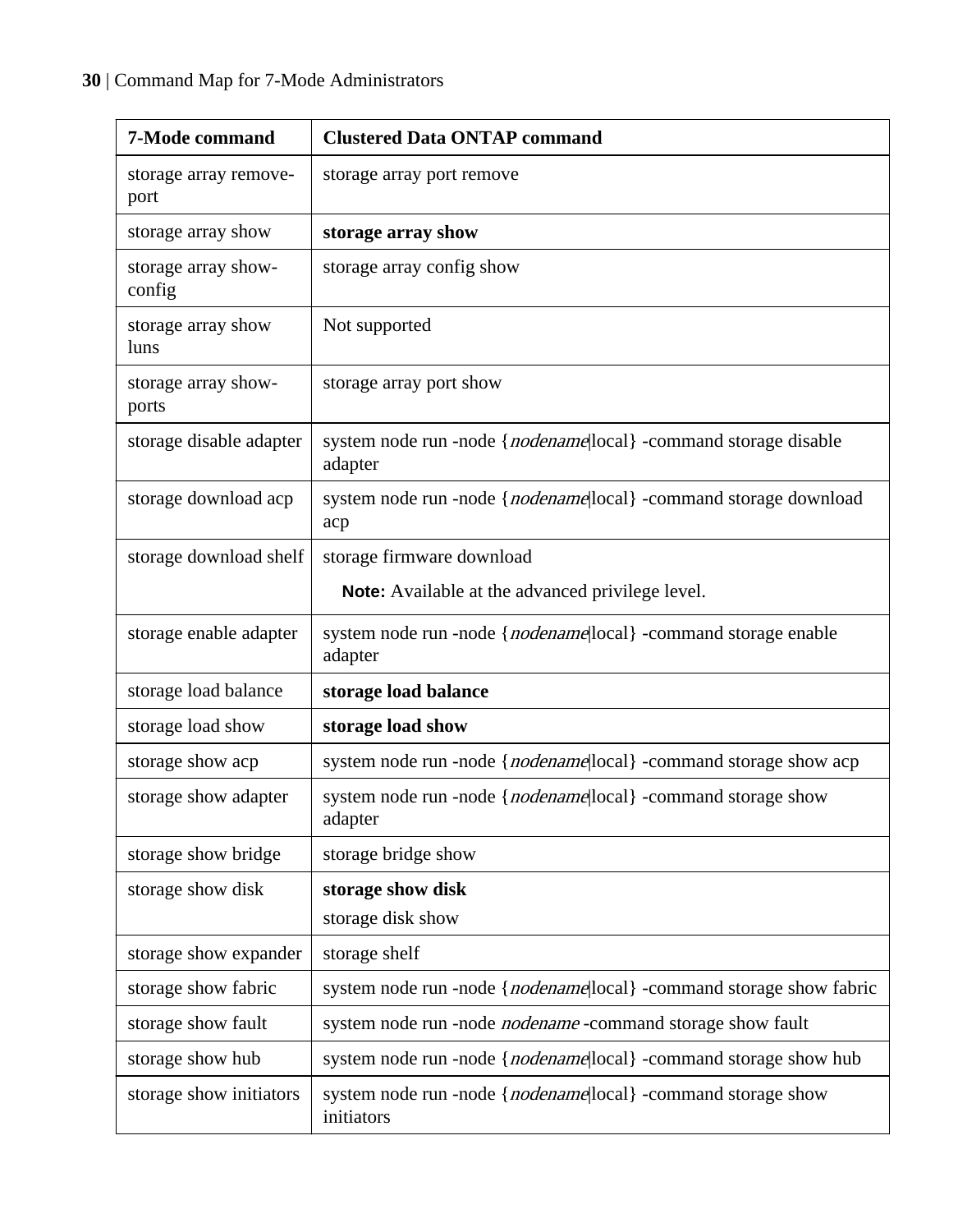| 7-Mode command                | <b>Clustered Data ONTAP command</b>                                         |
|-------------------------------|-----------------------------------------------------------------------------|
| storage array remove-<br>port | storage array port remove                                                   |
| storage array show            | storage array show                                                          |
| storage array show-<br>config | storage array config show                                                   |
| storage array show<br>luns    | Not supported                                                               |
| storage array show-<br>ports  | storage array port show                                                     |
| storage disable adapter       | system node run -node { nodename local} -command storage disable<br>adapter |
| storage download acp          | system node run -node { nodename local } -command storage download<br>acp   |
| storage download shelf        | storage firmware download                                                   |
|                               | Note: Available at the advanced privilege level.                            |
| storage enable adapter        | system node run -node { nodename local} -command storage enable<br>adapter  |
| storage load balance          | storage load balance                                                        |
| storage load show             | storage load show                                                           |
| storage show acp              | system node run -node { nodename local} -command storage show acp           |
| storage show adapter          | system node run -node { nodename local} -command storage show<br>adapter    |
| storage show bridge           | storage bridge show                                                         |
| storage show disk             | storage show disk<br>storage disk show                                      |
| storage show expander         | storage shelf                                                               |
| storage show fabric           | system node run -node { nodename local} -command storage show fabric        |
| storage show fault            | system node run -node <i>nodename</i> -command storage show fault           |
| storage show hub              | system node run -node { nodename local} -command storage show hub           |
| storage show initiators       | system node run -node { nodename local} -command storage show<br>initiators |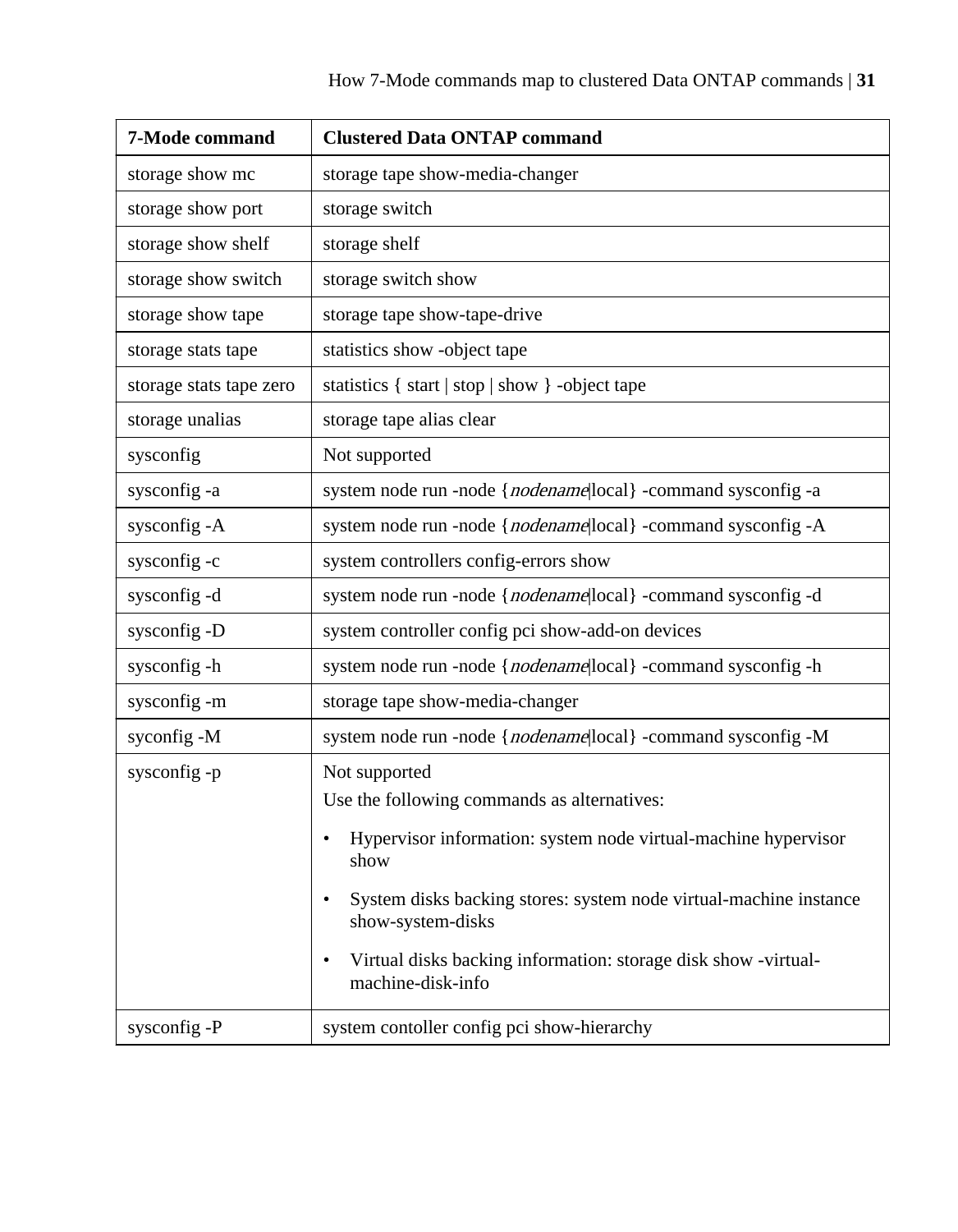| 7-Mode command          | <b>Clustered Data ONTAP command</b>                                                                                                                                                                                                                                                                                                                    |
|-------------------------|--------------------------------------------------------------------------------------------------------------------------------------------------------------------------------------------------------------------------------------------------------------------------------------------------------------------------------------------------------|
| storage show mc         | storage tape show-media-changer                                                                                                                                                                                                                                                                                                                        |
| storage show port       | storage switch                                                                                                                                                                                                                                                                                                                                         |
| storage show shelf      | storage shelf                                                                                                                                                                                                                                                                                                                                          |
| storage show switch     | storage switch show                                                                                                                                                                                                                                                                                                                                    |
| storage show tape       | storage tape show-tape-drive                                                                                                                                                                                                                                                                                                                           |
| storage stats tape      | statistics show -object tape                                                                                                                                                                                                                                                                                                                           |
| storage stats tape zero | statistics { start   stop   show } -object tape                                                                                                                                                                                                                                                                                                        |
| storage unalias         | storage tape alias clear                                                                                                                                                                                                                                                                                                                               |
| sysconfig               | Not supported                                                                                                                                                                                                                                                                                                                                          |
| sysconfig-a             | system node run -node { nodename local } -command sysconfig -a                                                                                                                                                                                                                                                                                         |
| sysconfig -A            | system node run -node { nodename local} -command sysconfig -A                                                                                                                                                                                                                                                                                          |
| sysconfig-c             | system controllers config-errors show                                                                                                                                                                                                                                                                                                                  |
| sysconfig-d             | system node run -node { nodename local} -command sysconfig -d                                                                                                                                                                                                                                                                                          |
| sysconfig-D             | system controller config pci show-add-on devices                                                                                                                                                                                                                                                                                                       |
| sysconfig-h             | system node run -node { nodename local} -command sysconfig -h                                                                                                                                                                                                                                                                                          |
| sysconfig-m             | storage tape show-media-changer                                                                                                                                                                                                                                                                                                                        |
| syconfig-M              | system node run -node { nodename local} -command sysconfig -M                                                                                                                                                                                                                                                                                          |
| sysconfig-p             | Not supported<br>Use the following commands as alternatives:<br>Hypervisor information: system node virtual-machine hypervisor<br>٠<br>show<br>System disks backing stores: system node virtual-machine instance<br>$\bullet$<br>show-system-disks<br>Virtual disks backing information: storage disk show -virtual-<br>$\bullet$<br>machine-disk-info |
| sysconfig-P             | system contoller config pci show-hierarchy                                                                                                                                                                                                                                                                                                             |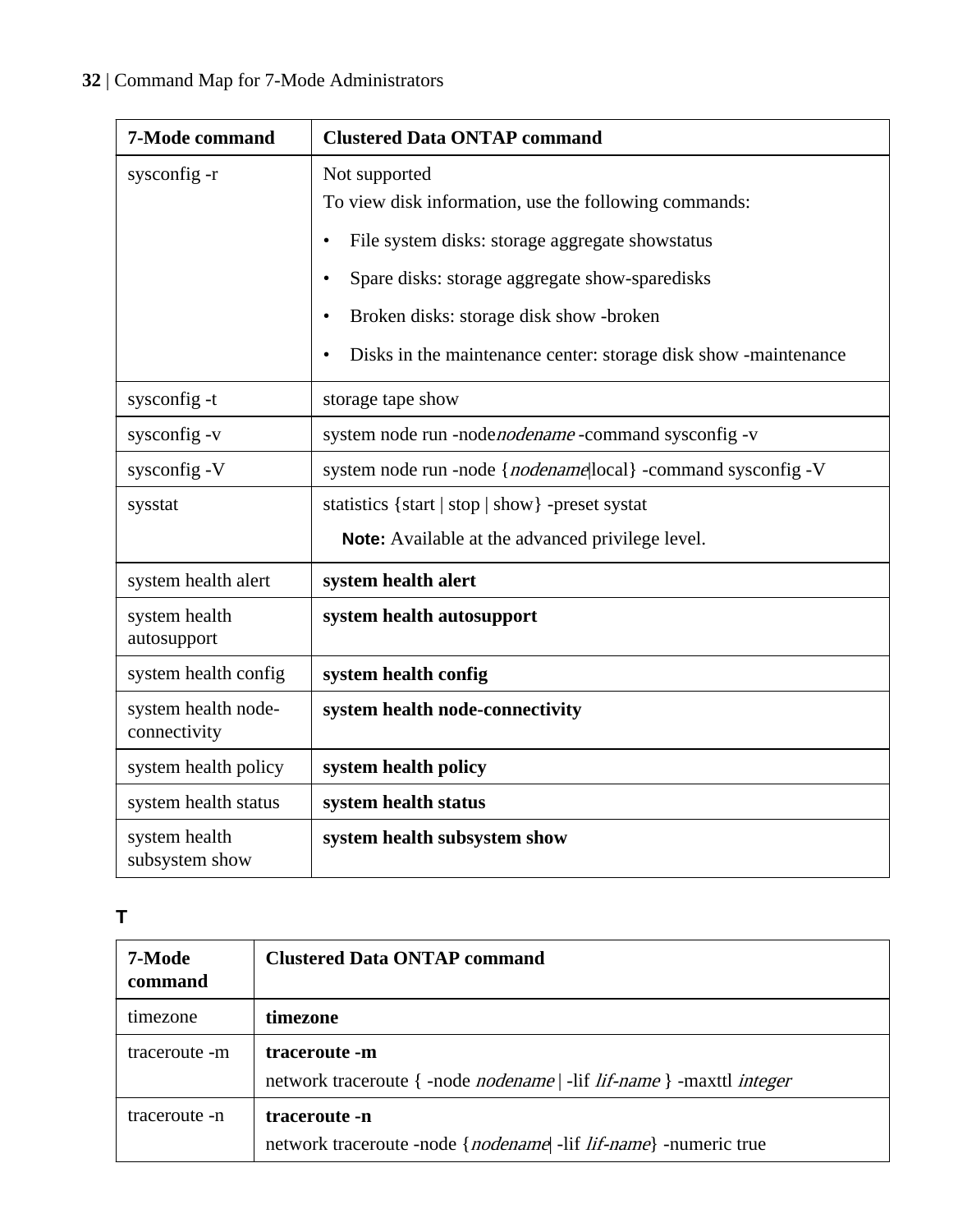<span id="page-31-0"></span>

| 7-Mode command                      | <b>Clustered Data ONTAP command</b>                                  |
|-------------------------------------|----------------------------------------------------------------------|
| sysconfig-r                         | Not supported                                                        |
|                                     | To view disk information, use the following commands:                |
|                                     | File system disks: storage aggregate showstatus<br>٠                 |
|                                     | Spare disks: storage aggregate show-sparedisks<br>٠                  |
|                                     | Broken disks: storage disk show -broken<br>٠                         |
|                                     | Disks in the maintenance center: storage disk show -maintenance<br>٠ |
| sysconfig-t                         | storage tape show                                                    |
| sysconfig-v                         | system node run -nodenodename -command sysconfig -v                  |
| sysconfig -V                        | system node run -node { nodename local} -command sysconfig -V        |
| sysstat                             | statistics {start   stop   show} -preset systat                      |
|                                     | Note: Available at the advanced privilege level.                     |
| system health alert                 | system health alert                                                  |
| system health<br>autosupport        | system health autosupport                                            |
| system health config                | system health config                                                 |
| system health node-<br>connectivity | system health node-connectivity                                      |
| system health policy                | system health policy                                                 |
| system health status                | system health status                                                 |
| system health<br>subsystem show     | system health subsystem show                                         |

## **T**

| 7-Mode<br>command | <b>Clustered Data ONTAP command</b>                                                       |
|-------------------|-------------------------------------------------------------------------------------------|
| timezone          | timezone                                                                                  |
| traceroute -m     | traceroute -m                                                                             |
|                   | network traceroute {-node <i>nodename</i>   -lif <i>lif-name</i> } -maxttl <i>integer</i> |
| traceroute -n     | traceroute -n                                                                             |
|                   | network traceroute -node { nodename  -lif lif-name }-numeric true                         |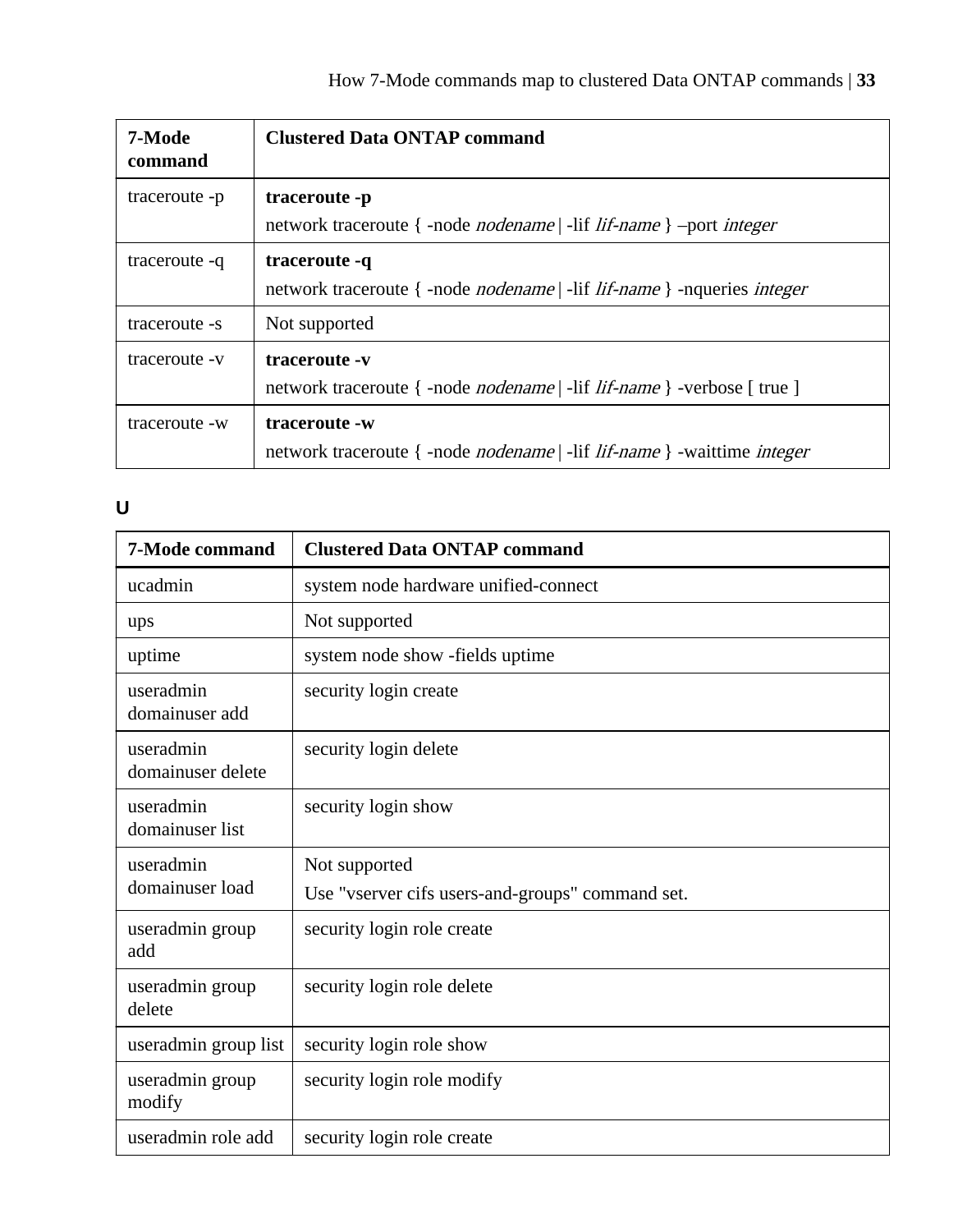<span id="page-32-0"></span>

| 7-Mode<br>command | <b>Clustered Data ONTAP command</b>                                                                           |
|-------------------|---------------------------------------------------------------------------------------------------------------|
| traceroute -p     | traceroute -p<br>network traceroute { -node <i>nodename</i>   -lif <i>lif-name</i> } -port <i>integer</i>     |
| traceroute -q     | traceroute -q<br>network traceroute { -node <i>nodename</i>   -lif <i>lif-name</i> } -nqueries <i>integer</i> |
| traceroute -s     | Not supported                                                                                                 |
| traceroute -v     | traceroute -v<br>network traceroute { -node <i>nodename</i>   -lif <i>lif-name</i> } -verbose [ true ]        |
| traceroute -w     | traceroute -w<br>network traceroute { -node <i>nodename</i>   -lif <i>lif-name</i> } -waittime <i>integer</i> |

# **U**

| <b>7-Mode command</b>          | <b>Clustered Data ONTAP command</b>                               |
|--------------------------------|-------------------------------------------------------------------|
| ucadmin                        | system node hardware unified-connect                              |
| ups                            | Not supported                                                     |
| uptime                         | system node show -fields uptime                                   |
| useradmin<br>domainuser add    | security login create                                             |
| useradmin<br>domainuser delete | security login delete                                             |
| useradmin<br>domainuser list   | security login show                                               |
| useradmin<br>domainuser load   | Not supported<br>Use "vserver cifs users-and-groups" command set. |
| useradmin group<br>add         | security login role create                                        |
| useradmin group<br>delete      | security login role delete                                        |
| useradmin group list           | security login role show                                          |
| useradmin group<br>modify      | security login role modify                                        |
| useradmin role add             | security login role create                                        |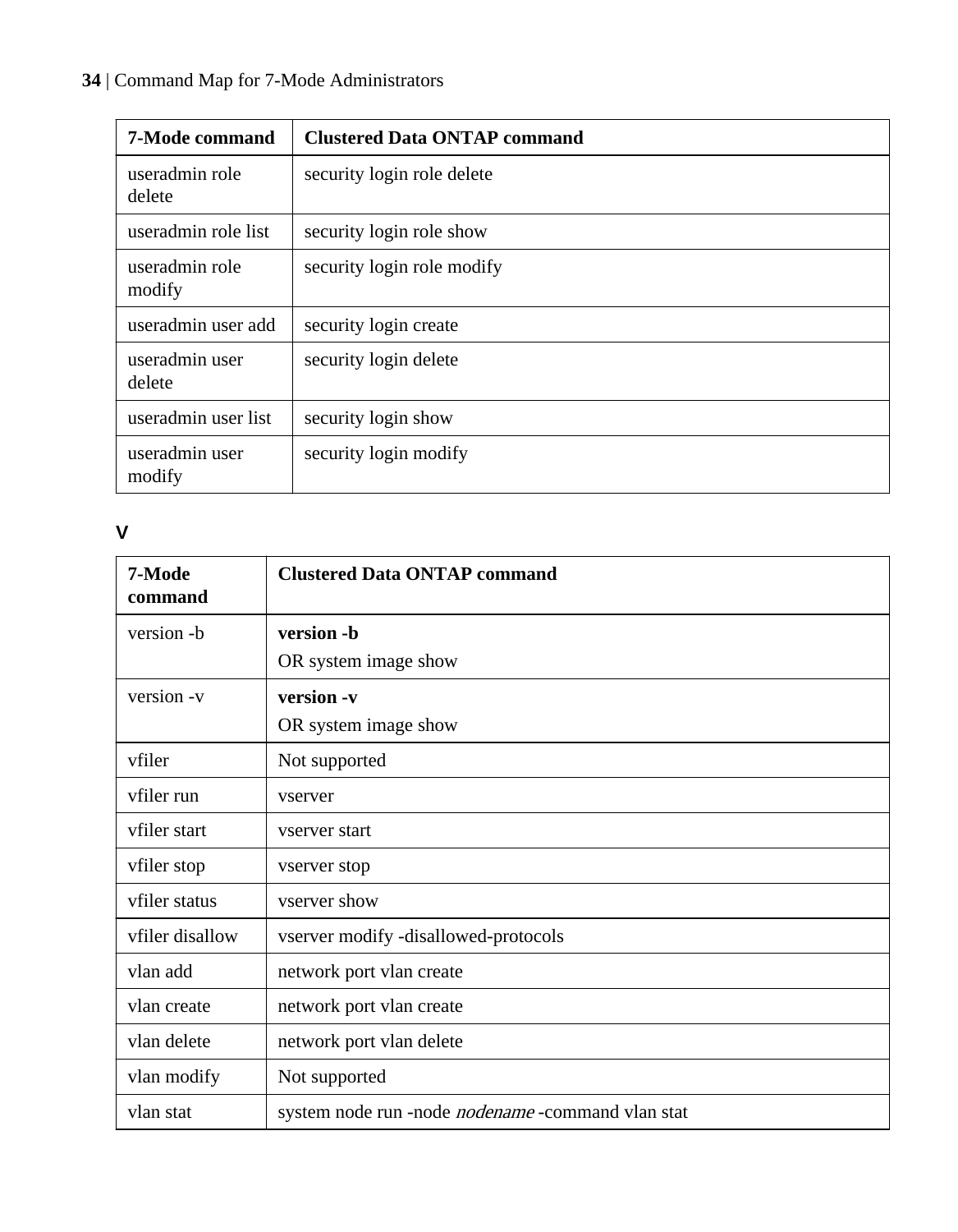## <span id="page-33-0"></span>**34** | Command Map for 7-Mode Administrators

| <b>7-Mode command</b>    | <b>Clustered Data ONTAP command</b> |
|--------------------------|-------------------------------------|
| useradmin role<br>delete | security login role delete          |
| useradmin role list      | security login role show            |
| useradmin role<br>modify | security login role modify          |
| useradmin user add       | security login create               |
| useradmin user<br>delete | security login delete               |
| useradmin user list      | security login show                 |
| useradmin user<br>modify | security login modify               |

## **V**

| 7-Mode<br>command | <b>Clustered Data ONTAP command</b>               |
|-------------------|---------------------------------------------------|
| version -b        | version -b                                        |
|                   | OR system image show                              |
| version -v        | version -v                                        |
|                   | OR system image show                              |
| vfiler            | Not supported                                     |
| vfiler run        | vserver                                           |
| vfiler start      | vserver start                                     |
| vfiler stop       | vserver stop                                      |
| vfiler status     | vserver show                                      |
| vfiler disallow   | vserver modify -disallowed-protocols              |
| vlan add          | network port vlan create                          |
| vlan create       | network port vlan create                          |
| vlan delete       | network port vlan delete                          |
| vlan modify       | Not supported                                     |
| vlan stat         | system node run -node nodename -command vlan stat |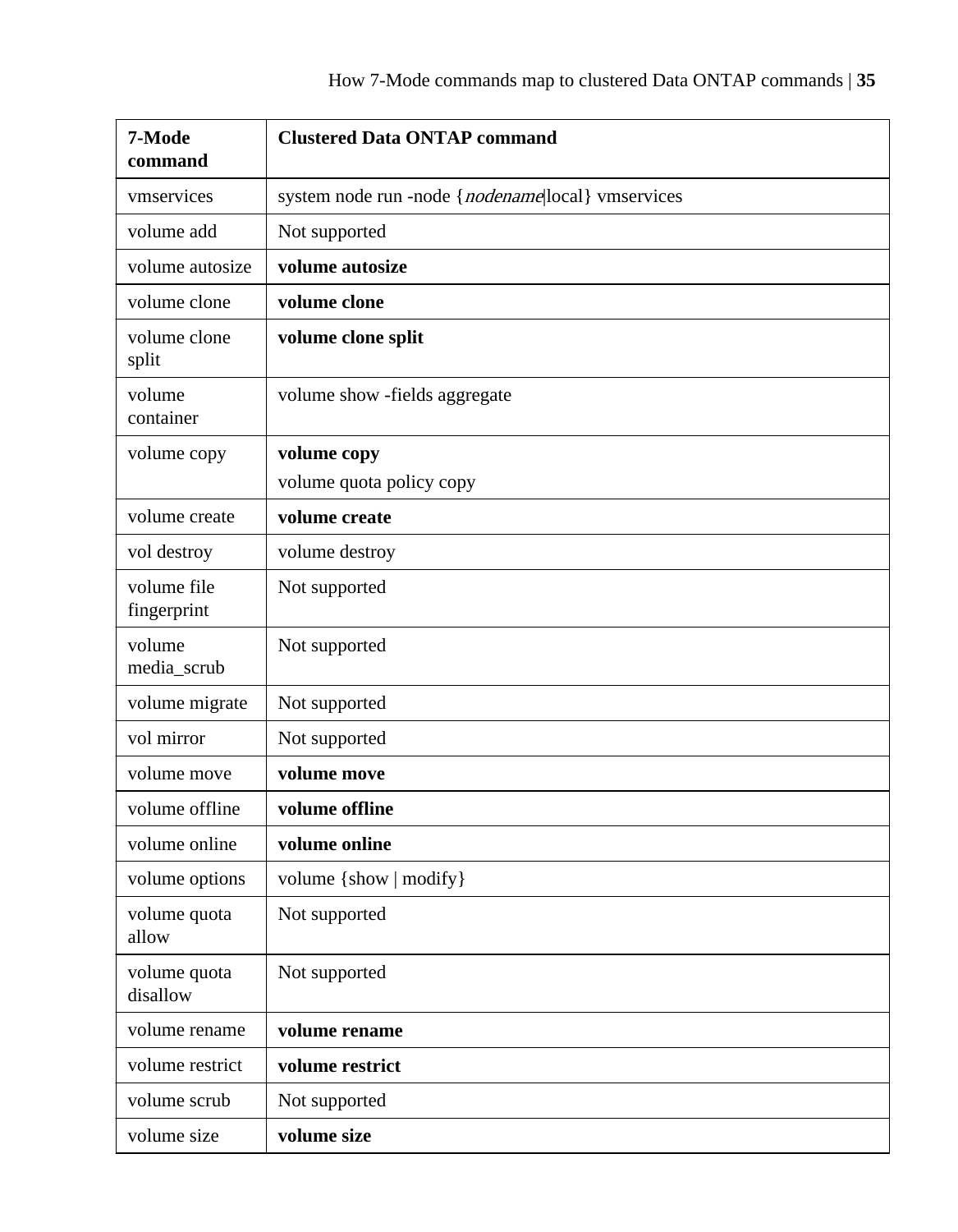| 7-Mode<br>command          | <b>Clustered Data ONTAP command</b>                |
|----------------------------|----------------------------------------------------|
| vmservices                 | system node run -node { nodename local} vmservices |
| volume add                 | Not supported                                      |
| volume autosize            | volume autosize                                    |
| volume clone               | volume clone                                       |
| volume clone<br>split      | volume clone split                                 |
| volume<br>container        | volume show -fields aggregate                      |
| volume copy                | volume copy                                        |
|                            | volume quota policy copy                           |
| volume create              | volume create                                      |
| vol destroy                | volume destroy                                     |
| volume file<br>fingerprint | Not supported                                      |
| volume<br>media scrub      | Not supported                                      |
| volume migrate             | Not supported                                      |
| vol mirror                 | Not supported                                      |
| volume move                | volume move                                        |
| volume offline             | volume offline                                     |
| volume online              | volume online                                      |
| volume options             | volume {show   modify}                             |
| volume quota<br>allow      | Not supported                                      |
| volume quota<br>disallow   | Not supported                                      |
| volume rename              | volume rename                                      |
| volume restrict            | volume restrict                                    |
| volume scrub               | Not supported                                      |
| volume size                | volume size                                        |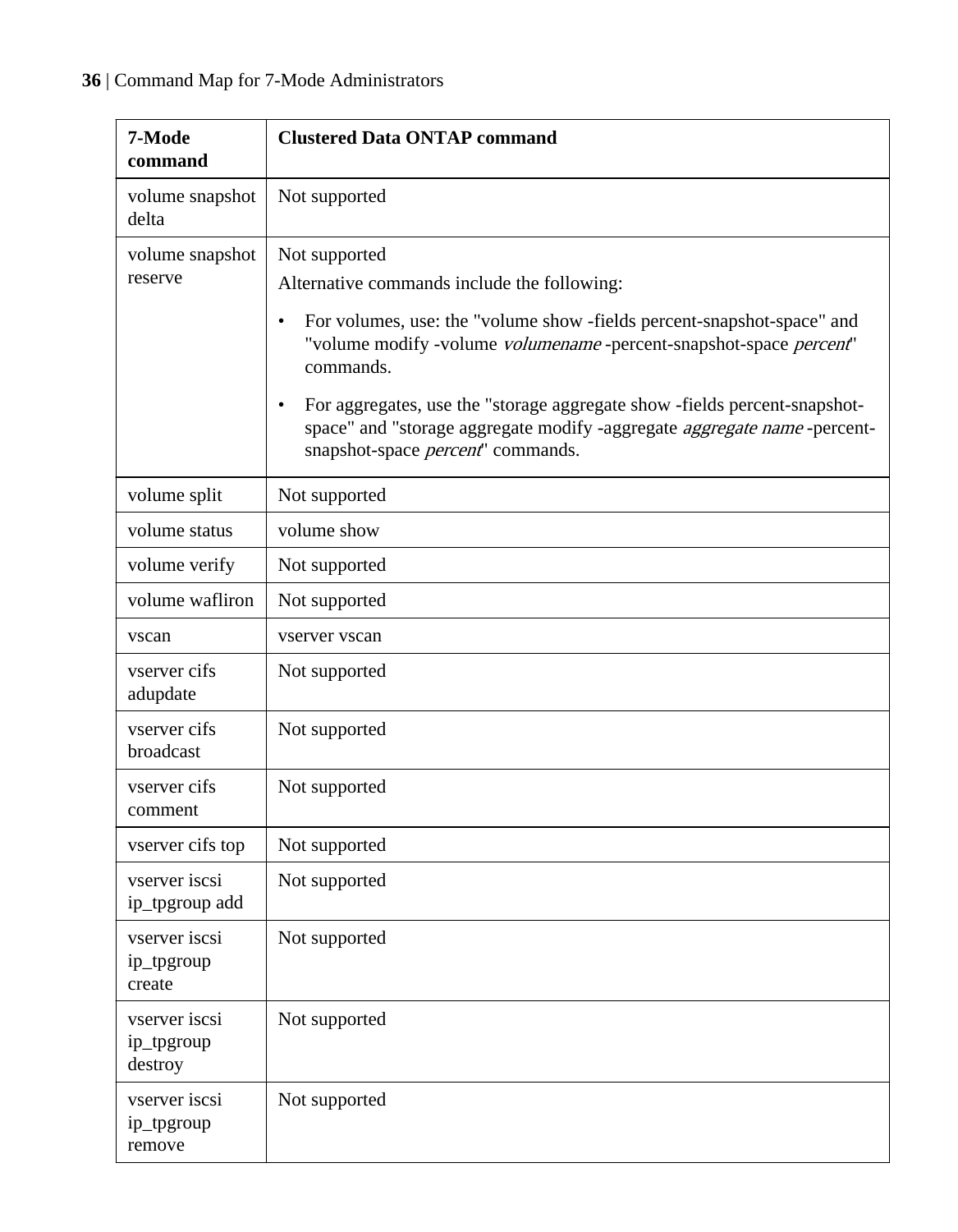| 7-Mode<br>command                      | <b>Clustered Data ONTAP command</b>                                                                                                                                                                                                                                                                                                                                                                                     |
|----------------------------------------|-------------------------------------------------------------------------------------------------------------------------------------------------------------------------------------------------------------------------------------------------------------------------------------------------------------------------------------------------------------------------------------------------------------------------|
| volume snapshot<br>delta               | Not supported                                                                                                                                                                                                                                                                                                                                                                                                           |
| volume snapshot<br>reserve             | Not supported<br>Alternative commands include the following:<br>For volumes, use: the "volume show -fields percent-snapshot-space" and<br>"volume modify -volume volumename -percent-snapshot-space percent"<br>commands.<br>For aggregates, use the "storage aggregate show -fields percent-snapshot-<br>space" and "storage aggregate modify -aggregate aggregate name -percent-<br>snapshot-space percent" commands. |
| volume split                           | Not supported                                                                                                                                                                                                                                                                                                                                                                                                           |
| volume status                          | volume show                                                                                                                                                                                                                                                                                                                                                                                                             |
| volume verify                          | Not supported                                                                                                                                                                                                                                                                                                                                                                                                           |
| volume wafliron                        | Not supported                                                                                                                                                                                                                                                                                                                                                                                                           |
| vscan                                  | vserver vscan                                                                                                                                                                                                                                                                                                                                                                                                           |
| vserver cifs<br>adupdate               | Not supported                                                                                                                                                                                                                                                                                                                                                                                                           |
| vserver cifs<br>broadcast              | Not supported                                                                                                                                                                                                                                                                                                                                                                                                           |
| vserver cifs<br>comment                | Not supported                                                                                                                                                                                                                                                                                                                                                                                                           |
| vserver cifs top                       | Not supported                                                                                                                                                                                                                                                                                                                                                                                                           |
| vserver iscsi<br>ip_tpgroup add        | Not supported                                                                                                                                                                                                                                                                                                                                                                                                           |
| vserver iscsi<br>ip_tpgroup<br>create  | Not supported                                                                                                                                                                                                                                                                                                                                                                                                           |
| vserver iscsi<br>ip_tpgroup<br>destroy | Not supported                                                                                                                                                                                                                                                                                                                                                                                                           |
| vserver iscsi<br>ip_tpgroup<br>remove  | Not supported                                                                                                                                                                                                                                                                                                                                                                                                           |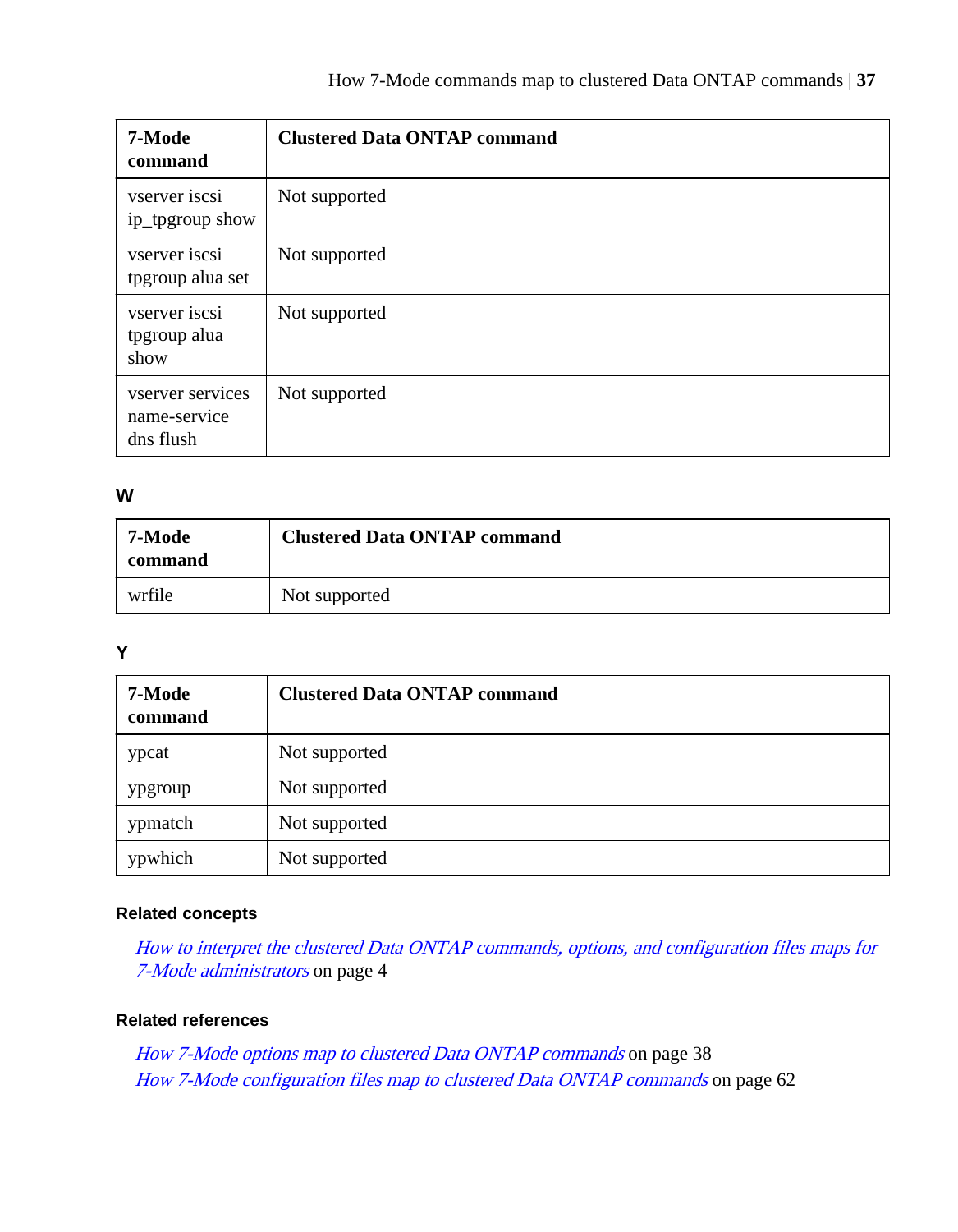<span id="page-36-0"></span>

| 7-Mode<br>command                             | <b>Clustered Data ONTAP command</b> |
|-----------------------------------------------|-------------------------------------|
| vserver iscsi<br>ip_tpgroup show              | Not supported                       |
| vserver iscsi<br>tpgroup alua set             | Not supported                       |
| vserver iscsi<br>tpgroup alua<br>show         | Not supported                       |
| vserver services<br>name-service<br>dns flush | Not supported                       |

### **W**

| 7-Mode<br>command | <b>Clustered Data ONTAP command</b> |
|-------------------|-------------------------------------|
| wrfile            | Not supported                       |

#### **Y**

| 7-Mode<br>command | <b>Clustered Data ONTAP command</b> |  |
|-------------------|-------------------------------------|--|
| ypcat             | Not supported                       |  |
| ypgroup           | Not supported                       |  |
| ypmatch           | Not supported                       |  |
| ypwhich           | Not supported                       |  |

#### **Related concepts**

[How to interpret the clustered Data ONTAP commands, options, and configuration files maps for](#page-3-0) [7-Mode administrators](#page-3-0) on page 4

#### **Related references**

[How 7-Mode options map to clustered Data ONTAP commands](#page-37-0) on page 38 [How 7-Mode configuration files map to clustered Data ONTAP commands](#page-61-0) on page 62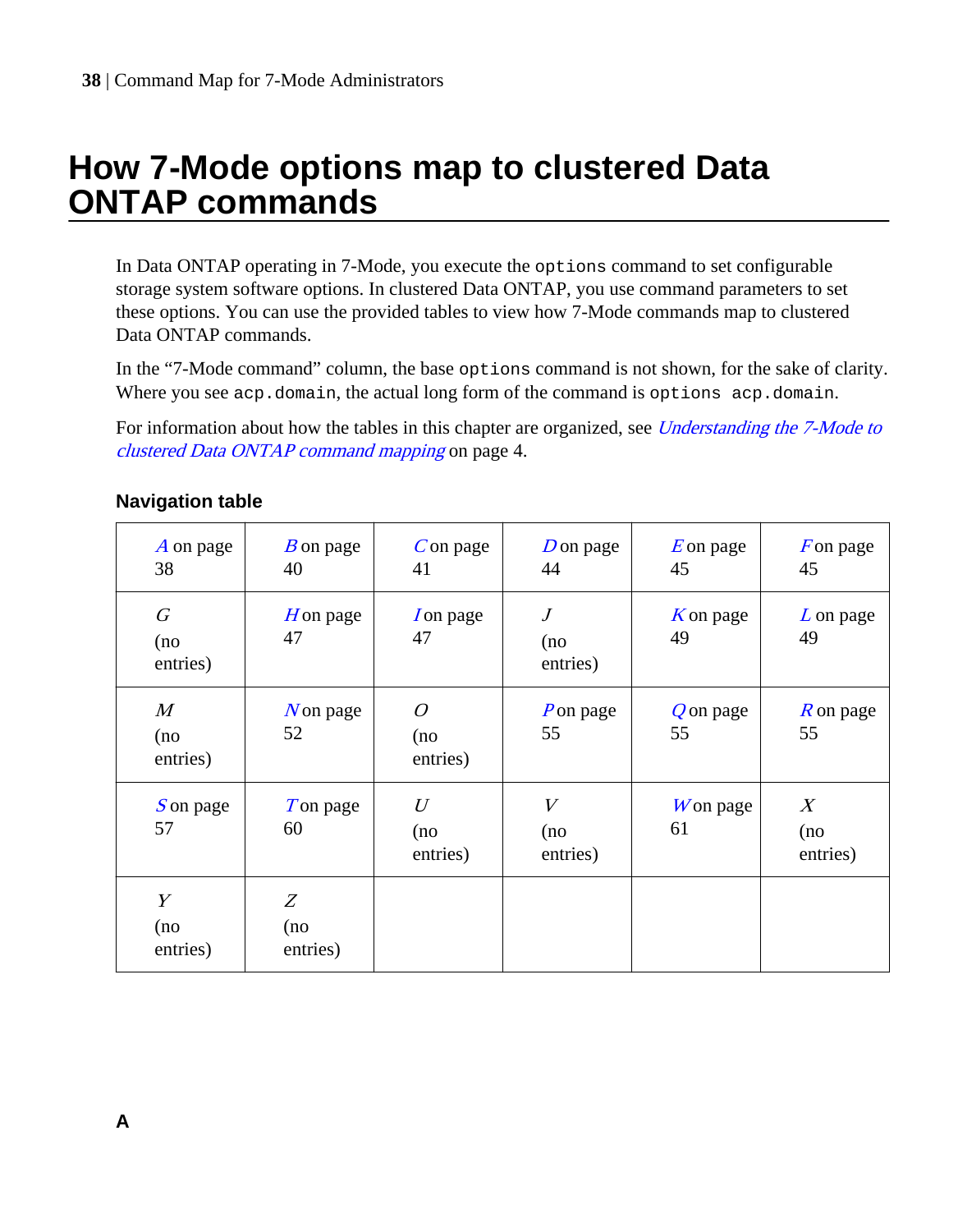# <span id="page-37-0"></span>**How 7-Mode options map to clustered Data ONTAP commands**

In Data ONTAP operating in 7-Mode, you execute the options command to set configurable storage system software options. In clustered Data ONTAP, you use command parameters to set these options. You can use the provided tables to view how 7-Mode commands map to clustered Data ONTAP commands.

In the "7-Mode command" column, the base options command is not shown, for the sake of clarity. Where you see acp.domain, the actual long form of the command is options acp.domain.

For information about how the tables in this chapter are organized, see *[Understanding the 7-Mode to](#page-3-0)* [clustered Data ONTAP command mapping](#page-3-0) on page 4.

| A on page<br>38                     | $B$ on page<br>40    | $C$ on page<br>41           | $D$ on page<br>44    | $E$ on page<br>45      | $F$ on page<br>45        |
|-------------------------------------|----------------------|-----------------------------|----------------------|------------------------|--------------------------|
| G<br>(no<br>entries)                | Hon page<br>47       | I on page<br>47             | J<br>(no<br>entries) | <b>K</b> on page<br>49 | $L$ on page<br>49        |
| $\boldsymbol{M}$<br>(no<br>entries) | $N$ on page<br>52    | $\Omega$<br>(no<br>entries) | Pon page<br>55       | Q on page<br>55        | $R$ on page<br>55        |
| S on page<br>57                     | Ton page<br>60       | U<br>(no<br>entries)        | V<br>(no<br>entries) | $W$ on page<br>61      | $X \$<br>(no<br>entries) |
| Y<br>(no<br>entries)                | Z<br>(no<br>entries) |                             |                      |                        |                          |

#### **Navigation table**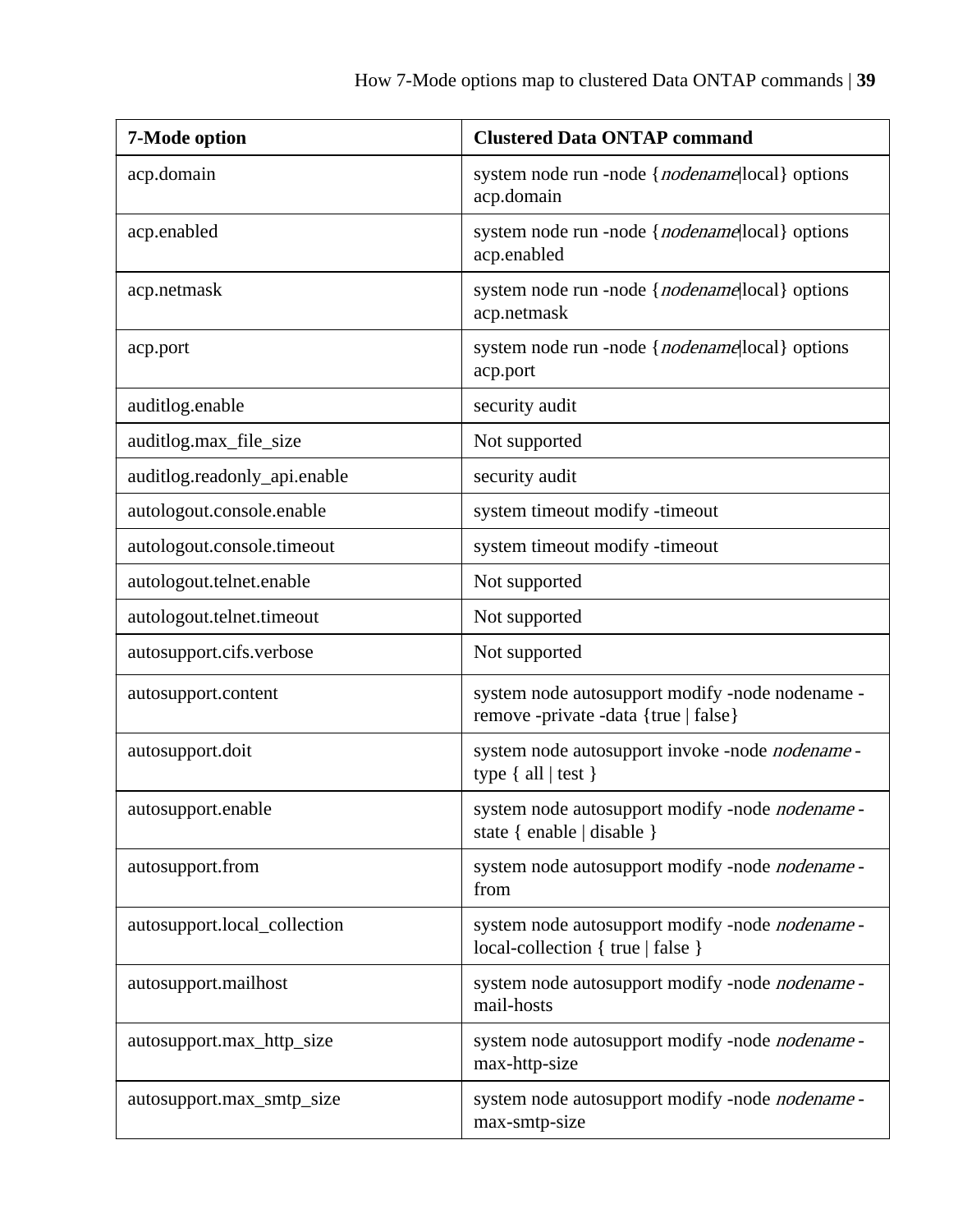| 7-Mode option                | <b>Clustered Data ONTAP command</b>                                                          |
|------------------------------|----------------------------------------------------------------------------------------------|
| acp.domain                   | system node run -node { nodename local } options<br>acp.domain                               |
| acp.enabled                  | system node run -node { nodename local } options<br>acp.enabled                              |
| acp.netmask                  | system node run -node { nodename local } options<br>acp.netmask                              |
| acp.port                     | system node run -node { nodename local } options<br>acp.port                                 |
| auditlog.enable              | security audit                                                                               |
| auditlog.max_file_size       | Not supported                                                                                |
| auditlog.readonly_api.enable | security audit                                                                               |
| autologout.console.enable    | system timeout modify -timeout                                                               |
| autologout.console.timeout   | system timeout modify -timeout                                                               |
| autologout.telnet.enable     | Not supported                                                                                |
| autologout.telnet.timeout    | Not supported                                                                                |
| autosupport.cifs.verbose     | Not supported                                                                                |
| autosupport.content          | system node autosupport modify -node nodename -<br>remove -private -data {true   false}      |
| autosupport.doit             | system node autosupport invoke -node nodename -<br>type $\{ \text{ all }   \text{ test } \}$ |
| autosupport.enable           | system node autosupport modify -node nodename -<br>state { enable   disable }                |
| autosupport.from             | system node autosupport modify -node nodename -<br>from                                      |
| autosupport.local_collection | system node autosupport modify -node nodename -<br>local-collection { true   false }         |
| autosupport.mailhost         | system node autosupport modify -node nodename -<br>mail-hosts                                |
| autosupport.max_http_size    | system node autosupport modify -node nodename -<br>max-http-size                             |
| autosupport.max_smtp_size    | system node autosupport modify -node nodename -<br>max-smtp-size                             |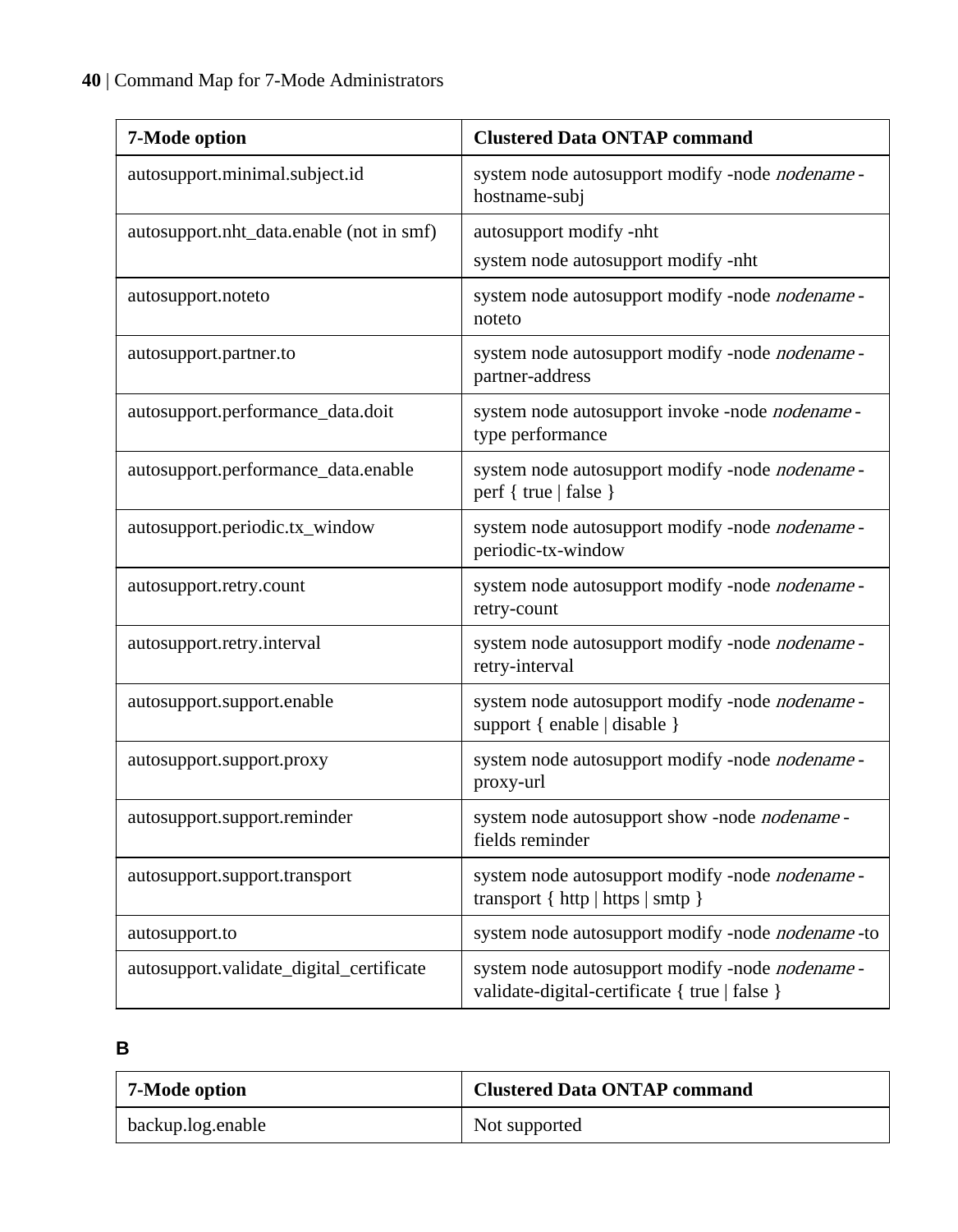<span id="page-39-0"></span>

| 7-Mode option                            | <b>Clustered Data ONTAP command</b>                                                              |
|------------------------------------------|--------------------------------------------------------------------------------------------------|
| autosupport.minimal.subject.id           | system node autosupport modify -node nodename -<br>hostname-subj                                 |
| autosupport.nht_data.enable (not in smf) | autosupport modify -nht                                                                          |
|                                          | system node autosupport modify -nht                                                              |
| autosupport.noteto                       | system node autosupport modify -node nodename -<br>noteto                                        |
| autosupport.partner.to                   | system node autosupport modify -node nodename -<br>partner-address                               |
| autosupport.performance_data.doit        | system node autosupport invoke -node nodename -<br>type performance                              |
| autosupport.performance_data.enable      | system node autosupport modify -node nodename -<br>perf { true   false }                         |
| autosupport.periodic.tx_window           | system node autosupport modify -node nodename -<br>periodic-tx-window                            |
| autosupport.retry.count                  | system node autosupport modify -node nodename -<br>retry-count                                   |
| autosupport.retry.interval               | system node autosupport modify -node nodename -<br>retry-interval                                |
| autosupport.support.enable               | system node autosupport modify -node nodename -<br>support { enable   disable }                  |
| autosupport.support.proxy                | system node autosupport modify -node nodename -<br>proxy-url                                     |
| autosupport.support.reminder             | system node autosupport show -node nodename -<br>fields reminder                                 |
| autosupport.support.transport            | system node autosupport modify -node nodename -<br>transport { http   https   smtp }             |
| autosupport.to                           | system node autosupport modify -node nodename -to                                                |
| autosupport.validate_digital_certificate | system node autosupport modify -node nodename -<br>validate-digital-certificate { true   false } |

**B**

| 7-Mode option     | <b>Clustered Data ONTAP command</b> |
|-------------------|-------------------------------------|
| backup.log.enable | Not supported                       |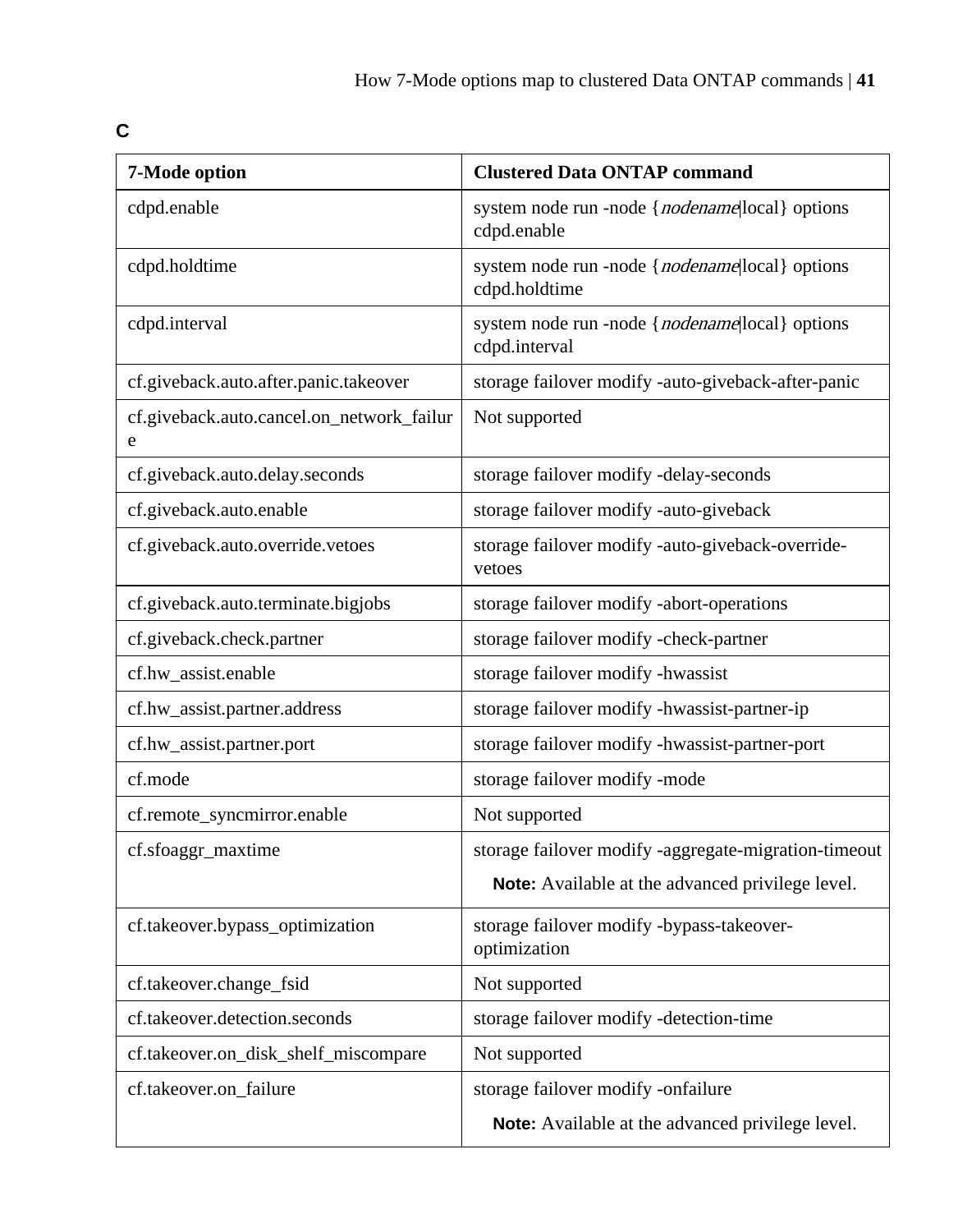| 7-Mode option                                  | <b>Clustered Data ONTAP command</b>                               |
|------------------------------------------------|-------------------------------------------------------------------|
| cdpd.enable                                    | system node run -node { nodename local } options<br>cdpd.enable   |
| cdpd.holdtime                                  | system node run -node { nodename local } options<br>cdpd.holdtime |
| cdpd.interval                                  | system node run -node { nodename local } options<br>cdpd.interval |
| cf.giveback.auto.after.panic.takeover          | storage failover modify -auto-giveback-after-panic                |
| cf.giveback.auto.cancel.on_network_failur<br>e | Not supported                                                     |
| cf.giveback.auto.delay.seconds                 | storage failover modify -delay-seconds                            |
| cf.giveback.auto.enable                        | storage failover modify -auto-giveback                            |
| cf.giveback.auto.override.vetoes               | storage failover modify -auto-giveback-override-<br>vetoes        |
| cf.giveback.auto.terminate.bigjobs             | storage failover modify -abort-operations                         |
| cf.giveback.check.partner                      | storage failover modify -check-partner                            |
| cf.hw assist.enable                            | storage failover modify -hwassist                                 |
| cf.hw_assist.partner.address                   | storage failover modify -hwassist-partner-ip                      |
| cf.hw_assist.partner.port                      | storage failover modify -hwassist-partner-port                    |
| cf.mode                                        | storage failover modify -mode                                     |
| cf.remote_syncmirror.enable                    | Not supported                                                     |
| cf.sfoaggr_maxtime                             | storage failover modify -aggregate-migration-timeout              |
|                                                | Note: Available at the advanced privilege level.                  |
| cf.takeover.bypass_optimization                | storage failover modify -bypass-takeover-<br>optimization         |
| cf.takeover.change_fsid                        | Not supported                                                     |
| cf.takeover.detection.seconds                  | storage failover modify -detection-time                           |
| cf.takeover.on_disk_shelf_miscompare           | Not supported                                                     |
| cf.takeover.on_failure                         | storage failover modify -onfailure                                |
|                                                | Note: Available at the advanced privilege level.                  |

<span id="page-40-0"></span>**C**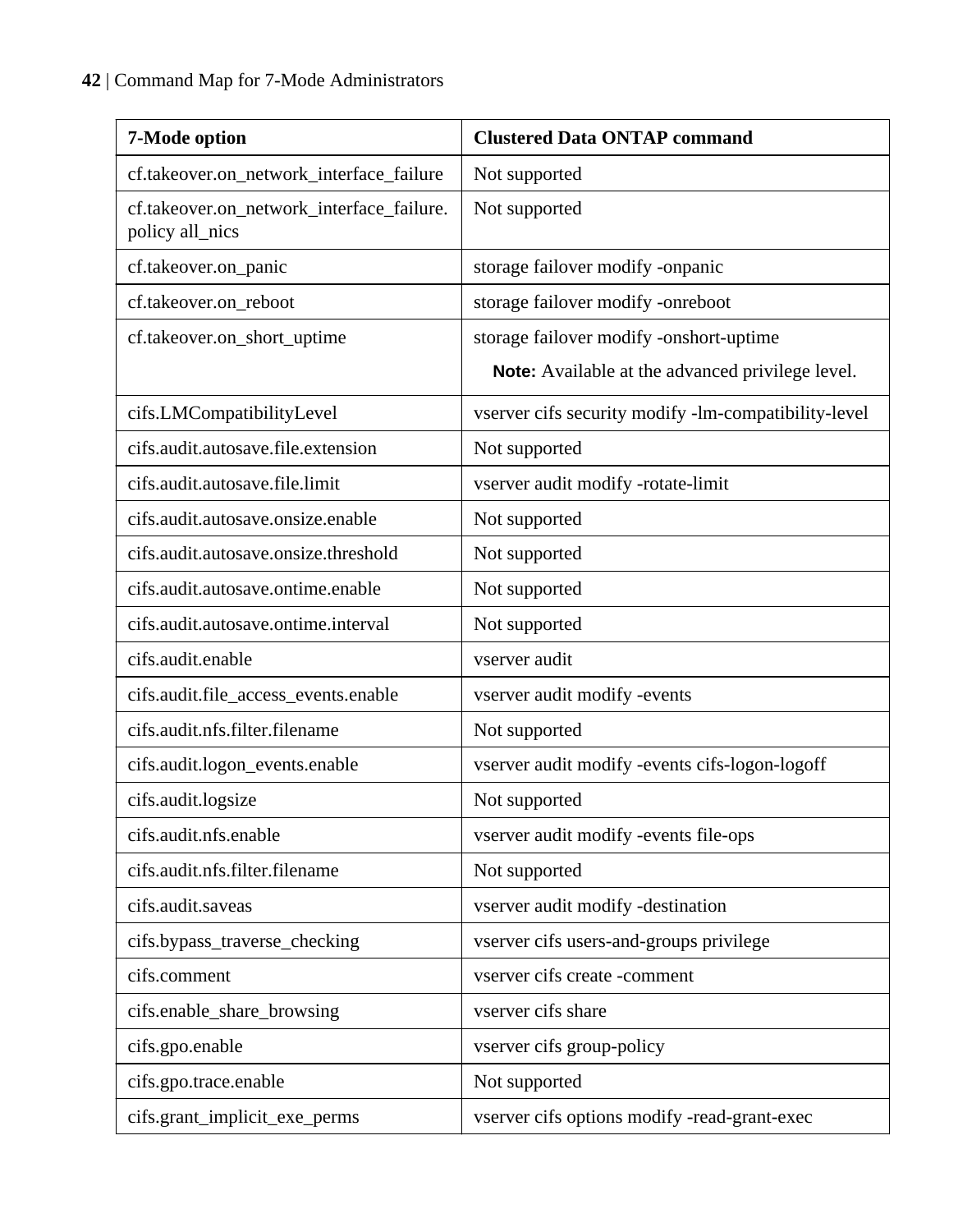| 7-Mode option                                                | <b>Clustered Data ONTAP command</b>                  |
|--------------------------------------------------------------|------------------------------------------------------|
| cf.takeover.on_network_interface_failure                     | Not supported                                        |
| cf.takeover.on_network_interface_failure.<br>policy all_nics | Not supported                                        |
| cf.takeover.on_panic                                         | storage failover modify -onpanic                     |
| cf.takeover.on_reboot                                        | storage failover modify -onreboot                    |
| cf.takeover.on_short_uptime                                  | storage failover modify -onshort-uptime              |
|                                                              | Note: Available at the advanced privilege level.     |
| cifs.LMCompatibilityLevel                                    | vserver cifs security modify -lm-compatibility-level |
| cifs.audit.autosave.file.extension                           | Not supported                                        |
| cifs.audit.autosave.file.limit                               | vserver audit modify -rotate-limit                   |
| cifs.audit.autosave.onsize.enable                            | Not supported                                        |
| cifs.audit.autosave.onsize.threshold                         | Not supported                                        |
| cifs.audit.autosave.ontime.enable                            | Not supported                                        |
| cifs.audit.autosave.ontime.interval                          | Not supported                                        |
| cifs.audit.enable                                            | vserver audit                                        |
| cifs.audit.file_access_events.enable                         | vserver audit modify -events                         |
| cifs.audit.nfs.filter.filename                               | Not supported                                        |
| cifs.audit.logon_events.enable                               | vserver audit modify -events cifs-logon-logoff       |
| cifs.audit.logsize                                           | Not supported                                        |
| cifs.audit.nfs.enable                                        | vserver audit modify -events file-ops                |
| cifs.audit.nfs.filter.filename                               | Not supported                                        |
| cifs.audit.saveas                                            | vserver audit modify -destination                    |
| cifs.bypass_traverse_checking                                | vserver cifs users-and-groups privilege              |
| cifs.comment                                                 | vserver cifs create -comment                         |
| cifs.enable_share_browsing                                   | vserver cifs share                                   |
| cifs.gpo.enable                                              | vserver cifs group-policy                            |
| cifs.gpo.trace.enable                                        | Not supported                                        |
| cifs.grant_implicit_exe_perms                                | vserver cifs options modify -read-grant-exec         |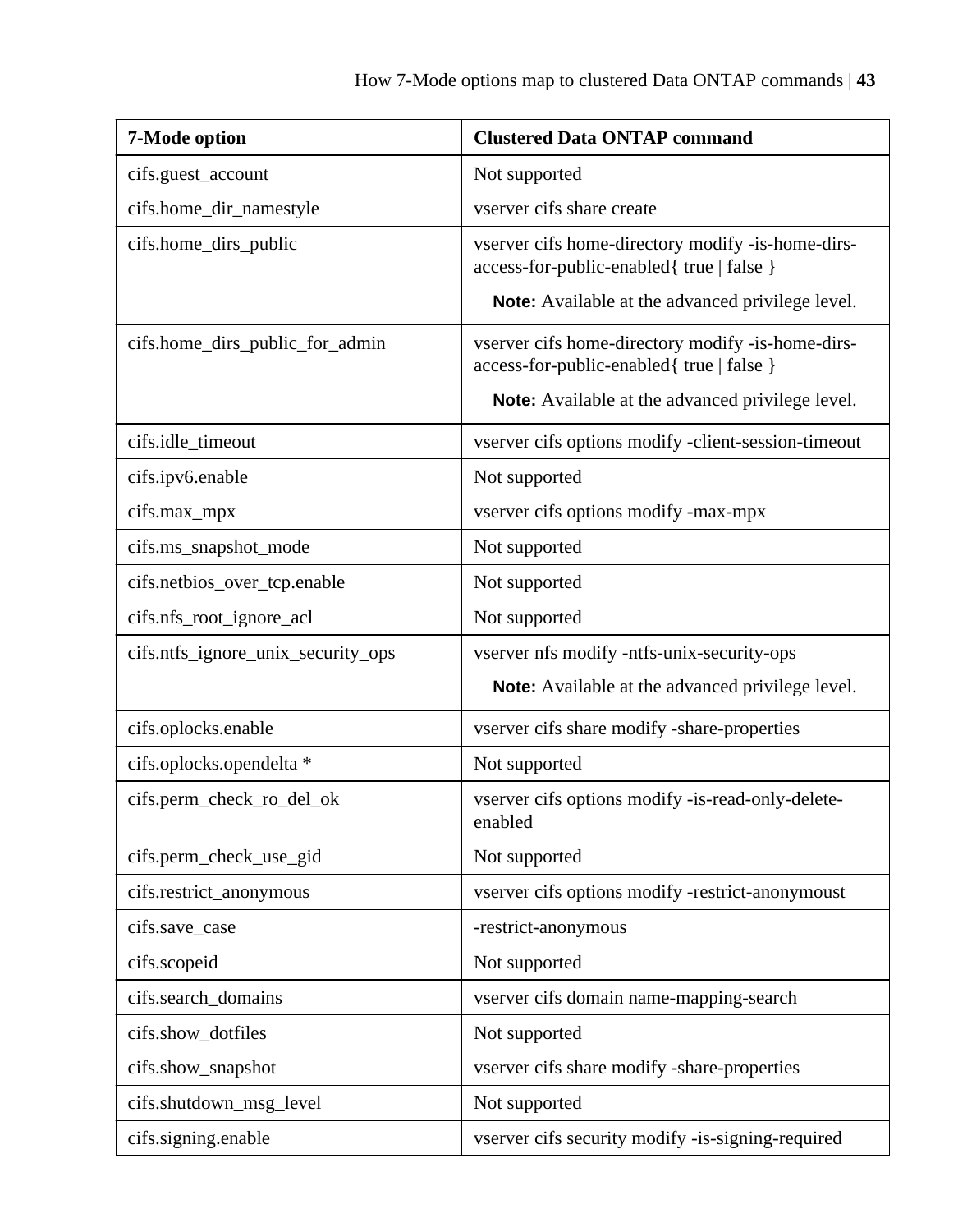| 7-Mode option                      | <b>Clustered Data ONTAP command</b>                                                            |
|------------------------------------|------------------------------------------------------------------------------------------------|
| cifs.guest_account                 | Not supported                                                                                  |
| cifs.home_dir_namestyle            | vserver cifs share create                                                                      |
| cifs.home_dirs_public              | vserver cifs home-directory modify -is-home-dirs-<br>access-for-public-enabled{ true   false } |
|                                    | Note: Available at the advanced privilege level.                                               |
| cifs.home_dirs_public_for_admin    | vserver cifs home-directory modify -is-home-dirs-<br>access-for-public-enabled{ true   false } |
|                                    | Note: Available at the advanced privilege level.                                               |
| cifs.idle_timeout                  | vserver cifs options modify -client-session-timeout                                            |
| cifs.ipv6.enable                   | Not supported                                                                                  |
| cifs.max_mpx                       | vserver cifs options modify -max-mpx                                                           |
| cifs.ms_snapshot_mode              | Not supported                                                                                  |
| cifs.netbios_over_tcp.enable       | Not supported                                                                                  |
| cifs.nfs_root_ignore_acl           | Not supported                                                                                  |
| cifs.ntfs_ignore_unix_security_ops | vserver nfs modify -ntfs-unix-security-ops                                                     |
|                                    | Note: Available at the advanced privilege level.                                               |
| cifs.oplocks.enable                | vserver cifs share modify -share-properties                                                    |
| cifs.oplocks.opendelta *           | Not supported                                                                                  |
| cifs.perm_check_ro_del_ok          | vserver cifs options modify -is-read-only-delete-<br>enabled                                   |
| cifs.perm_check_use_gid            | Not supported                                                                                  |
| cifs.restrict_anonymous            | vserver cifs options modify -restrict-anonymoust                                               |
| cifs.save_case                     | -restrict-anonymous                                                                            |
| cifs.scopeid                       | Not supported                                                                                  |
| cifs.search_domains                | vserver cifs domain name-mapping-search                                                        |
| cifs.show_dotfiles                 | Not supported                                                                                  |
| cifs.show_snapshot                 | vserver cifs share modify -share-properties                                                    |
| cifs.shutdown_msg_level            | Not supported                                                                                  |
| cifs.signing.enable                | vserver cifs security modify -is-signing-required                                              |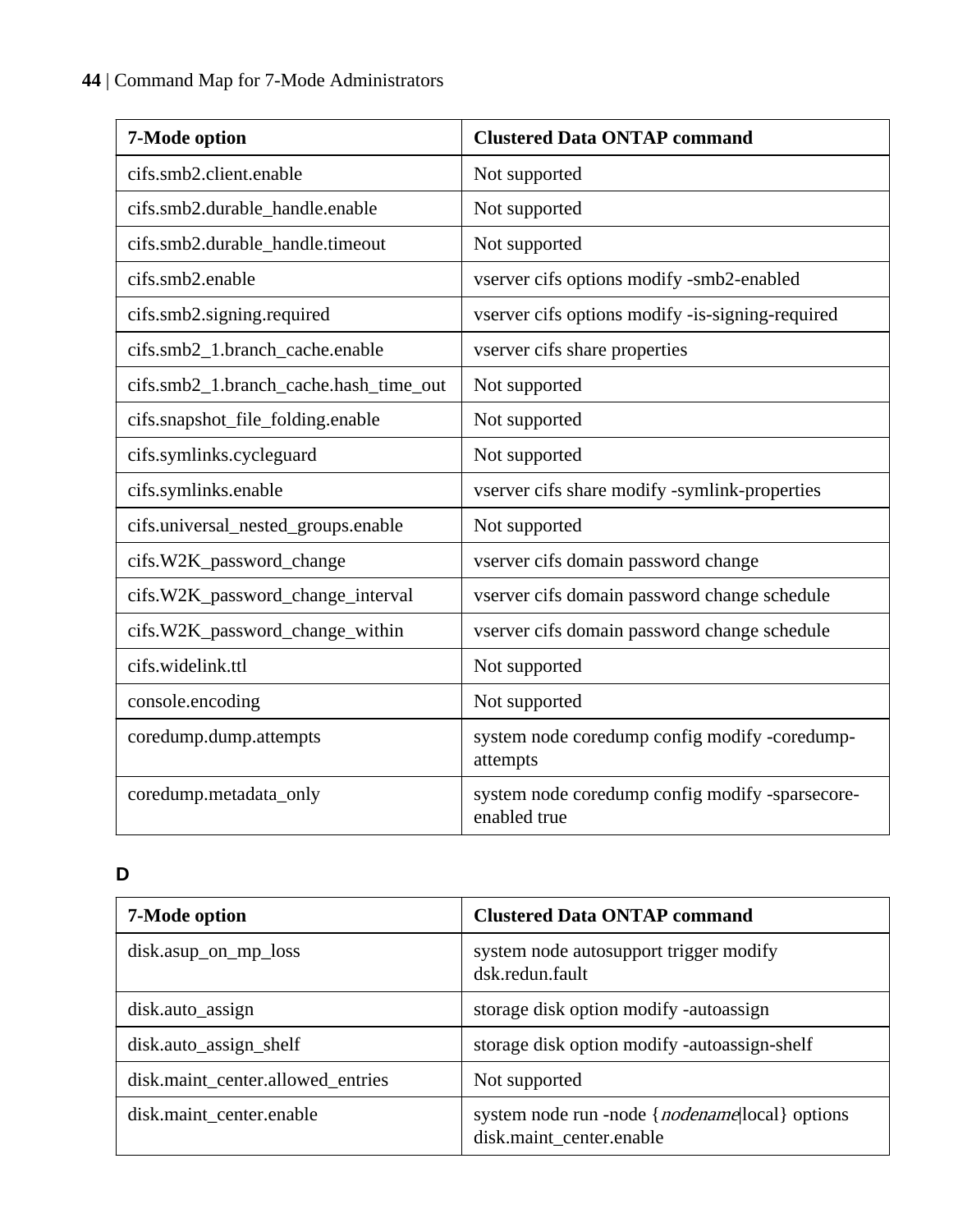<span id="page-43-0"></span>

| 7-Mode option                          | <b>Clustered Data ONTAP command</b>                             |
|----------------------------------------|-----------------------------------------------------------------|
| cifs.smb2.client.enable                | Not supported                                                   |
| cifs.smb2.durable_handle.enable        | Not supported                                                   |
| cifs.smb2.durable_handle.timeout       | Not supported                                                   |
| cifs.smb2.enable                       | vserver cifs options modify -smb2-enabled                       |
| cifs.smb2.signing.required             | vserver cifs options modify -is-signing-required                |
| cifs.smb2_1.branch_cache.enable        | vserver cifs share properties                                   |
| cifs.smb2_1.branch_cache.hash_time_out | Not supported                                                   |
| cifs.snapshot_file_folding.enable      | Not supported                                                   |
| cifs.symlinks.cycleguard               | Not supported                                                   |
| cifs.symlinks.enable                   | vserver cifs share modify -symlink-properties                   |
| cifs.universal_nested_groups.enable    | Not supported                                                   |
| cifs.W2K_password_change               | vserver cifs domain password change                             |
| cifs.W2K_password_change_interval      | vserver cifs domain password change schedule                    |
| cifs.W2K_password_change_within        | vserver cifs domain password change schedule                    |
| cifs.widelink.ttl                      | Not supported                                                   |
| console.encoding                       | Not supported                                                   |
| coredump.dump.attempts                 | system node coredump config modify -coredump-<br>attempts       |
| coredump.metadata_only                 | system node coredump config modify -sparsecore-<br>enabled true |

## **D**

| 7-Mode option                     | <b>Clustered Data ONTAP command</b>                                          |
|-----------------------------------|------------------------------------------------------------------------------|
| disk.asup_on_mp_loss              | system node autosupport trigger modify<br>dsk.redun.fault                    |
| disk.auto_assign                  | storage disk option modify -autoassign                                       |
| disk.auto_assign_shelf            | storage disk option modify -autoassign-shelf                                 |
| disk maint center allowed entries | Not supported                                                                |
| disk.maint_center.enable          | system node run -node { nodename local } options<br>disk.maint center.enable |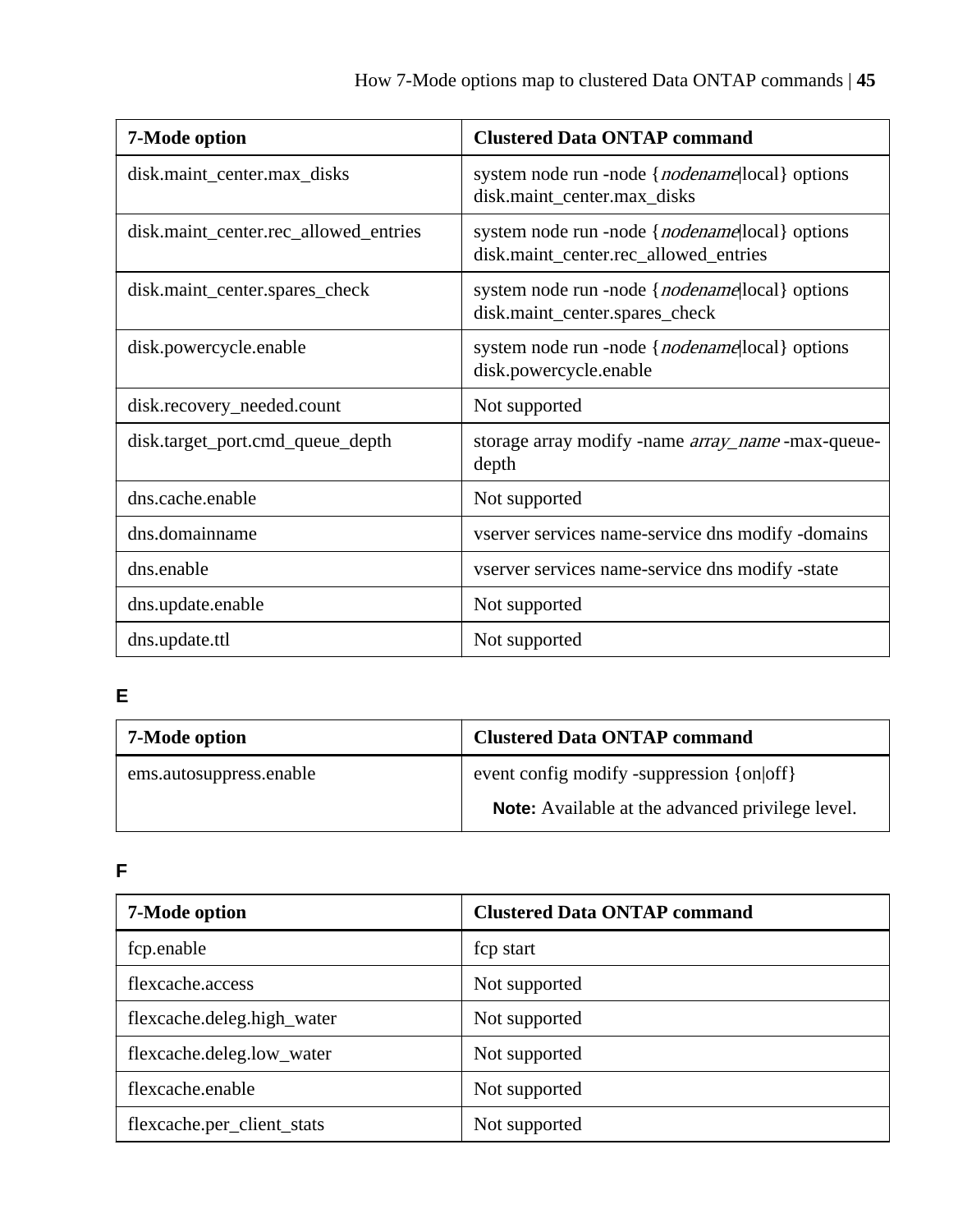<span id="page-44-0"></span>

| 7-Mode option                         | <b>Clustered Data ONTAP command</b>                                                       |
|---------------------------------------|-------------------------------------------------------------------------------------------|
| disk.maint_center.max_disks           | system node run -node { <i>nodename</i> local } options<br>disk.maint_center.max_disks    |
| disk.maint_center.rec_allowed_entries | system node run -node { nodename local } options<br>disk.maint_center.rec_allowed_entries |
| disk.maint_center.spares_check        | system node run -node { <i>nodename</i> local } options<br>disk.maint_center.spares_check |
| disk.powercycle.enable                | system node run -node { <i>nodename</i> local } options<br>disk.powercycle.enable         |
| disk.recovery_needed.count            | Not supported                                                                             |
| disk.target_port.cmd_queue_depth      | storage array modify -name array_name -max-queue-<br>depth                                |
| dns.cache.enable                      | Not supported                                                                             |
| dns.domainname                        | vserver services name-service dns modify -domains                                         |
| dns.enable                            | vserver services name-service dns modify -state                                           |
| dns.update.enable                     | Not supported                                                                             |
| dns.update.ttl                        | Not supported                                                                             |

# **E**

| 7-Mode option           | <b>Clustered Data ONTAP command</b>                     |
|-------------------------|---------------------------------------------------------|
| ems.autosuppress.enable | event config modify -suppression {on off}               |
|                         | <b>Note:</b> Available at the advanced privilege level. |

## **F**

| 7-Mode option              | <b>Clustered Data ONTAP command</b> |
|----------------------------|-------------------------------------|
| fcp.enable                 | fcp start                           |
| flexcache.access           | Not supported                       |
| flexcache.deleg.high_water | Not supported                       |
| flexcache.deleg.low_water  | Not supported                       |
| flexcache.enable           | Not supported                       |
| flexcache.per_client_stats | Not supported                       |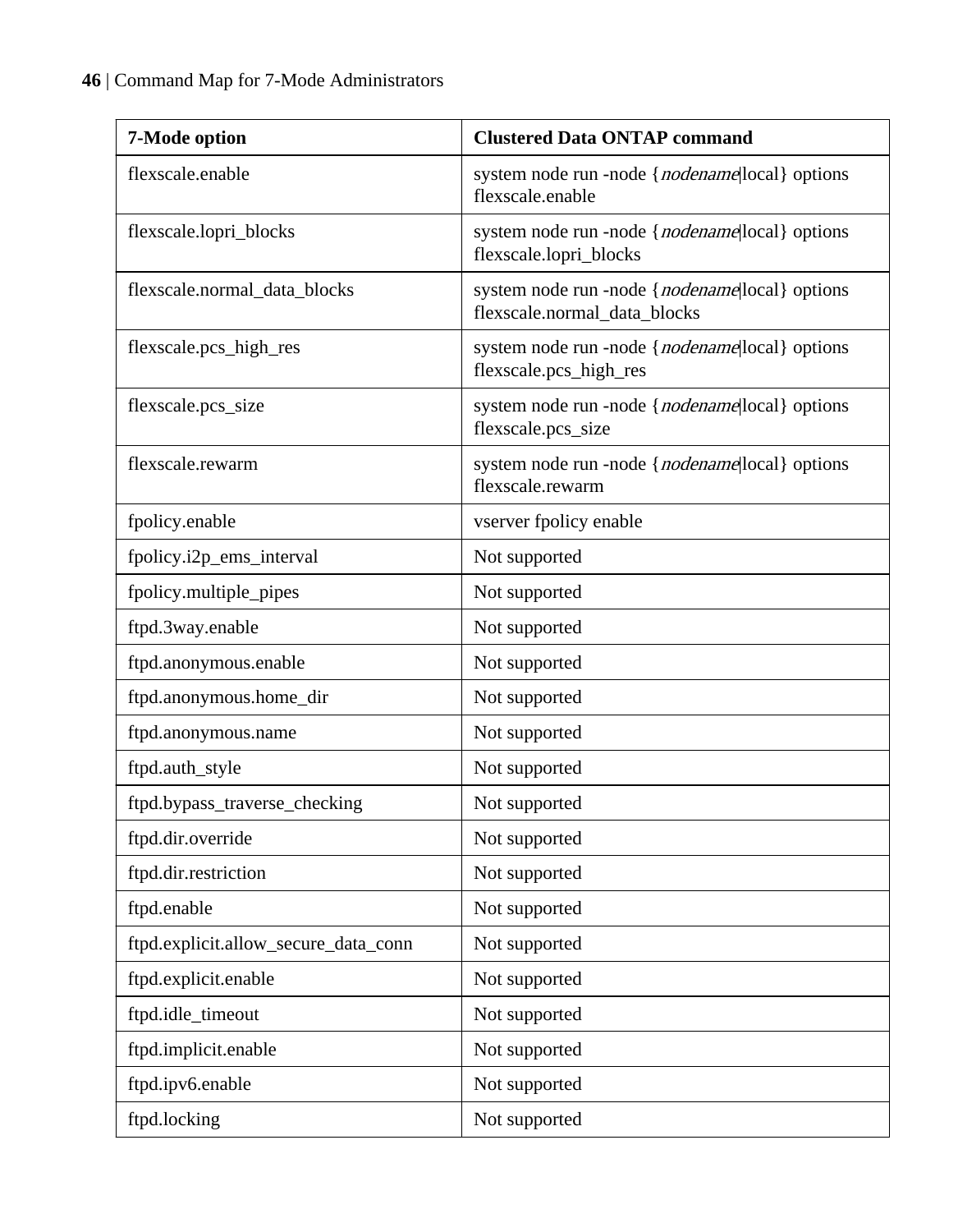| 7-Mode option                        | <b>Clustered Data ONTAP command</b>                                            |
|--------------------------------------|--------------------------------------------------------------------------------|
| flexscale.enable                     | system node run -node { nodename local } options<br>flexscale.enable           |
| flexscale.lopri_blocks               | system node run -node { nodename local } options<br>flexscale.lopri_blocks     |
| flexscale.normal_data_blocks         | system node run -node {nodename local} options<br>flexscale.normal_data_blocks |
| flexscale.pcs_high_res               | system node run -node { nodename local } options<br>flexscale.pcs_high_res     |
| flexscale.pcs_size                   | system node run -node { nodename local } options<br>flexscale.pcs_size         |
| flexscale.rewarm                     | system node run -node { nodename local } options<br>flexscale.rewarm           |
| fpolicy.enable                       | vserver fpolicy enable                                                         |
| fpolicy.i2p_ems_interval             | Not supported                                                                  |
| fpolicy.multiple_pipes               | Not supported                                                                  |
| ftpd.3way.enable                     | Not supported                                                                  |
| ftpd.anonymous.enable                | Not supported                                                                  |
| ftpd.anonymous.home_dir              | Not supported                                                                  |
| ftpd.anonymous.name                  | Not supported                                                                  |
| ftpd.auth_style                      | Not supported                                                                  |
| ftpd.bypass_traverse_checking        | Not supported                                                                  |
| ftpd.dir.override                    | Not supported                                                                  |
| ftpd.dir.restriction                 | Not supported                                                                  |
| ftpd.enable                          | Not supported                                                                  |
| ftpd.explicit.allow_secure_data_conn | Not supported                                                                  |
| ftpd.explicit.enable                 | Not supported                                                                  |
| ftpd.idle_timeout                    | Not supported                                                                  |
| ftpd.implicit.enable                 | Not supported                                                                  |
| ftpd.ipv6.enable                     | Not supported                                                                  |
| ftpd.locking                         | Not supported                                                                  |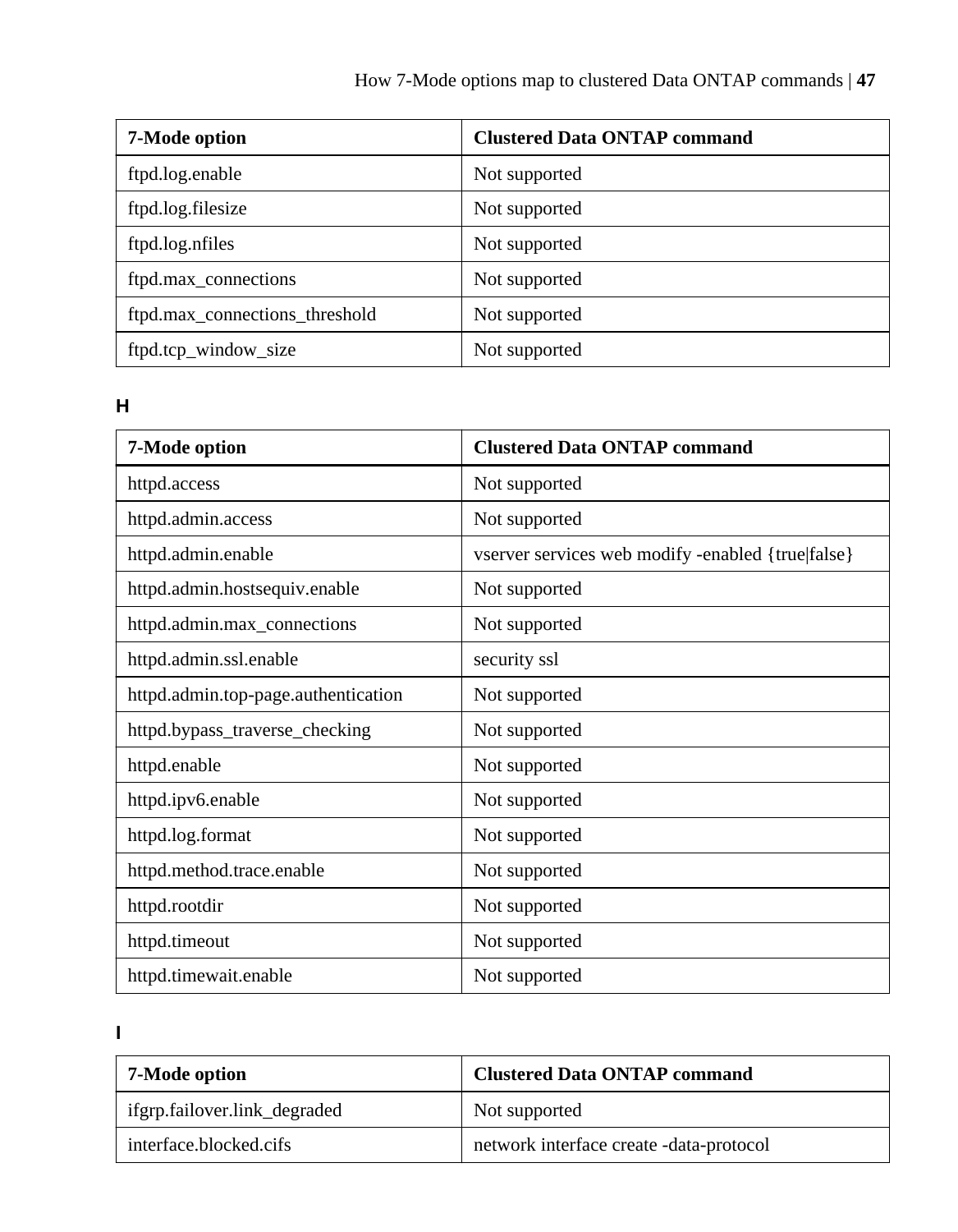<span id="page-46-0"></span>

| 7-Mode option                  | <b>Clustered Data ONTAP command</b> |
|--------------------------------|-------------------------------------|
| ftpd.log.enable                | Not supported                       |
| ftpd.log.filesize              | Not supported                       |
| ftpd.log.nfiles                | Not supported                       |
| ftpd.max_connections           | Not supported                       |
| ftpd.max_connections_threshold | Not supported                       |
| ftpd.tcp_window_size           | Not supported                       |

# **H**

| 7-Mode option                       | <b>Clustered Data ONTAP command</b>               |
|-------------------------------------|---------------------------------------------------|
| httpd.access                        | Not supported                                     |
| httpd.admin.access                  | Not supported                                     |
| httpd.admin.enable                  | vserver services web modify -enabled {true false} |
| httpd.admin.hostsequiv.enable       | Not supported                                     |
| httpd.admin.max_connections         | Not supported                                     |
| httpd.admin.ssl.enable              | security ssl                                      |
| httpd.admin.top-page.authentication | Not supported                                     |
| httpd.bypass_traverse_checking      | Not supported                                     |
| httpd.enable                        | Not supported                                     |
| httpd.ipv6.enable                   | Not supported                                     |
| httpd.log.format                    | Not supported                                     |
| httpd.method.trace.enable           | Not supported                                     |
| httpd.rootdir                       | Not supported                                     |
| httpd.timeout                       | Not supported                                     |
| httpd.timewait.enable               | Not supported                                     |

**I**

| 7-Mode option                | <b>Clustered Data ONTAP command</b>     |
|------------------------------|-----------------------------------------|
| ifgrp.failover.link_degraded | Not supported                           |
| interface.blocked.cifs       | network interface create -data-protocol |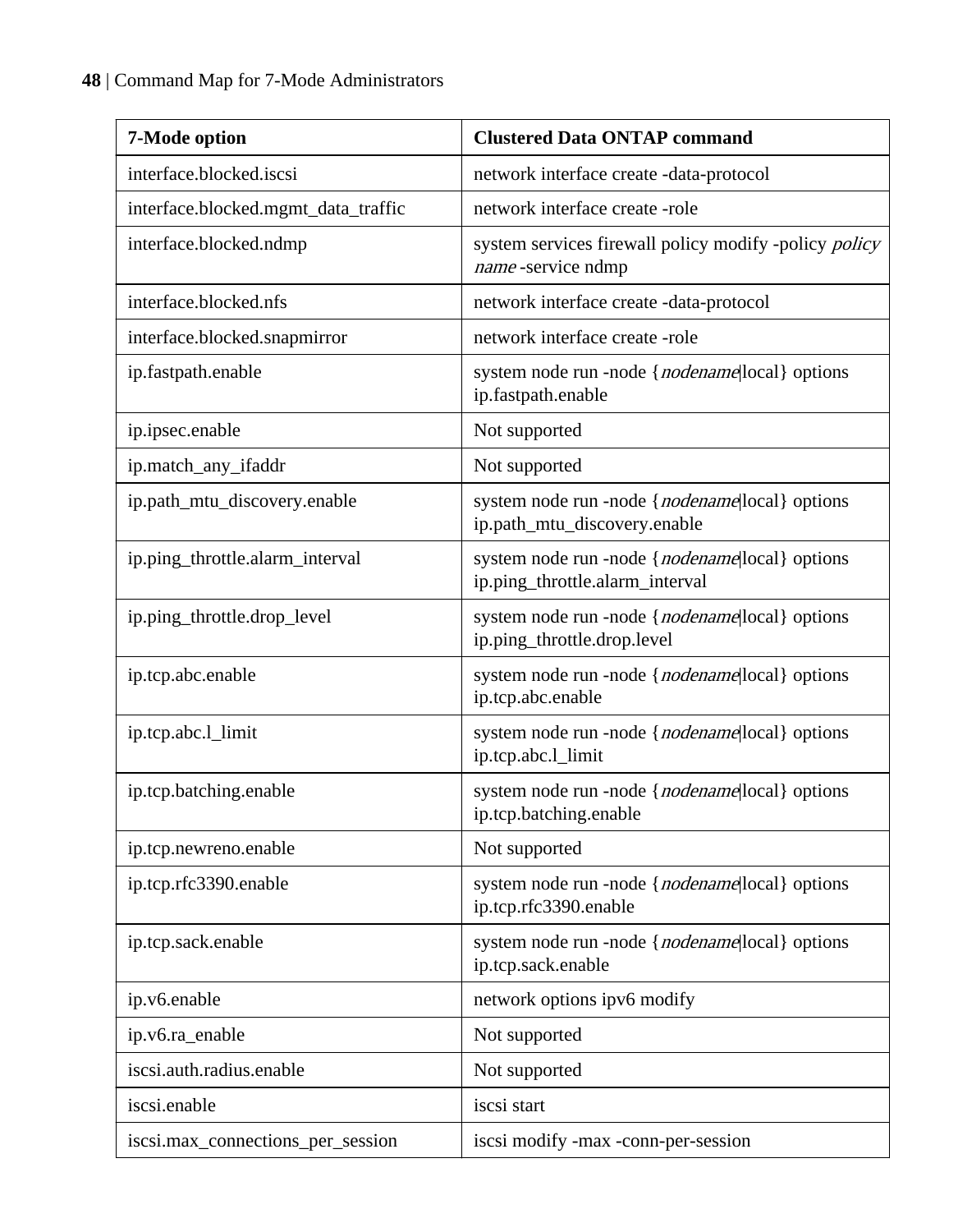| 7-Mode option                       | <b>Clustered Data ONTAP command</b>                                                 |
|-------------------------------------|-------------------------------------------------------------------------------------|
| interface.blocked.iscsi             | network interface create -data-protocol                                             |
| interface.blocked.mgmt_data_traffic | network interface create -role                                                      |
| interface.blocked.ndmp              | system services firewall policy modify -policy policy<br>name-service ndmp          |
| interface.blocked.nfs               | network interface create -data-protocol                                             |
| interface.blocked.snapmirror        | network interface create -role                                                      |
| ip.fastpath.enable                  | system node run -node { nodename local } options<br>ip.fastpath.enable              |
| ip.ipsec.enable                     | Not supported                                                                       |
| ip.match_any_ifaddr                 | Not supported                                                                       |
| ip.path_mtu_discovery.enable        | system node run -node { nodename local } options<br>ip.path_mtu_discovery.enable    |
| ip.ping_throttle.alarm_interval     | system node run -node { nodename local } options<br>ip.ping_throttle.alarm_interval |
| ip.ping_throttle.drop_level         | system node run -node { nodename local } options<br>ip.ping_throttle.drop.level     |
| ip.tcp.abc.enable                   | system node run -node { nodename local } options<br>ip.tcp.abc.enable               |
| ip.tcp.abc.l_limit                  | system node run -node { nodename local } options<br>ip.tcp.abc.l_limit              |
| ip.tcp.batching.enable              | system node run -node { nodename local } options<br>ip.tcp.batching.enable          |
| ip.tcp.newreno.enable               | Not supported                                                                       |
| ip.tcp.rfc3390.enable               | system node run -node { nodename local } options<br>ip.tcp.rfc3390.enable           |
| ip.tcp.sack.enable                  | system node run -node { nodename local } options<br>ip.tcp.sack.enable              |
| ip.v6.enable                        | network options ipv6 modify                                                         |
| ip.v6.ra_enable                     | Not supported                                                                       |
| iscsi.auth.radius.enable            | Not supported                                                                       |
| iscsi.enable                        | iscsi start                                                                         |
| iscsi.max_connections_per_session   | iscsi modify -max -conn-per-session                                                 |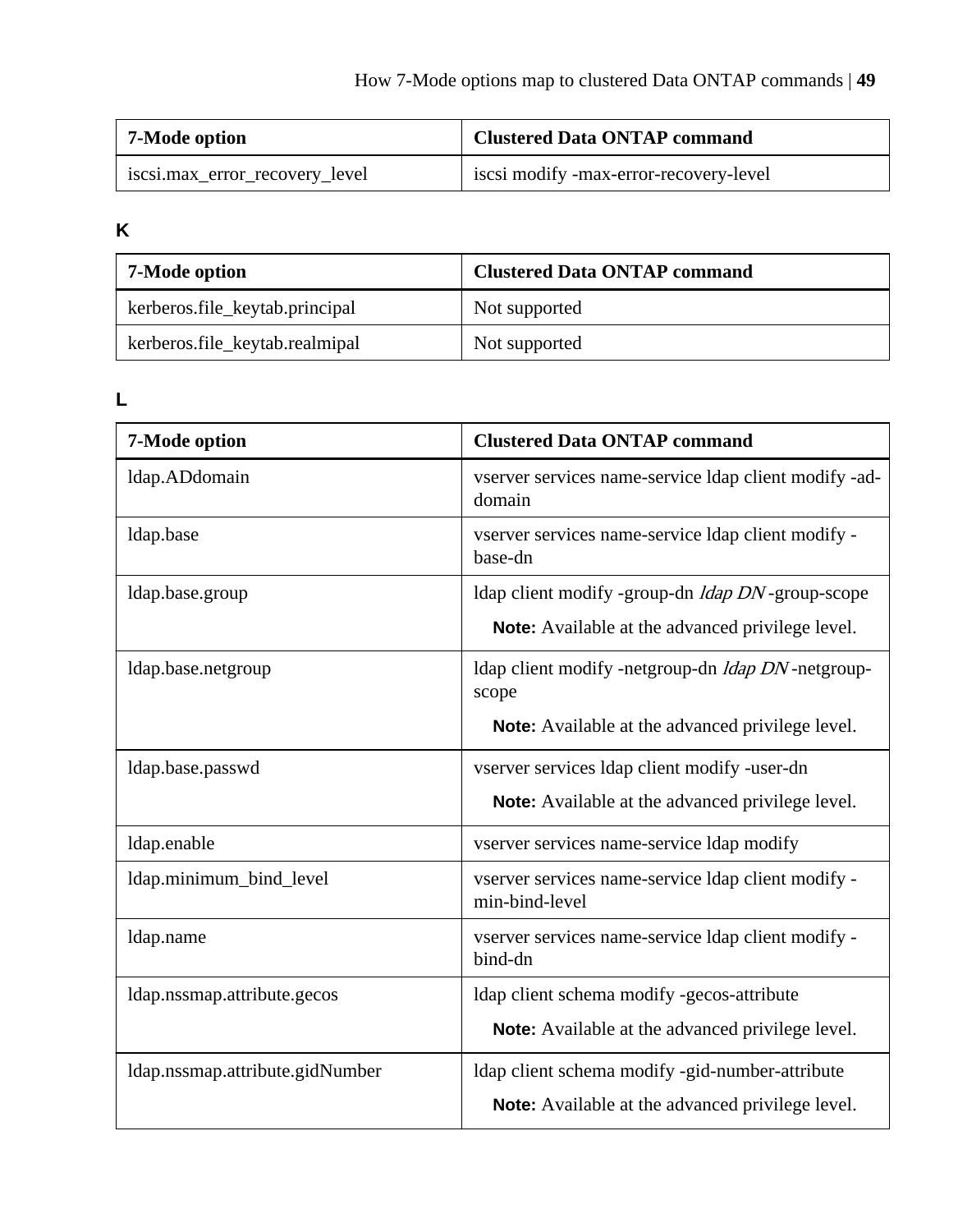<span id="page-48-0"></span>

| 7-Mode option                  | <b>Clustered Data ONTAP command</b>    |
|--------------------------------|----------------------------------------|
| iscsi.max_error_recovery_level | iscsi modify -max-error-recovery-level |

# **K**

| 7-Mode option                  | <b>Clustered Data ONTAP command</b> |
|--------------------------------|-------------------------------------|
| kerberos.file_keytab.principal | Not supported                       |
| kerberos.file_keytab.realmipal | Not supported                       |

## **L**

| 7-Mode option                   | <b>Clustered Data ONTAP command</b>                                  |
|---------------------------------|----------------------------------------------------------------------|
| ldap.ADdomain                   | vserver services name-service Idap client modify -ad-<br>domain      |
| ldap.base                       | vserver services name-service Idap client modify -<br>base-dn        |
| ldap.base.group                 | Idap client modify -group-dn Idap DN-group-scope                     |
|                                 | <b>Note:</b> Available at the advanced privilege level.              |
| ldap.base.netgroup              | Idap client modify -netgroup-dn <i>Idap DN</i> -netgroup-<br>scope   |
|                                 | Note: Available at the advanced privilege level.                     |
| ldap.base.passwd                | vserver services Idap client modify -user-dn                         |
|                                 | Note: Available at the advanced privilege level.                     |
| ldap.enable                     | vserver services name-service Idap modify                            |
| ldap.minimum_bind_level         | vserver services name-service Idap client modify -<br>min-bind-level |
| ldap.name                       | vserver services name-service Idap client modify -<br>bind-dn        |
| ldap.nssmap.attribute.gecos     | Idap client schema modify -gecos-attribute                           |
|                                 | Note: Available at the advanced privilege level.                     |
| ldap.nssmap.attribute.gidNumber | Idap client schema modify -gid-number-attribute                      |
|                                 | Note: Available at the advanced privilege level.                     |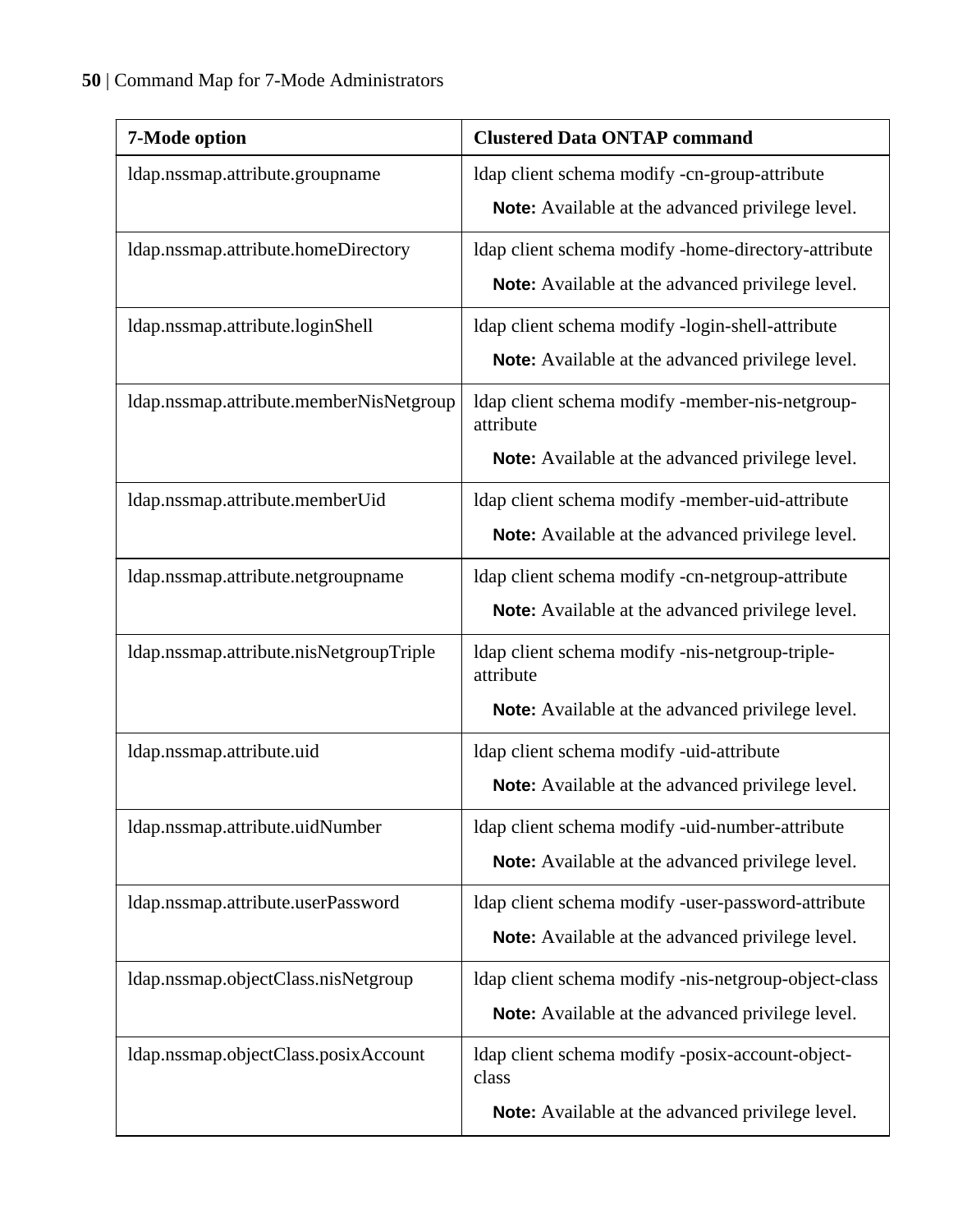| 7-Mode option                           | <b>Clustered Data ONTAP command</b>                          |
|-----------------------------------------|--------------------------------------------------------------|
| ldap.nssmap.attribute.groupname         | Idap client schema modify -cn-group-attribute                |
|                                         | Note: Available at the advanced privilege level.             |
| Idap.nssmap.attribute.homeDirectory     | Idap client schema modify -home-directory-attribute          |
|                                         | Note: Available at the advanced privilege level.             |
| ldap.nssmap.attribute.loginShell        | Idap client schema modify -login-shell-attribute             |
|                                         | Note: Available at the advanced privilege level.             |
| ldap.nssmap.attribute.memberNisNetgroup | Idap client schema modify -member-nis-netgroup-<br>attribute |
|                                         | Note: Available at the advanced privilege level.             |
| ldap.nssmap.attribute.memberUid         | Idap client schema modify -member-uid-attribute              |
|                                         | Note: Available at the advanced privilege level.             |
| ldap.nssmap.attribute.netgroupname      | Idap client schema modify -cn-netgroup-attribute             |
|                                         | Note: Available at the advanced privilege level.             |
| ldap.nssmap.attribute.nisNetgroupTriple | Idap client schema modify -nis-netgroup-triple-<br>attribute |
|                                         | Note: Available at the advanced privilege level.             |
| ldap.nssmap.attribute.uid               | Idap client schema modify -uid-attribute                     |
|                                         | Note: Available at the advanced privilege level.             |
| ldap.nssmap.attribute.uidNumber         | Idap client schema modify -uid-number-attribute              |
|                                         | Note: Available at the advanced privilege level.             |
| Idap.nssmap.attribute.userPassword      | Idap client schema modify -user-password-attribute           |
|                                         | Note: Available at the advanced privilege level.             |
| ldap.nssmap.objectClass.nisNetgroup     | Idap client schema modify -nis-netgroup-object-class         |
|                                         | Note: Available at the advanced privilege level.             |
| ldap.nssmap.objectClass.posixAccount    | Idap client schema modify -posix-account-object-<br>class    |
|                                         | Note: Available at the advanced privilege level.             |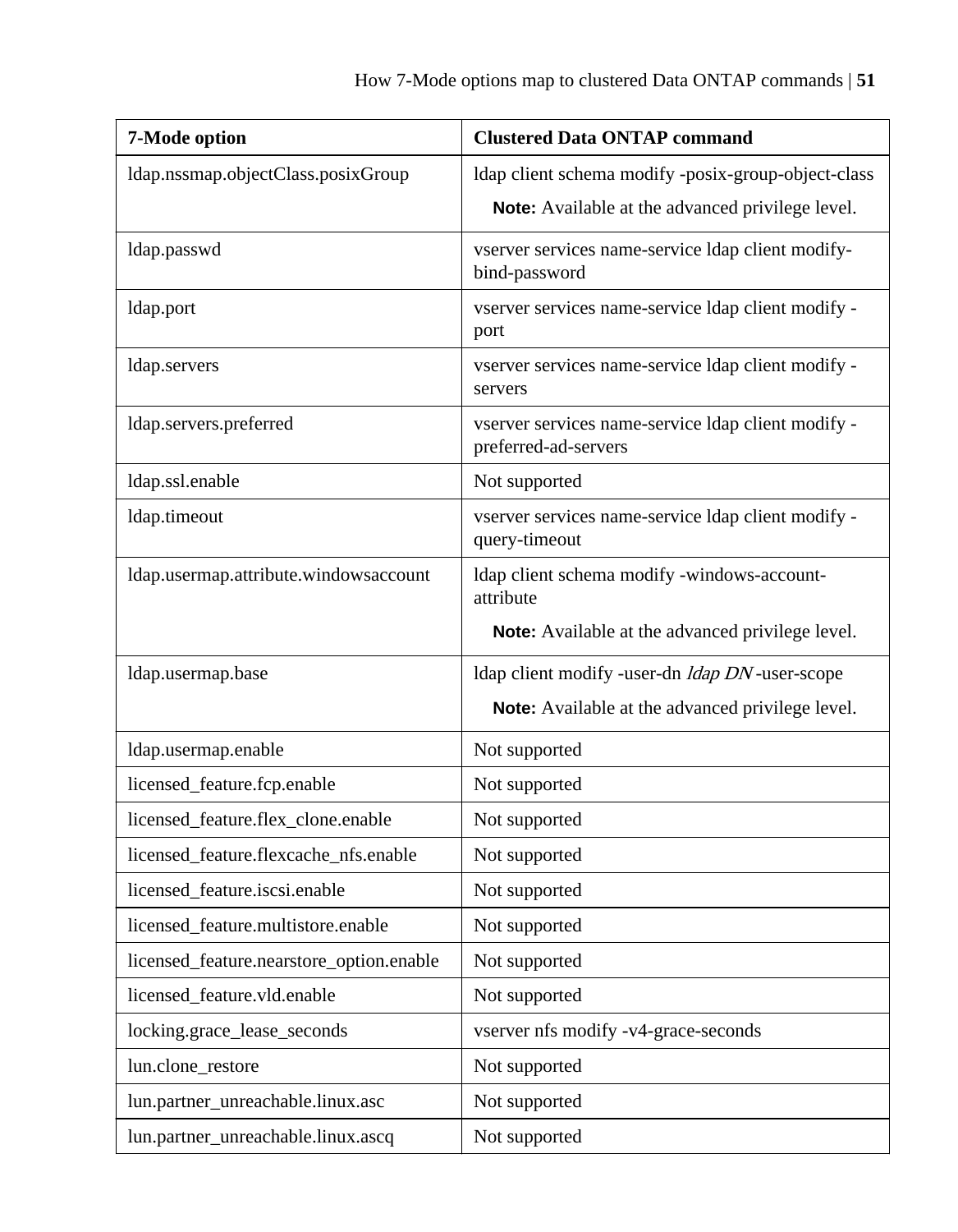| 7-Mode option                            | <b>Clustered Data ONTAP command</b>                                        |
|------------------------------------------|----------------------------------------------------------------------------|
| ldap.nssmap.objectClass.posixGroup       | Idap client schema modify -posix-group-object-class                        |
|                                          | Note: Available at the advanced privilege level.                           |
| ldap.passwd                              | vserver services name-service Idap client modify-<br>bind-password         |
| ldap.port                                | vserver services name-service Idap client modify -<br>port                 |
| ldap.servers                             | vserver services name-service Idap client modify -<br>servers              |
| ldap.servers.preferred                   | vserver services name-service Idap client modify -<br>preferred-ad-servers |
| ldap.ssl.enable                          | Not supported                                                              |
| ldap.timeout                             | vserver services name-service Idap client modify -<br>query-timeout        |
| ldap.usermap.attribute.windowsaccount    | Idap client schema modify -windows-account-<br>attribute                   |
|                                          | Note: Available at the advanced privilege level.                           |
| ldap.usermap.base                        | Idap client modify -user-dn <i>Idap DN</i> -user-scope                     |
|                                          | Note: Available at the advanced privilege level.                           |
| ldap.usermap.enable                      | Not supported                                                              |
| licensed_feature.fcp.enable              | Not supported                                                              |
| licensed_feature.flex_clone.enable       | Not supported                                                              |
| licensed_feature.flexcache_nfs.enable    | Not supported                                                              |
| licensed_feature.iscsi.enable            | Not supported                                                              |
| licensed_feature.multistore.enable       | Not supported                                                              |
| licensed_feature.nearstore_option.enable | Not supported                                                              |
| licensed_feature.vld.enable              | Not supported                                                              |
| locking.grace_lease_seconds              | vserver nfs modify -v4-grace-seconds                                       |
| lun.clone_restore                        | Not supported                                                              |
| lun.partner_unreachable.linux.asc        | Not supported                                                              |
| lun.partner_unreachable.linux.ascq       | Not supported                                                              |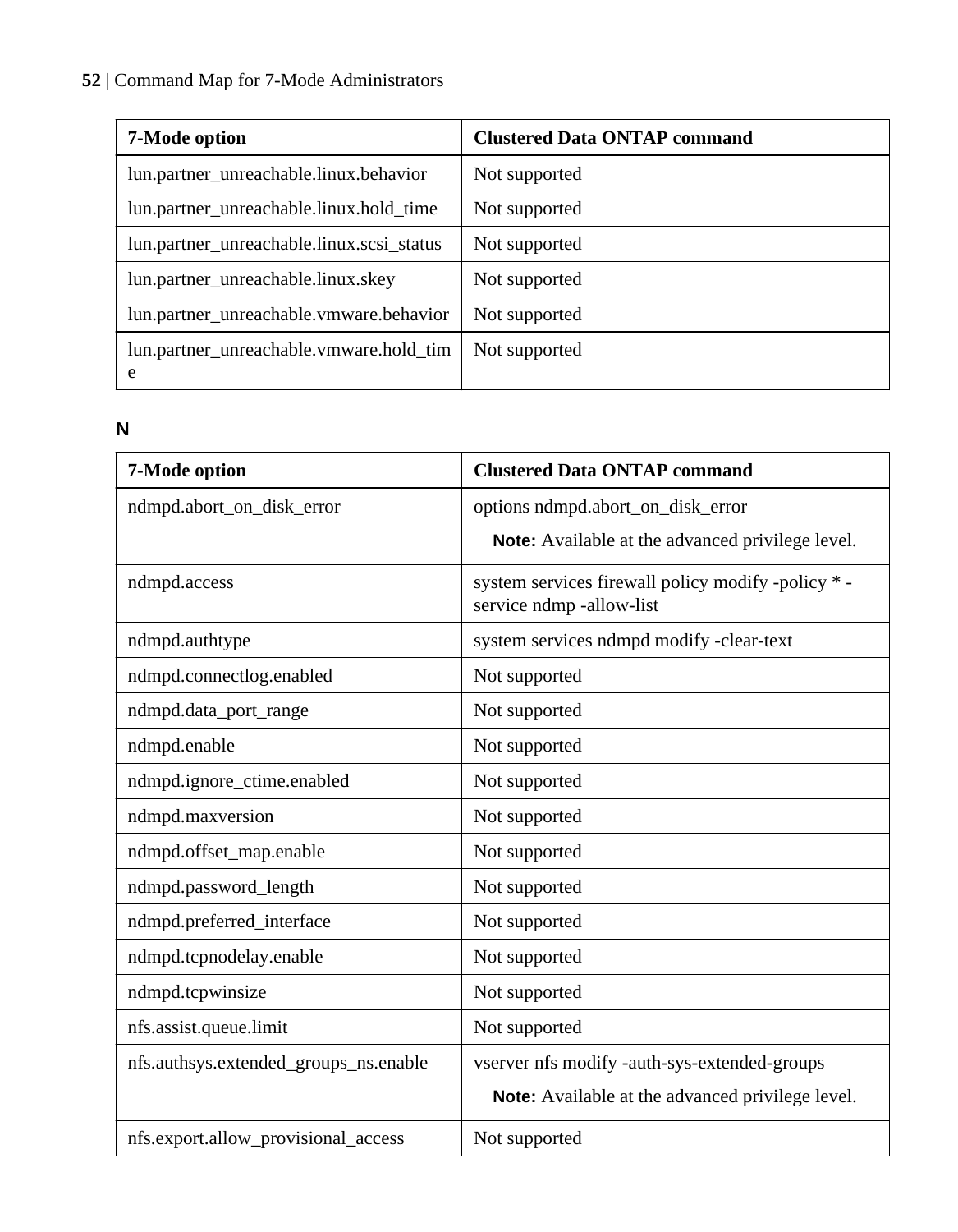<span id="page-51-0"></span>

| 7-Mode option                             | <b>Clustered Data ONTAP command</b> |
|-------------------------------------------|-------------------------------------|
| lun.partner_unreachable.linux.behavior    | Not supported                       |
| lun.partner_unreachable.linux.hold_time   | Not supported                       |
| lun.partner_unreachable.linux.scsi_status | Not supported                       |
| lun.partner_unreachable.linux.skey        | Not supported                       |
| lun.partner_unreachable.vmware.behavior   | Not supported                       |
| lun.partner_unreachable.vmware.hold_tim   | Not supported                       |
| e                                         |                                     |

## **N**

| 7-Mode option                         | <b>Clustered Data ONTAP command</b>                                           |
|---------------------------------------|-------------------------------------------------------------------------------|
| ndmpd.abort_on_disk_error             | options ndmpd.abort_on_disk_error                                             |
|                                       | Note: Available at the advanced privilege level.                              |
| ndmpd.access                          | system services firewall policy modify -policy *-<br>service ndmp -allow-list |
| ndmpd.authtype                        | system services ndmpd modify -clear-text                                      |
| ndmpd.connectlog.enabled              | Not supported                                                                 |
| ndmpd.data_port_range                 | Not supported                                                                 |
| ndmpd.enable                          | Not supported                                                                 |
| ndmpd.ignore_ctime.enabled            | Not supported                                                                 |
| ndmpd.maxversion                      | Not supported                                                                 |
| ndmpd.offset_map.enable               | Not supported                                                                 |
| ndmpd.password_length                 | Not supported                                                                 |
| ndmpd.preferred_interface             | Not supported                                                                 |
| ndmpd.tcpnodelay.enable               | Not supported                                                                 |
| ndmpd.tcpwinsize                      | Not supported                                                                 |
| nfs.assist.queue.limit                | Not supported                                                                 |
| nfs.authsys.extended_groups_ns.enable | vserver nfs modify -auth-sys-extended-groups                                  |
|                                       | <b>Note:</b> Available at the advanced privilege level.                       |
| nfs.export.allow_provisional_access   | Not supported                                                                 |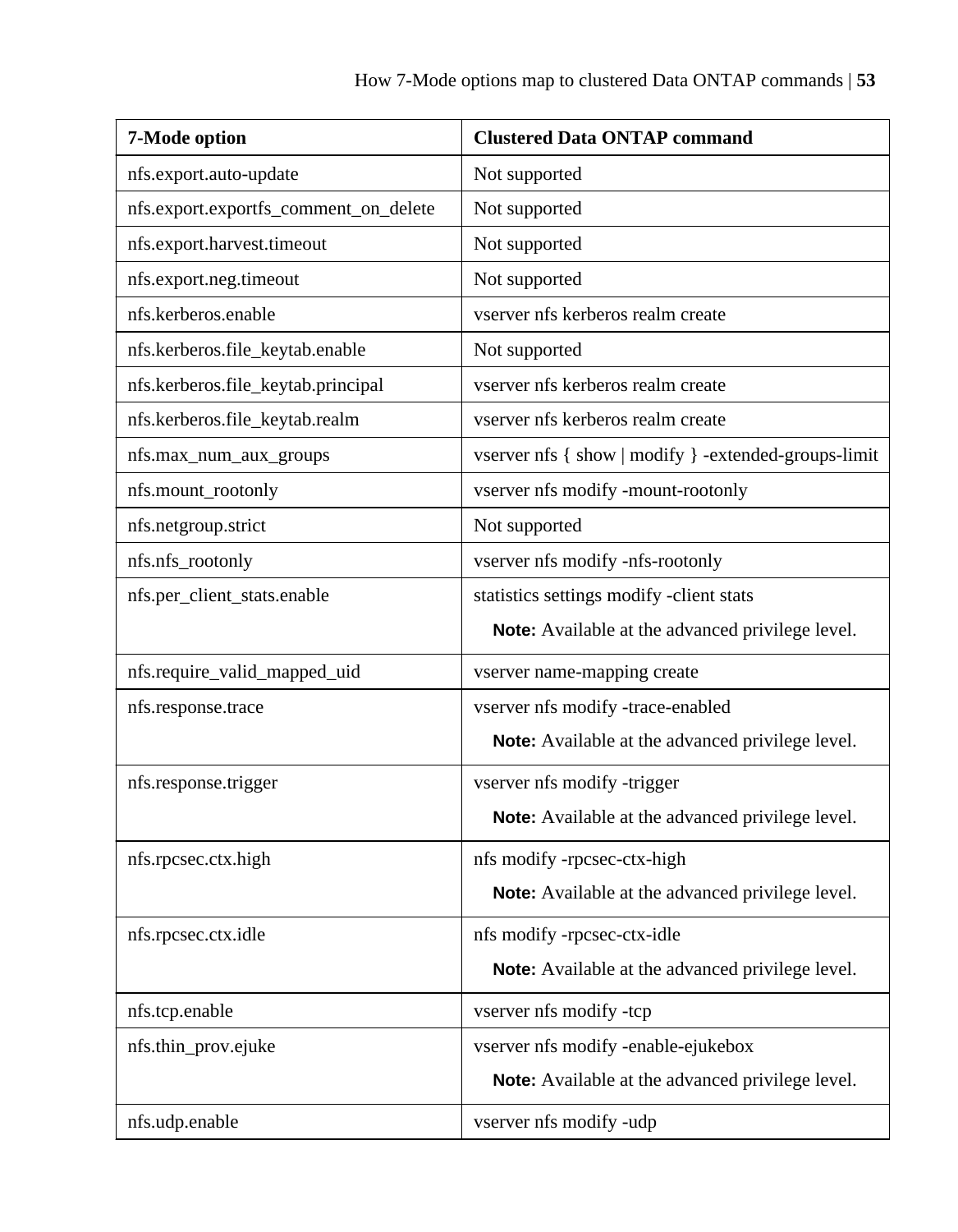| 7-Mode option                         | <b>Clustered Data ONTAP command</b>                     |
|---------------------------------------|---------------------------------------------------------|
| nfs.export.auto-update                | Not supported                                           |
| nfs.export.exportfs_comment_on_delete | Not supported                                           |
| nfs.export.harvest.timeout            | Not supported                                           |
| nfs.export.neg.timeout                | Not supported                                           |
| nfs.kerberos.enable                   | vserver nfs kerberos realm create                       |
| nfs.kerberos.file_keytab.enable       | Not supported                                           |
| nfs.kerberos.file_keytab.principal    | vserver nfs kerberos realm create                       |
| nfs.kerberos.file_keytab.realm        | vserver nfs kerberos realm create                       |
| nfs.max_num_aux_groups                | vserver nfs { show   modify } -extended-groups-limit    |
| nfs.mount_rootonly                    | vserver nfs modify -mount-rootonly                      |
| nfs.netgroup.strict                   | Not supported                                           |
| nfs.nfs_rootonly                      | vserver nfs modify -nfs-rootonly                        |
| nfs.per_client_stats.enable           | statistics settings modify -client stats                |
|                                       | Note: Available at the advanced privilege level.        |
| nfs.require_valid_mapped_uid          | vserver name-mapping create                             |
| nfs.response.trace                    | vserver nfs modify -trace-enabled                       |
|                                       | Note: Available at the advanced privilege level.        |
| nfs.response.trigger                  | vserver nfs modify -trigger                             |
|                                       | Note: Available at the advanced privilege level.        |
| nfs.rpcsec.ctx.high                   | nfs modify -rpcsec-ctx-high                             |
|                                       | <b>Note:</b> Available at the advanced privilege level. |
| nfs.rpcsec.ctx.idle                   | nfs modify -rpcsec-ctx-idle                             |
|                                       | Note: Available at the advanced privilege level.        |
| nfs.tcp.enable                        | vserver nfs modify -tcp                                 |
| nfs.thin_prov.ejuke                   | vserver nfs modify -enable-ejukebox                     |
|                                       | Note: Available at the advanced privilege level.        |
| nfs.udp.enable                        | vserver nfs modify -udp                                 |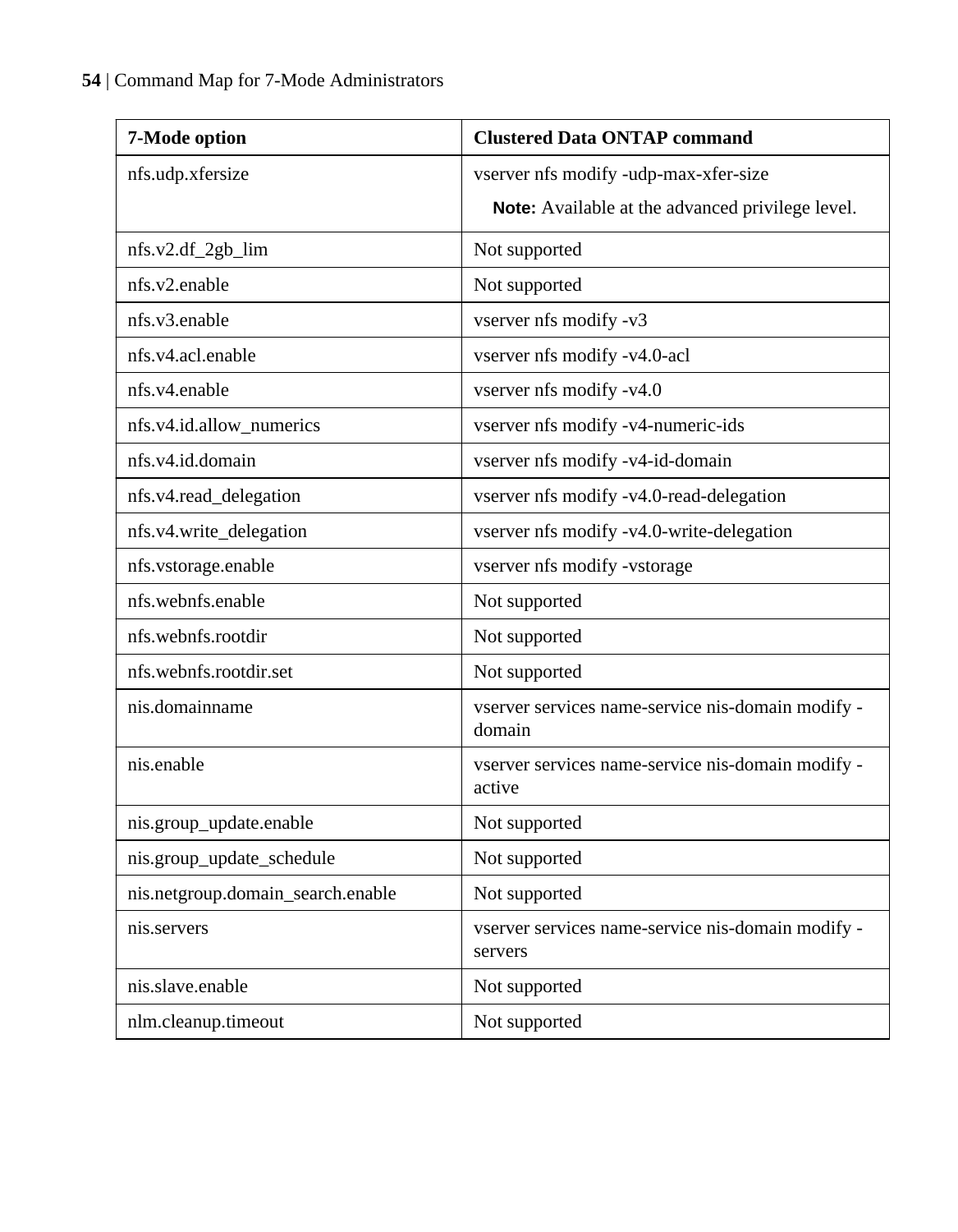| 7-Mode option                     | <b>Clustered Data ONTAP command</b>                          |
|-----------------------------------|--------------------------------------------------------------|
| nfs.udp.xfersize                  | vserver nfs modify -udp-max-xfer-size                        |
|                                   | Note: Available at the advanced privilege level.             |
| nfs.v2.df_2gb_lim                 | Not supported                                                |
| nfs.v2.enable                     | Not supported                                                |
| nfs.v3.enable                     | vserver nfs modify -v3                                       |
| nfs.v4.acl.enable                 | vserver nfs modify -v4.0-acl                                 |
| nfs.v4.enable                     | vserver nfs modify -v4.0                                     |
| nfs.v4.id.allow_numerics          | vserver nfs modify -v4-numeric-ids                           |
| nfs.v4.id.domain                  | vserver nfs modify -v4-id-domain                             |
| nfs.v4.read_delegation            | vserver nfs modify -v4.0-read-delegation                     |
| nfs.v4.write_delegation           | vserver nfs modify -v4.0-write-delegation                    |
| nfs.vstorage.enable               | vserver nfs modify -vstorage                                 |
| nfs.webnfs.enable                 | Not supported                                                |
| nfs.webnfs.rootdir                | Not supported                                                |
| nfs.webnfs.rootdir.set            | Not supported                                                |
| nis.domainname                    | vserver services name-service nis-domain modify -<br>domain  |
| nis.enable                        | vserver services name-service nis-domain modify -<br>active  |
| nis.group_update.enable           | Not supported                                                |
| nis.group_update_schedule         | Not supported                                                |
| nis.netgroup.domain_search.enable | Not supported                                                |
| nis.servers                       | vserver services name-service nis-domain modify -<br>servers |
| nis.slave.enable                  | Not supported                                                |
| nlm.cleanup.timeout               | Not supported                                                |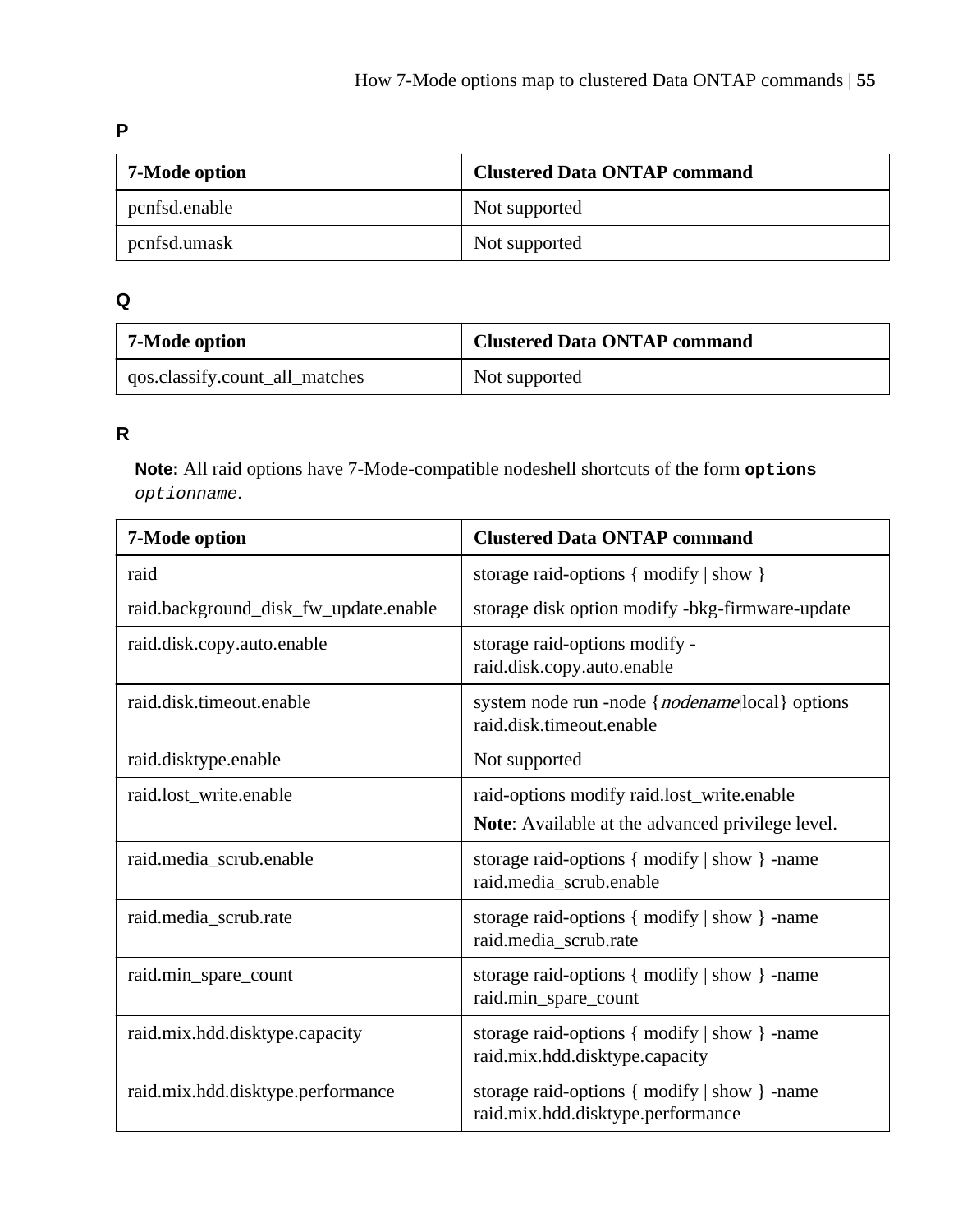<span id="page-54-0"></span>

| - |    |   |
|---|----|---|
|   | ۰. | I |
|   |    |   |

| 7-Mode option | <b>Clustered Data ONTAP command</b> |
|---------------|-------------------------------------|
| pcnfsd.enable | Not supported                       |
| pcnfsd.umask  | Not supported                       |

**Q**

| 7-Mode option                  | <b>Clustered Data ONTAP command</b> |
|--------------------------------|-------------------------------------|
| qos.classify.count_all_matches | Not supported                       |

## **R**

**Note:** All raid options have 7-Mode-compatible nodeshell shortcuts of the form **options** optionname.

| 7-Mode option                         | <b>Clustered Data ONTAP command</b>                                                 |
|---------------------------------------|-------------------------------------------------------------------------------------|
| raid                                  | storage raid-options { modify   show }                                              |
| raid.background_disk_fw_update.enable | storage disk option modify -bkg-firmware-update                                     |
| raid.disk.copy.auto.enable            | storage raid-options modify -<br>raid.disk.copy.auto.enable                         |
| raid disk timeout enable              | system node run -node { <i>nodename</i> local } options<br>raid.disk.timeout.enable |
| raid.disktype.enable                  | Not supported                                                                       |
| raid.lost_write.enable                | raid-options modify raid.lost_write.enable                                          |
|                                       | <b>Note:</b> Available at the advanced privilege level.                             |
| raid.media scrub.enable               | storage raid-options { modify   show } -name<br>raid.media_scrub.enable             |
| raid.media_scrub.rate                 | storage raid-options { modify   show } -name<br>raid.media_scrub.rate               |
| raid.min spare count                  | storage raid-options { modify   show } -name<br>raid.min_spare_count                |
| raid.mix.hdd.disktype.capacity        | storage raid-options { modify   show } -name<br>raid.mix.hdd.disktype.capacity      |
| raid.mix.hdd.disktype.performance     | storage raid-options { modify   show } -name<br>raid.mix.hdd.disktype.performance   |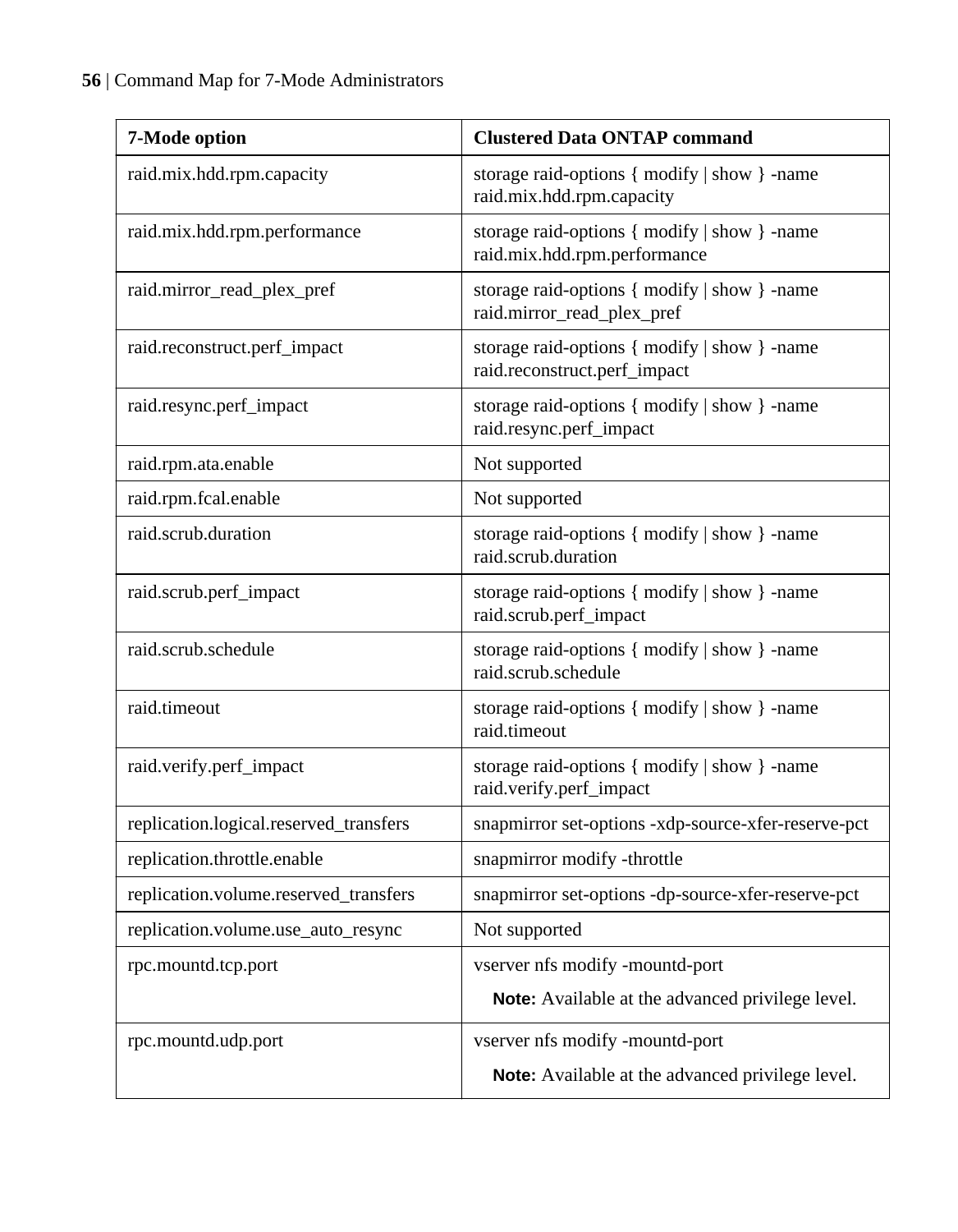| 7-Mode option                          | <b>Clustered Data ONTAP command</b>                                          |
|----------------------------------------|------------------------------------------------------------------------------|
| raid.mix.hdd.rpm.capacity              | storage raid-options { modify   show } -name<br>raid.mix.hdd.rpm.capacity    |
| raid.mix.hdd.rpm.performance           | storage raid-options { modify   show } -name<br>raid.mix.hdd.rpm.performance |
| raid.mirror_read_plex_pref             | storage raid-options { modify   show } -name<br>raid.mirror_read_plex_pref   |
| raid.reconstruct.perf_impact           | storage raid-options { modify   show } -name<br>raid.reconstruct.perf_impact |
| raid.resync.perf_impact                | storage raid-options { modify   show } -name<br>raid.resync.perf_impact      |
| raid.rpm.ata.enable                    | Not supported                                                                |
| raid.rpm.fcal.enable                   | Not supported                                                                |
| raid.scrub.duration                    | storage raid-options { modify   show } -name<br>raid.scrub.duration          |
| raid.scrub.perf_impact                 | storage raid-options { modify   show } -name<br>raid.scrub.perf_impact       |
| raid.scrub.schedule                    | storage raid-options { modify   show } -name<br>raid.scrub.schedule          |
| raid.timeout                           | storage raid-options { modify   show } -name<br>raid.timeout                 |
| raid.verify.perf_impact                | storage raid-options { modify   show } -name<br>raid.verify.perf_impact      |
| replication.logical.reserved_transfers | snapmirror set-options -xdp-source-xfer-reserve-pct                          |
| replication.throttle.enable            | snapmirror modify -throttle                                                  |
| replication.volume.reserved_transfers  | snapmirror set-options -dp-source-xfer-reserve-pct                           |
| replication.volume.use_auto_resync     | Not supported                                                                |
| rpc.mountd.tcp.port                    | vserver nfs modify -mountd-port                                              |
|                                        | Note: Available at the advanced privilege level.                             |
| rpc.mountd.udp.port                    | vserver nfs modify -mountd-port                                              |
|                                        | Note: Available at the advanced privilege level.                             |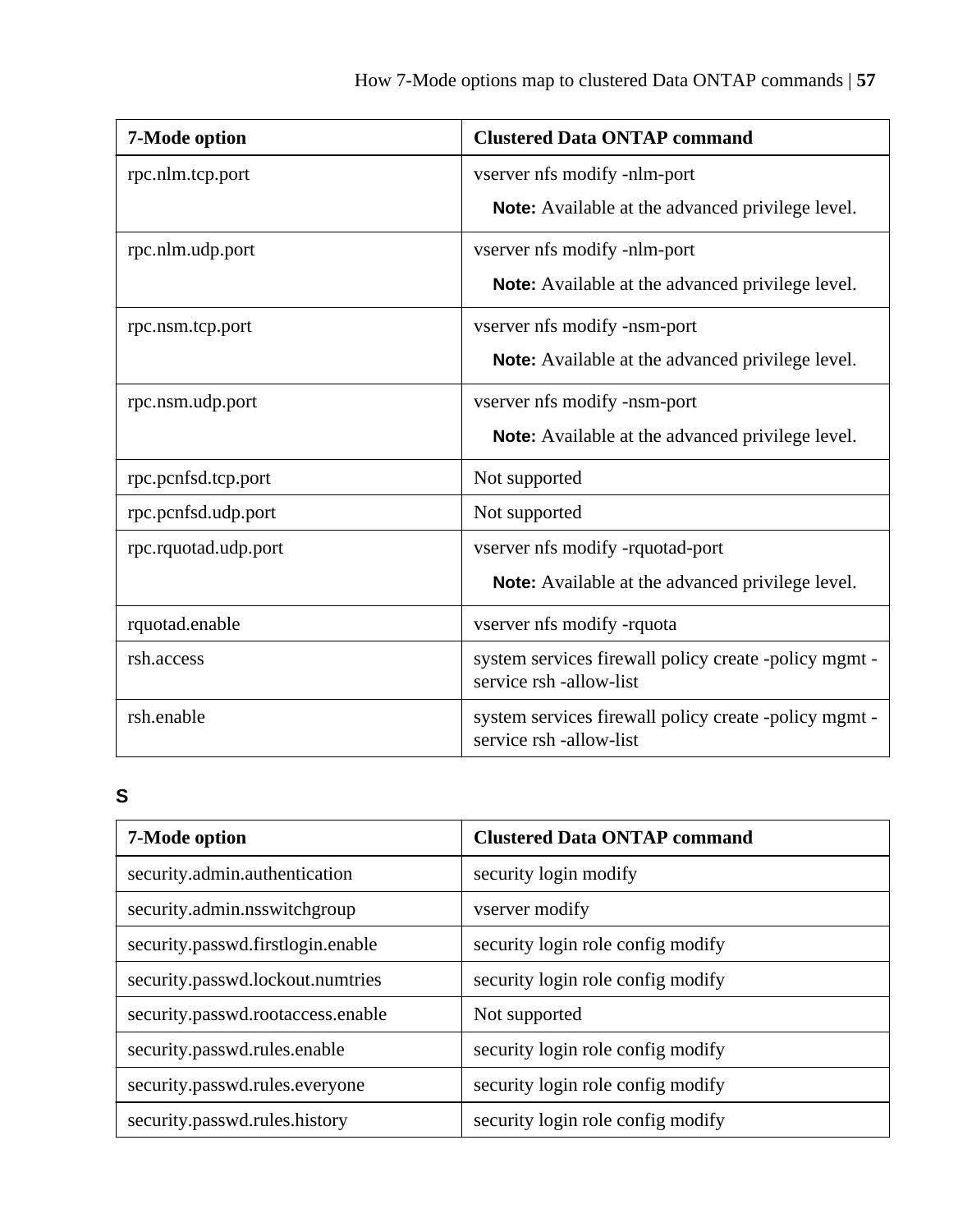<span id="page-56-0"></span>

| 7-Mode option        | <b>Clustered Data ONTAP command</b>                                              |
|----------------------|----------------------------------------------------------------------------------|
| rpc.nlm.tcp.port     | vserver nfs modify -nlm-port                                                     |
|                      | Note: Available at the advanced privilege level.                                 |
| rpc.nlm.udp.port     | vserver nfs modify -nlm-port                                                     |
|                      | <b>Note:</b> Available at the advanced privilege level.                          |
| rpc.nsm.tcp.port     | vserver nfs modify -nsm-port                                                     |
|                      | <b>Note:</b> Available at the advanced privilege level.                          |
| rpc.nsm.udp.port     | vserver nfs modify -nsm-port                                                     |
|                      | Note: Available at the advanced privilege level.                                 |
| rpc.pcnfsd.tcp.port  | Not supported                                                                    |
| rpc.pcnfsd.udp.port  | Not supported                                                                    |
| rpc.rquotad.udp.port | vserver nfs modify -rquotad-port                                                 |
|                      | Note: Available at the advanced privilege level.                                 |
| rquotad.enable       | vserver nfs modify -rquota                                                       |
| rsh.access           | system services firewall policy create -policy mgmt -<br>service rsh -allow-list |
| rsh.enable           | system services firewall policy create -policy mgmt -<br>service rsh -allow-list |

# **S**

| 7-Mode option                     | <b>Clustered Data ONTAP command</b> |
|-----------------------------------|-------------------------------------|
| security.admin.authentication     | security login modify               |
| security.admin.nsswitchgroup      | vserver modify                      |
| security.passwd.firstlogin.enable | security login role config modify   |
| security.passwd.lockout.numtries  | security login role config modify   |
| security.passwd.rootaccess.enable | Not supported                       |
| security.passwd.rules.enable      | security login role config modify   |
| security.passwd.rules.everyone    | security login role config modify   |
| security.passwd.rules.history     | security login role config modify   |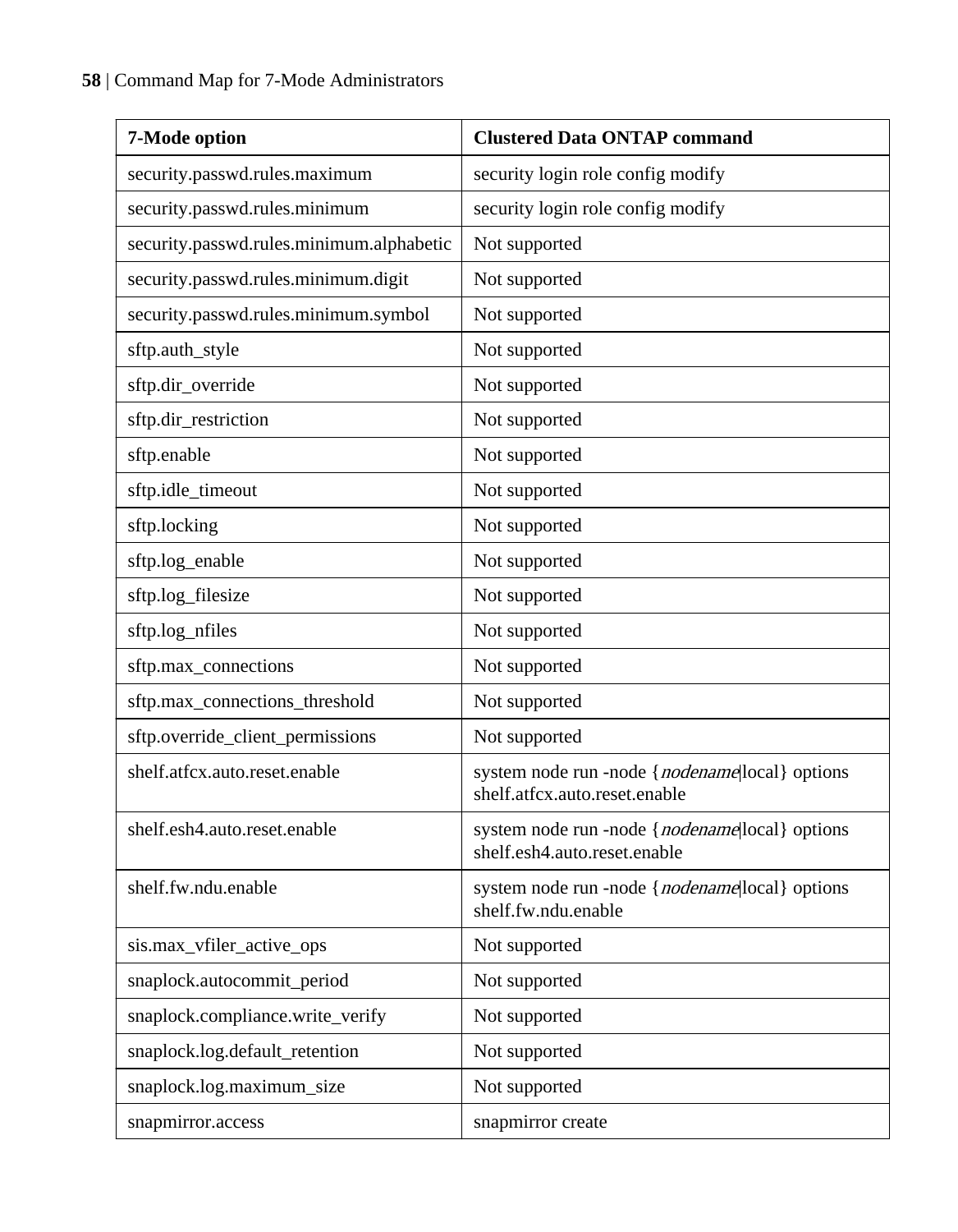| 7-Mode option                            | <b>Clustered Data ONTAP command</b>                                               |
|------------------------------------------|-----------------------------------------------------------------------------------|
| security.passwd.rules.maximum            | security login role config modify                                                 |
| security.passwd.rules.minimum            | security login role config modify                                                 |
| security.passwd.rules.minimum.alphabetic | Not supported                                                                     |
| security.passwd.rules.minimum.digit      | Not supported                                                                     |
| security.passwd.rules.minimum.symbol     | Not supported                                                                     |
| sftp.auth_style                          | Not supported                                                                     |
| sftp.dir_override                        | Not supported                                                                     |
| sftp.dir_restriction                     | Not supported                                                                     |
| sftp.enable                              | Not supported                                                                     |
| sftp.idle_timeout                        | Not supported                                                                     |
| sftp.locking                             | Not supported                                                                     |
| sftp.log_enable                          | Not supported                                                                     |
| sftp.log_filesize                        | Not supported                                                                     |
| sftp.log_nfiles                          | Not supported                                                                     |
| sftp.max_connections                     | Not supported                                                                     |
| sftp.max_connections_threshold           | Not supported                                                                     |
| sftp.override_client_permissions         | Not supported                                                                     |
| shelf.atfcx.auto.reset.enable            | system node run -node { nodename local } options<br>shelf.atfcx.auto.reset.enable |
| shelf.esh4.auto.reset.enable             | system node run -node { nodename local } options<br>shelf.esh4.auto.reset.enable  |
| shelf.fw.ndu.enable                      | system node run -node { nodename local } options<br>shelf.fw.ndu.enable           |
| sis.max_vfiler_active_ops                | Not supported                                                                     |
| snaplock.autocommit_period               | Not supported                                                                     |
| snaplock.compliance.write_verify         | Not supported                                                                     |
| snaplock.log.default_retention           | Not supported                                                                     |
| snaplock.log.maximum_size                | Not supported                                                                     |
| snapmirror.access                        | snapmirror create                                                                 |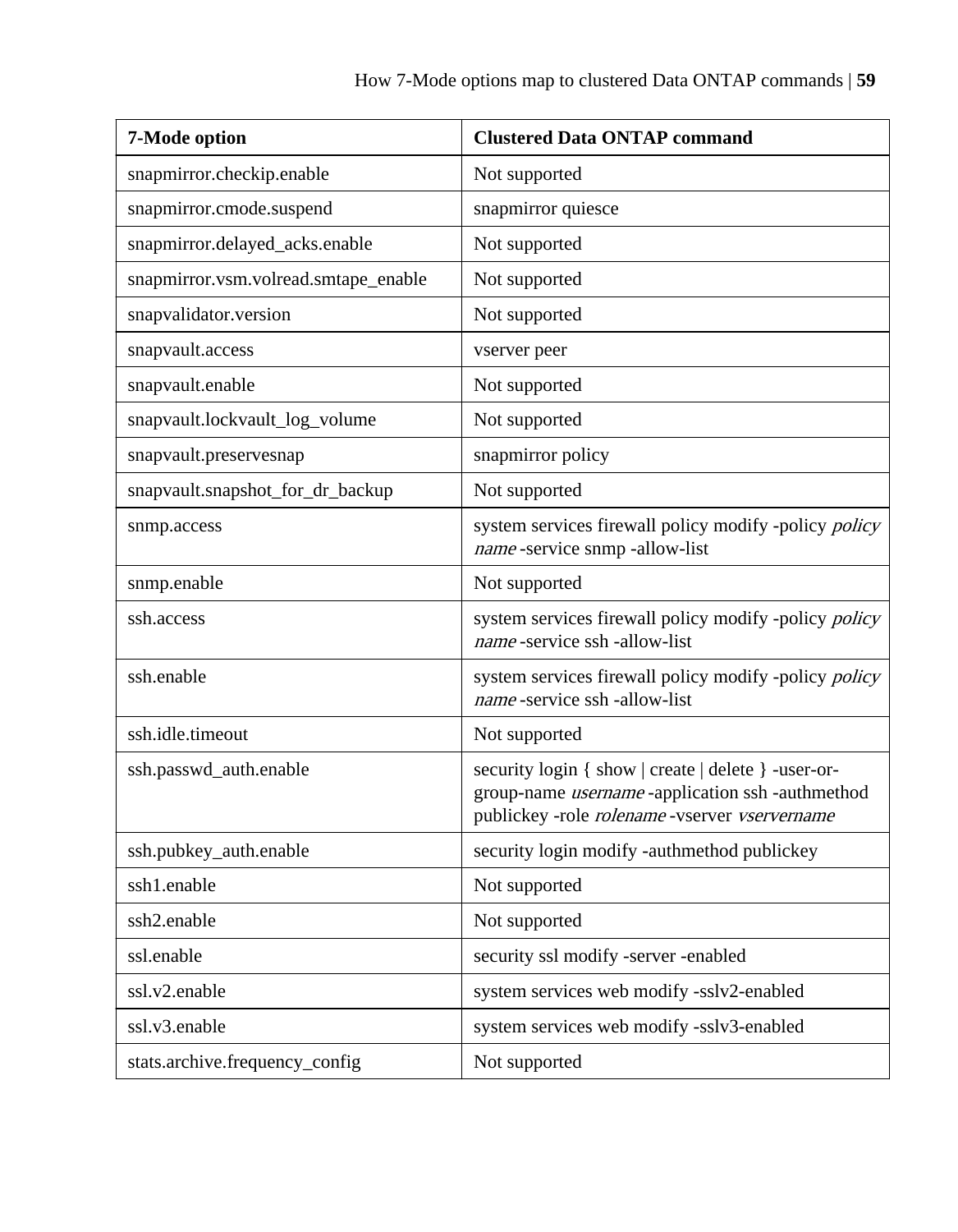| 7-Mode option                        | <b>Clustered Data ONTAP command</b>                                                                                                                             |
|--------------------------------------|-----------------------------------------------------------------------------------------------------------------------------------------------------------------|
| snapmirror.checkip.enable            | Not supported                                                                                                                                                   |
| snapmirror.cmode.suspend             | snapmirror quiesce                                                                                                                                              |
| snapmirror.delayed_acks.enable       | Not supported                                                                                                                                                   |
| snapmirror.vsm.volread.smtape_enable | Not supported                                                                                                                                                   |
| snapvalidator.version                | Not supported                                                                                                                                                   |
| snapvault.access                     | vserver peer                                                                                                                                                    |
| snapvault.enable                     | Not supported                                                                                                                                                   |
| snapvault.lockvault_log_volume       | Not supported                                                                                                                                                   |
| snapvault.preservesnap               | snapmirror policy                                                                                                                                               |
| snapvault.snapshot_for_dr_backup     | Not supported                                                                                                                                                   |
| snmp.access                          | system services firewall policy modify -policy policy<br>name-service snmp-allow-list                                                                           |
| snmp.enable                          | Not supported                                                                                                                                                   |
| ssh.access                           | system services firewall policy modify -policy policy<br>name-service ssh-allow-list                                                                            |
| ssh.enable                           | system services firewall policy modify -policy policy<br>name-service ssh-allow-list                                                                            |
| ssh.idle.timeout                     | Not supported                                                                                                                                                   |
| ssh.passwd_auth.enable               | security login { show   create   delete } -user-or-<br>group-name <i>username</i> -application ssh -authmethod<br>publickey -role rolename -vserver vservername |
| ssh.pubkey_auth.enable               | security login modify -authmethod publickey                                                                                                                     |
| ssh1.enable                          | Not supported                                                                                                                                                   |
| ssh2.enable                          | Not supported                                                                                                                                                   |
| ssl.enable                           | security ssl modify -server -enabled                                                                                                                            |
| ssl.v2.enable                        | system services web modify -sslv2-enabled                                                                                                                       |
| ssl.v3.enable                        | system services web modify -sslv3-enabled                                                                                                                       |
| stats.archive.frequency_config       | Not supported                                                                                                                                                   |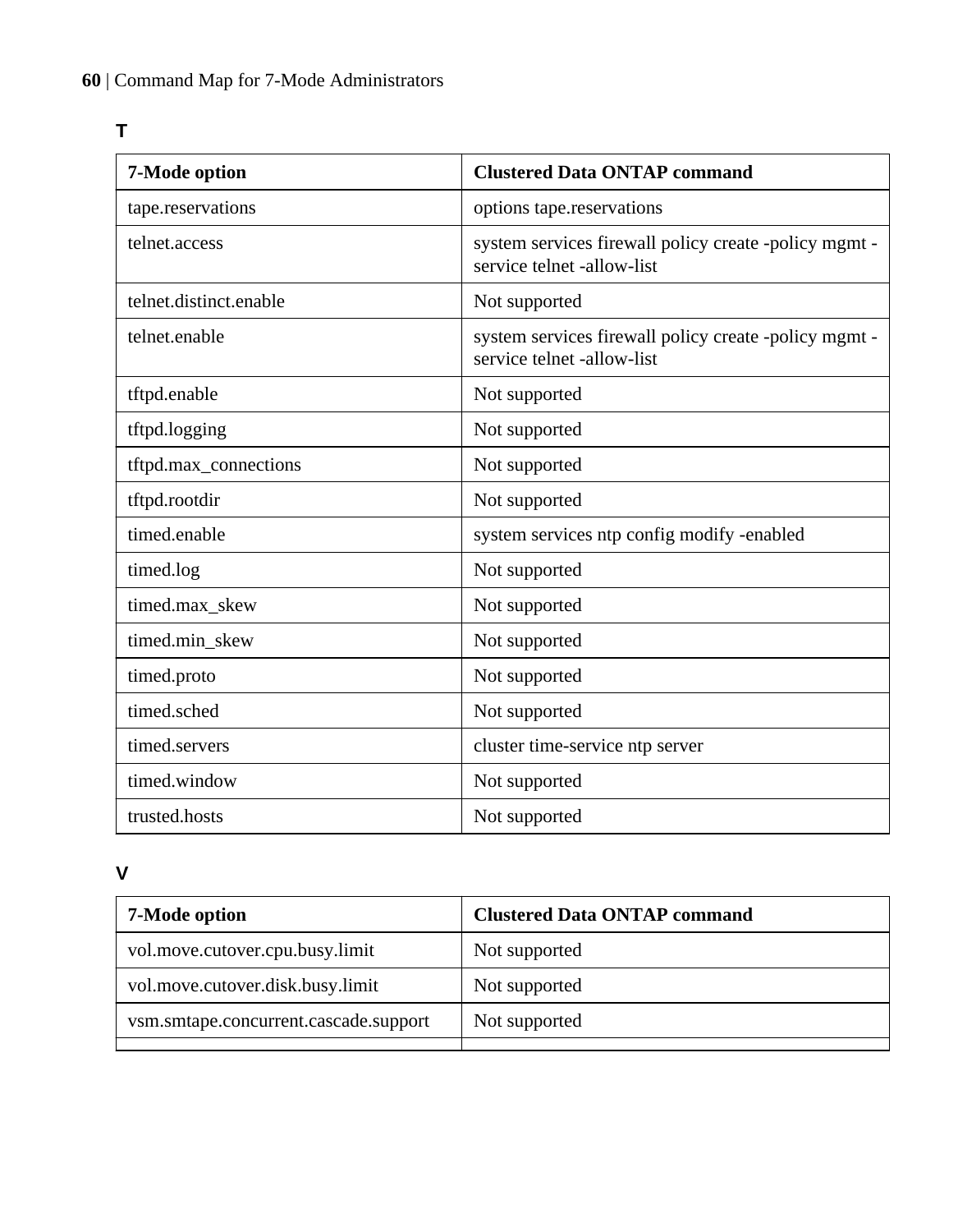<span id="page-59-0"></span>

| _ |  |
|---|--|
|   |  |
|   |  |
|   |  |
|   |  |

| 7-Mode option          | <b>Clustered Data ONTAP command</b>                                                 |
|------------------------|-------------------------------------------------------------------------------------|
| tape.reservations      | options tape.reservations                                                           |
| telnet.access          | system services firewall policy create -policy mgmt -<br>service telnet -allow-list |
| telnet.distinct.enable | Not supported                                                                       |
| telnet.enable          | system services firewall policy create -policy mgmt -<br>service telnet -allow-list |
| tftpd.enable           | Not supported                                                                       |
| tftpd.logging          | Not supported                                                                       |
| tftpd.max_connections  | Not supported                                                                       |
| tftpd.rootdir          | Not supported                                                                       |
| timed.enable           | system services ntp config modify -enabled                                          |
| timed.log              | Not supported                                                                       |
| timed.max_skew         | Not supported                                                                       |
| timed.min skew         | Not supported                                                                       |
| timed.proto            | Not supported                                                                       |
| timed.sched            | Not supported                                                                       |
| timed.servers          | cluster time-service ntp server                                                     |
| timed.window           | Not supported                                                                       |
| trusted.hosts          | Not supported                                                                       |

## **V**

| 7-Mode option                         | <b>Clustered Data ONTAP command</b> |
|---------------------------------------|-------------------------------------|
| vol.move.cutover.cpu.busy.limit       | Not supported                       |
| vol.move.cutover.disk.busy.limit      | Not supported                       |
| vsm.smtape.concurrent.cascade.support | Not supported                       |
|                                       |                                     |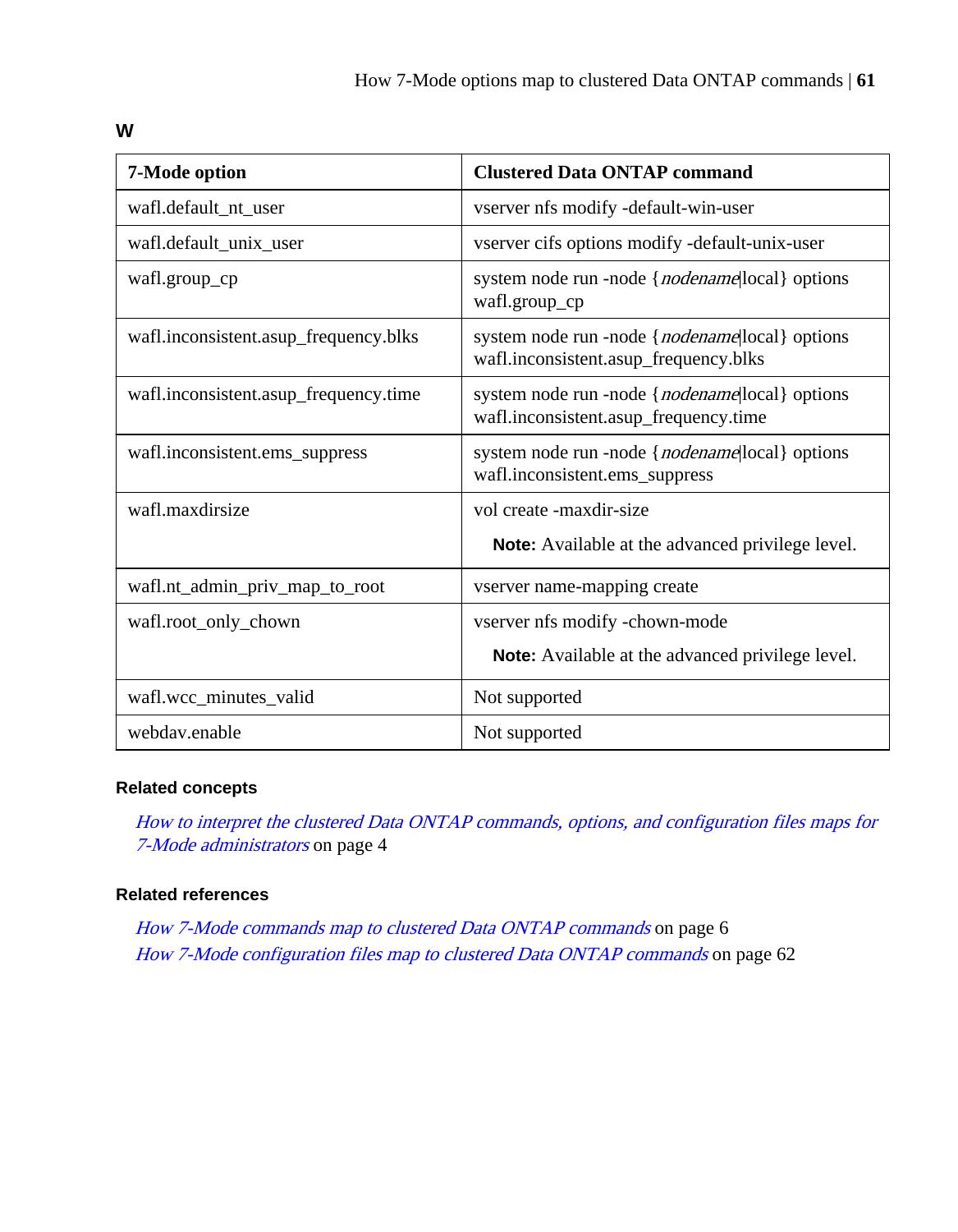| 7-Mode option                         | <b>Clustered Data ONTAP command</b>                                                              |
|---------------------------------------|--------------------------------------------------------------------------------------------------|
| wafl.default_nt_user                  | vserver nfs modify -default-win-user                                                             |
| wafl.default_unix_user                | vserver cifs options modify -default-unix-user                                                   |
| wafl.group_cp                         | system node run -node { <i>nodename</i> local } options<br>wafl.group_cp                         |
| wafl.inconsistent.asup_frequency.blks | system node run -node { <i>nodename</i> local } options<br>wafl.inconsistent.asup_frequency.blks |
| wafl.inconsistent.asup_frequency.time | system node run -node { <i>nodename</i> local } options<br>wafl.inconsistent.asup_frequency.time |
| wafl.inconsistent.ems_suppress        | system node run -node { nodename local } options<br>wafl.inconsistent.ems_suppress               |
| wafl.maxdirsize                       | vol create -maxdir-size                                                                          |
|                                       | <b>Note:</b> Available at the advanced privilege level.                                          |
| wafl.nt_admin_priv_map_to_root        | vserver name-mapping create                                                                      |
| wafl.root_only_chown                  | vserver nfs modify -chown-mode                                                                   |
|                                       | <b>Note:</b> Available at the advanced privilege level.                                          |
| wafl.wcc_minutes_valid                | Not supported                                                                                    |
| webday.enable                         | Not supported                                                                                    |

<span id="page-60-0"></span>**W**

### **Related concepts**

[How to interpret the clustered Data ONTAP commands, options, and configuration files maps for](#page-3-0) [7-Mode administrators](#page-3-0) on page 4

#### **Related references**

[How 7-Mode commands map to clustered Data ONTAP commands](#page-5-0) on page 6 [How 7-Mode configuration files map to clustered Data ONTAP commands](#page-61-0) on page 62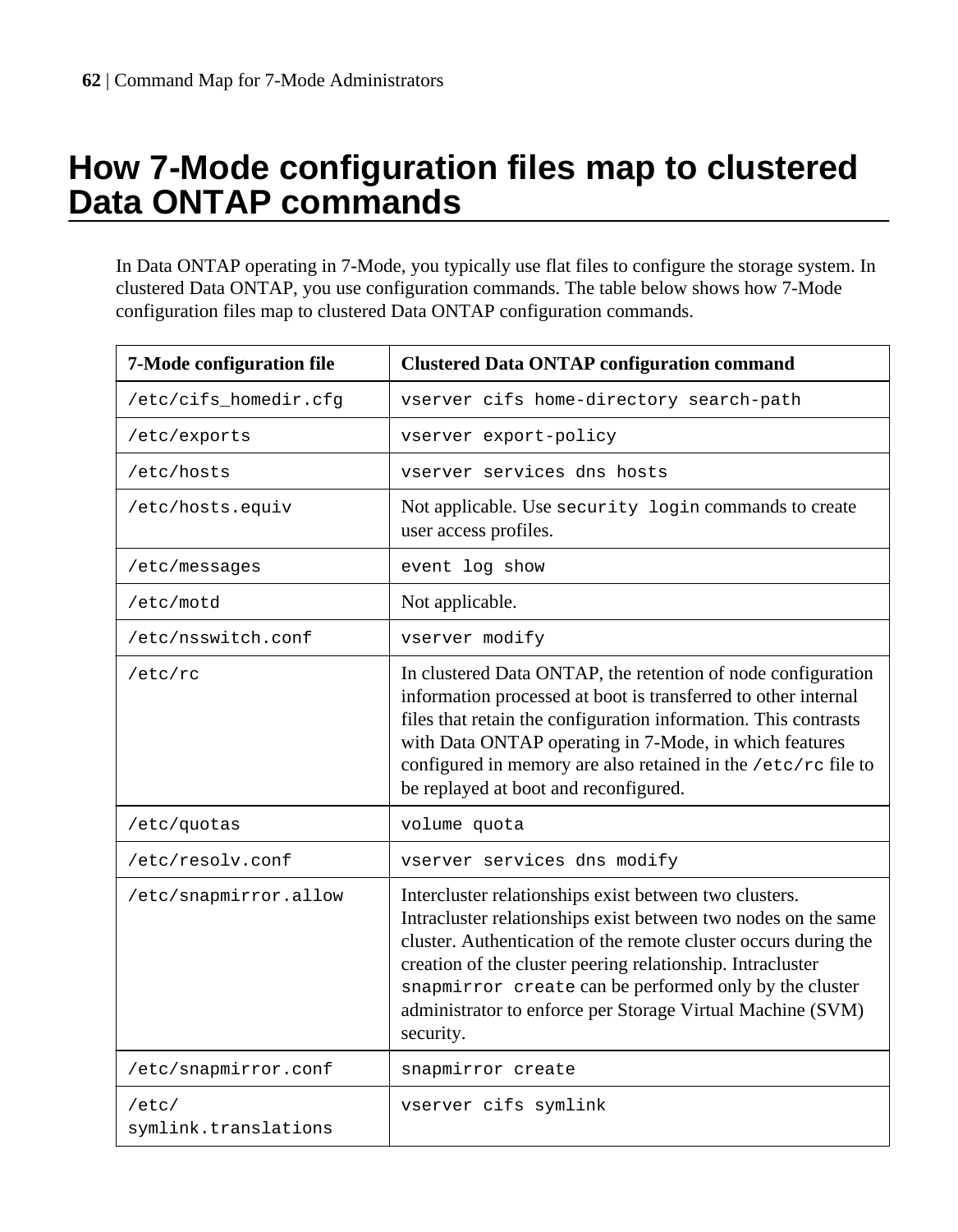# <span id="page-61-0"></span>**How 7-Mode configuration files map to clustered Data ONTAP commands**

In Data ONTAP operating in 7-Mode, you typically use flat files to configure the storage system. In clustered Data ONTAP, you use configuration commands. The table below shows how 7-Mode configuration files map to clustered Data ONTAP configuration commands.

| 7-Mode configuration file     | <b>Clustered Data ONTAP configuration command</b>                                                                                                                                                                                                                                                                                                                                              |
|-------------------------------|------------------------------------------------------------------------------------------------------------------------------------------------------------------------------------------------------------------------------------------------------------------------------------------------------------------------------------------------------------------------------------------------|
| /etc/cifs_homedir.cfq         | vserver cifs home-directory search-path                                                                                                                                                                                                                                                                                                                                                        |
| /etc/exports                  | vserver export-policy                                                                                                                                                                                                                                                                                                                                                                          |
| /etc/hosts                    | vserver services dns hosts                                                                                                                                                                                                                                                                                                                                                                     |
| /etc/hosts.equiv              | Not applicable. Use security login commands to create<br>user access profiles.                                                                                                                                                                                                                                                                                                                 |
| /etc/messages                 | event log show                                                                                                                                                                                                                                                                                                                                                                                 |
| /etc/motd                     | Not applicable.                                                                                                                                                                                                                                                                                                                                                                                |
| /etc/nsswitch.conf            | vserver modify                                                                                                                                                                                                                                                                                                                                                                                 |
| /etc/rc                       | In clustered Data ONTAP, the retention of node configuration<br>information processed at boot is transferred to other internal<br>files that retain the configuration information. This contrasts<br>with Data ONTAP operating in 7-Mode, in which features<br>configured in memory are also retained in the /etc/rc file to<br>be replayed at boot and reconfigured.                          |
| /etc/quotas                   | volume quota                                                                                                                                                                                                                                                                                                                                                                                   |
| /etc/resolv.conf              | vserver services dns modify                                                                                                                                                                                                                                                                                                                                                                    |
| /etc/snapmirror.allow         | Intercluster relationships exist between two clusters.<br>Intracluster relationships exist between two nodes on the same<br>cluster. Authentication of the remote cluster occurs during the<br>creation of the cluster peering relationship. Intracluster<br>snapmirror create can be performed only by the cluster<br>administrator to enforce per Storage Virtual Machine (SVM)<br>security. |
| /etc/snapmirror.conf          | snapmirror create                                                                                                                                                                                                                                                                                                                                                                              |
| /etc/<br>symlink.translations | vserver cifs symlink                                                                                                                                                                                                                                                                                                                                                                           |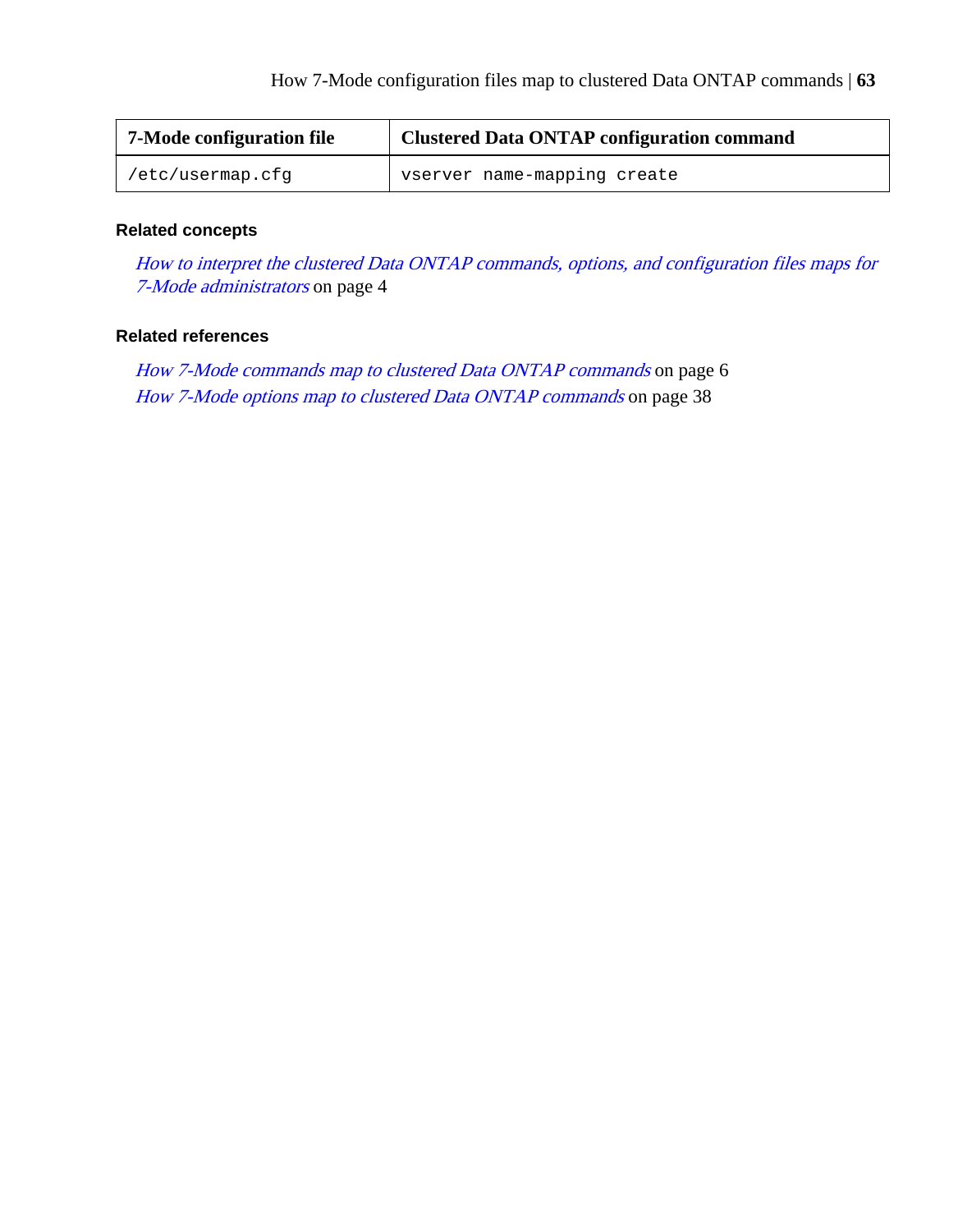| 7-Mode configuration file | <b>Clustered Data ONTAP configuration command</b> |
|---------------------------|---------------------------------------------------|
| /etc/usermap.cfq          | vserver name-mapping create                       |

#### **Related concepts**

[How to interpret the clustered Data ONTAP commands, options, and configuration files maps for](#page-3-0) [7-Mode administrators](#page-3-0) on page 4

#### **Related references**

[How 7-Mode commands map to clustered Data ONTAP commands](#page-5-0) on page 6 [How 7-Mode options map to clustered Data ONTAP commands](#page-37-0) on page 38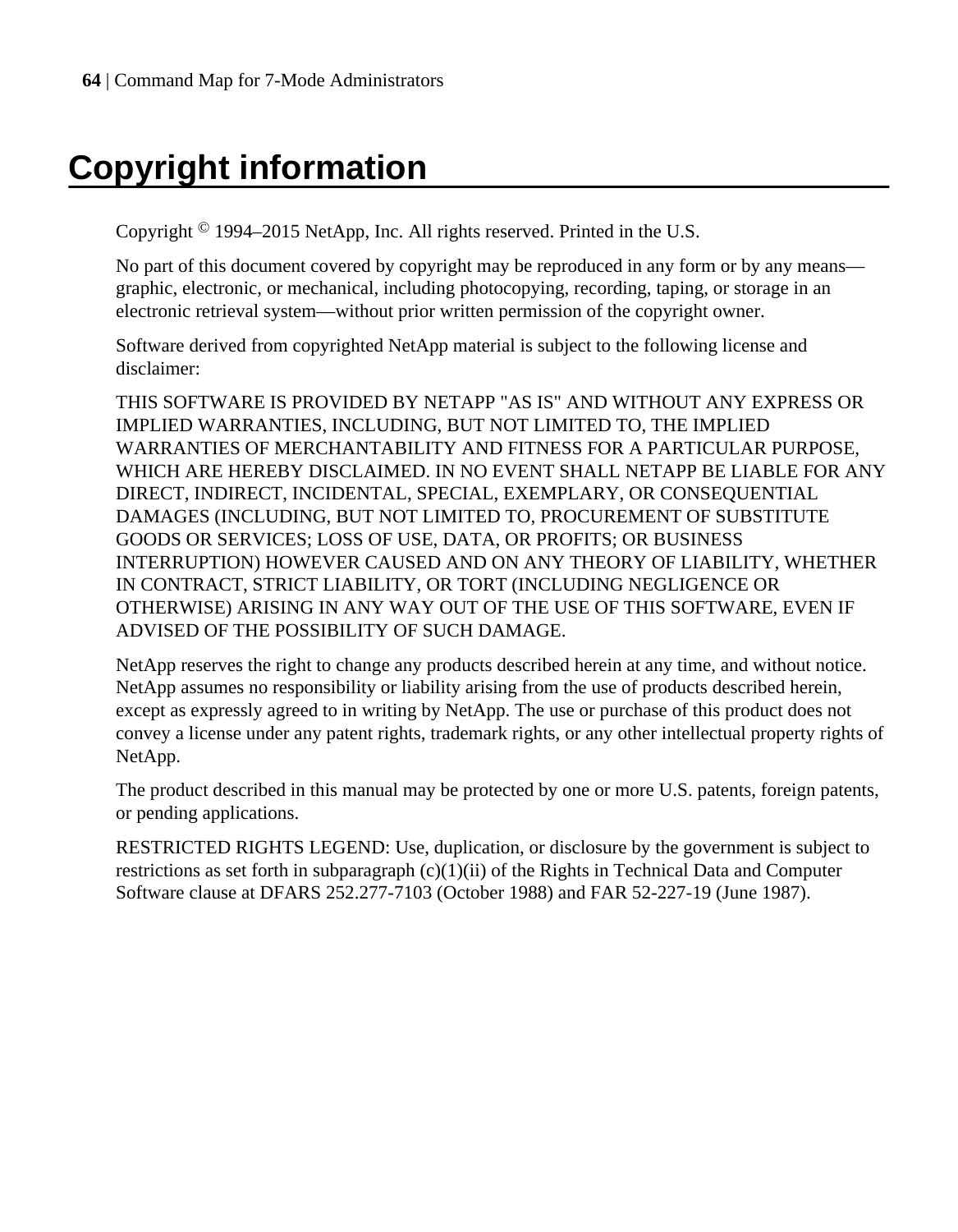# <span id="page-63-0"></span>**Copyright information**

Copyright © 1994–2015 NetApp, Inc. All rights reserved. Printed in the U.S.

No part of this document covered by copyright may be reproduced in any form or by any means graphic, electronic, or mechanical, including photocopying, recording, taping, or storage in an electronic retrieval system—without prior written permission of the copyright owner.

Software derived from copyrighted NetApp material is subject to the following license and disclaimer:

THIS SOFTWARE IS PROVIDED BY NETAPP "AS IS" AND WITHOUT ANY EXPRESS OR IMPLIED WARRANTIES, INCLUDING, BUT NOT LIMITED TO, THE IMPLIED WARRANTIES OF MERCHANTABILITY AND FITNESS FOR A PARTICULAR PURPOSE, WHICH ARE HEREBY DISCLAIMED. IN NO EVENT SHALL NETAPP BE LIABLE FOR ANY DIRECT, INDIRECT, INCIDENTAL, SPECIAL, EXEMPLARY, OR CONSEQUENTIAL DAMAGES (INCLUDING, BUT NOT LIMITED TO, PROCUREMENT OF SUBSTITUTE GOODS OR SERVICES; LOSS OF USE, DATA, OR PROFITS; OR BUSINESS INTERRUPTION) HOWEVER CAUSED AND ON ANY THEORY OF LIABILITY, WHETHER IN CONTRACT, STRICT LIABILITY, OR TORT (INCLUDING NEGLIGENCE OR OTHERWISE) ARISING IN ANY WAY OUT OF THE USE OF THIS SOFTWARE, EVEN IF ADVISED OF THE POSSIBILITY OF SUCH DAMAGE.

NetApp reserves the right to change any products described herein at any time, and without notice. NetApp assumes no responsibility or liability arising from the use of products described herein, except as expressly agreed to in writing by NetApp. The use or purchase of this product does not convey a license under any patent rights, trademark rights, or any other intellectual property rights of NetApp.

The product described in this manual may be protected by one or more U.S. patents, foreign patents, or pending applications.

RESTRICTED RIGHTS LEGEND: Use, duplication, or disclosure by the government is subject to restrictions as set forth in subparagraph  $(c)(1)(ii)$  of the Rights in Technical Data and Computer Software clause at DFARS 252.277-7103 (October 1988) and FAR 52-227-19 (June 1987).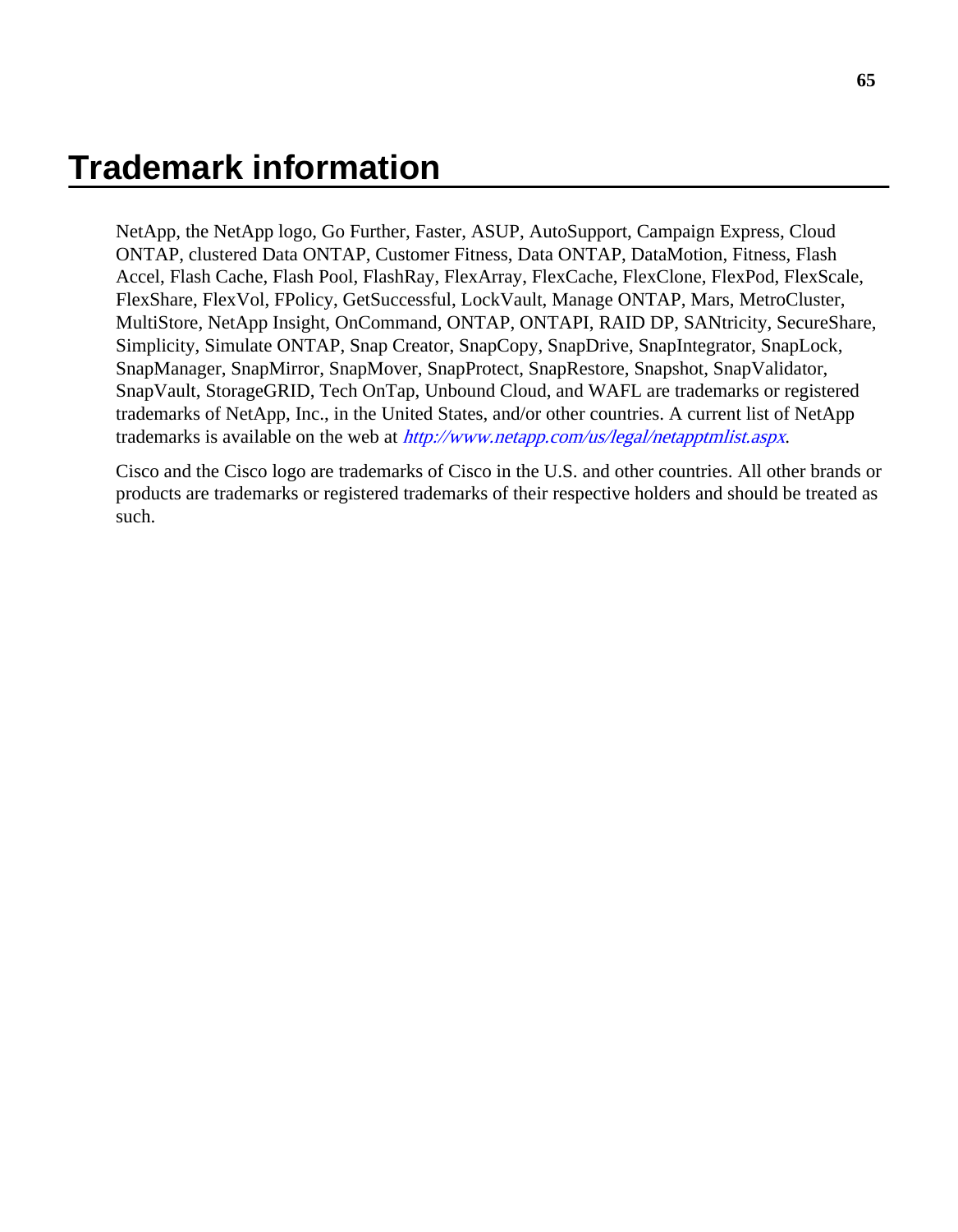# <span id="page-64-0"></span>**Trademark information**

NetApp, the NetApp logo, Go Further, Faster, ASUP, AutoSupport, Campaign Express, Cloud ONTAP, clustered Data ONTAP, Customer Fitness, Data ONTAP, DataMotion, Fitness, Flash Accel, Flash Cache, Flash Pool, FlashRay, FlexArray, FlexCache, FlexClone, FlexPod, FlexScale, FlexShare, FlexVol, FPolicy, GetSuccessful, LockVault, Manage ONTAP, Mars, MetroCluster, MultiStore, NetApp Insight, OnCommand, ONTAP, ONTAPI, RAID DP, SANtricity, SecureShare, Simplicity, Simulate ONTAP, Snap Creator, SnapCopy, SnapDrive, SnapIntegrator, SnapLock, SnapManager, SnapMirror, SnapMover, SnapProtect, SnapRestore, Snapshot, SnapValidator, SnapVault, StorageGRID, Tech OnTap, Unbound Cloud, and WAFL are trademarks or registered trademarks of NetApp, Inc., in the United States, and/or other countries. A current list of NetApp trademarks is available on the web at <http://www.netapp.com/us/legal/netapptmlist.aspx>.

Cisco and the Cisco logo are trademarks of Cisco in the U.S. and other countries. All other brands or products are trademarks or registered trademarks of their respective holders and should be treated as such.